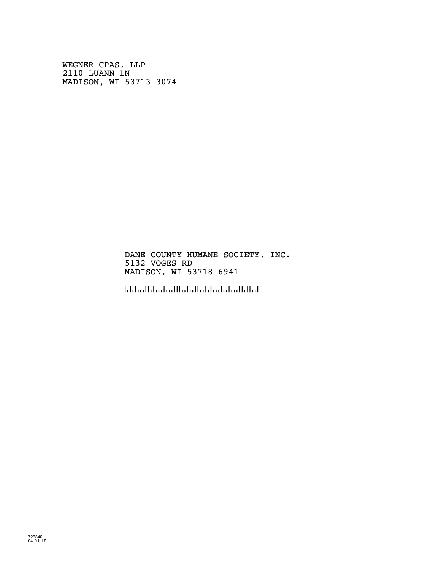WEGNER CPAS, LLP 2110 LUANN LN MADISON, WI 53713-3074

> DANE COUNTY HUMANE SOCIETY, INC. 5132 VOGES RD MADISON, WI 53718-6941

!5371869416!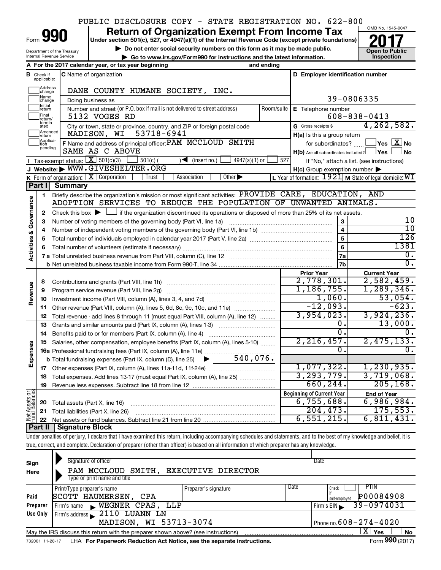## PUBLIC DISCLOSURE COPY - STATE REGISTRATION NO. 622-800

Form

Department of the Treasury Internal Revenue Service

### **Under section 501(c), 527, or 4947(a)(1) of the Internal Revenue Code (except private foundations) 990 Return of Organization Exempt From Income Tax 1990 2017 Divide the section 501(c)**, 527, or 4947(a)(1) of the Internal Revenue Code (except private foundations) **2017**

**▶ Do not enter social security numbers on this form as it may be made public. ○ Open to Public ▶ Go to www.irs.gov/Form990 for instructions and the latest information.** Inspection **| Go to www.irs.gov/Form990 for instructions and the latest information. Inspection**



|                                    |                          | A For the 2017 calendar year, or tax year beginning                                                                                                                     | and ending                                                        |                                                     |                                                             |  |  |  |  |  |
|------------------------------------|--------------------------|-------------------------------------------------------------------------------------------------------------------------------------------------------------------------|-------------------------------------------------------------------|-----------------------------------------------------|-------------------------------------------------------------|--|--|--|--|--|
| в                                  | Check if<br>applicable:  | C Name of organization                                                                                                                                                  |                                                                   | D Employer identification number                    |                                                             |  |  |  |  |  |
|                                    | Address<br>change        | DANE COUNTY HUMANE SOCIETY, INC.                                                                                                                                        |                                                                   |                                                     |                                                             |  |  |  |  |  |
|                                    | Name<br>change           | Doing business as                                                                                                                                                       |                                                                   |                                                     | 39-0806335                                                  |  |  |  |  |  |
|                                    | <b>Initial</b><br>return | Number and street (or P.O. box if mail is not delivered to street address)                                                                                              | Room/suite                                                        | E Telephone number                                  |                                                             |  |  |  |  |  |
|                                    | Final<br>return/         | 5132 VOGES RD                                                                                                                                                           |                                                                   |                                                     | $608 - 838 - 0413$                                          |  |  |  |  |  |
|                                    | termin-<br>ated          | City or town, state or province, country, and ZIP or foreign postal code                                                                                                |                                                                   | G Gross receipts \$                                 | 4, 262, 582.                                                |  |  |  |  |  |
|                                    | Amended<br>return        | 53718-6941<br>MADISON, WI                                                                                                                                               |                                                                   | $H(a)$ is this a group return                       |                                                             |  |  |  |  |  |
|                                    | Applica-<br>pending      | F Name and address of principal officer: PAM MCCLOUD SMITH                                                                                                              |                                                                   | for subordinates?                                   | $\sqrt{}$ Yes $\sqrt{}$ $\overline{\rm X}$ No               |  |  |  |  |  |
|                                    |                          | SAME AS C ABOVE                                                                                                                                                         |                                                                   | $H(b)$ Are all subordinates included? $\Box$ Yes    | No                                                          |  |  |  |  |  |
|                                    |                          | Tax-exempt status: $X \overline{301(c)(3)}$<br>$\sqrt{\frac{1}{1}}$ (insert no.)<br>$4947(a)(1)$ or<br>$501(c)$ (                                                       | 527                                                               |                                                     | If "No," attach a list. (see instructions)                  |  |  |  |  |  |
|                                    |                          | J Website: WWW.GIVESHELTER.ORG                                                                                                                                          |                                                                   | $H(c)$ Group exemption number $\blacktriangleright$ |                                                             |  |  |  |  |  |
|                                    |                          | <b>K</b> Form of organization: $\boxed{\mathbf{X}}$ Corporation<br>Association<br>Other $\blacktriangleright$<br>Trust                                                  |                                                                   |                                                     | L Year of formation: $1921$ M State of legal domicile: $WI$ |  |  |  |  |  |
|                                    | Part II                  | Summary                                                                                                                                                                 |                                                                   |                                                     |                                                             |  |  |  |  |  |
|                                    | 1                        | Briefly describe the organization's mission or most significant activities: PROVIDE CARE, EDUCATION,<br>ADOPTION SERVICES TO REDUCE THE POPULATION OF UNWANTED ANIMALS. |                                                                   |                                                     | AND                                                         |  |  |  |  |  |
| <b>Activities &amp; Governance</b> |                          |                                                                                                                                                                         |                                                                   |                                                     |                                                             |  |  |  |  |  |
|                                    | 2<br>з                   | Check this box $\blacktriangleright$ $\Box$ if the organization discontinued its operations or disposed of more than 25% of its net assets.                             |                                                                   | 3                                                   | 10                                                          |  |  |  |  |  |
|                                    | $\overline{a}$           |                                                                                                                                                                         | Number of voting members of the governing body (Part VI, line 1a) |                                                     |                                                             |  |  |  |  |  |
|                                    | 5                        |                                                                                                                                                                         |                                                                   |                                                     |                                                             |  |  |  |  |  |
|                                    | 6                        |                                                                                                                                                                         |                                                                   | 5<br>$\overline{6}$                                 | $\overline{126}$<br>1381                                    |  |  |  |  |  |
|                                    |                          |                                                                                                                                                                         |                                                                   | 7a                                                  | $\overline{0}$ .                                            |  |  |  |  |  |
|                                    |                          |                                                                                                                                                                         |                                                                   | 7 <sub>b</sub>                                      | σ.                                                          |  |  |  |  |  |
|                                    |                          |                                                                                                                                                                         |                                                                   | <b>Prior Year</b>                                   | <b>Current Year</b>                                         |  |  |  |  |  |
|                                    | 8                        | Contributions and grants (Part VIII, line 1h)                                                                                                                           |                                                                   | 2,778,301.                                          | 2,582,459.                                                  |  |  |  |  |  |
| Revenue                            | 9                        | Program service revenue (Part VIII, line 2g)                                                                                                                            |                                                                   | 1,186,755.                                          | 1,289,346.                                                  |  |  |  |  |  |
|                                    | 10                       |                                                                                                                                                                         |                                                                   | 1,060.                                              | 53,054.                                                     |  |  |  |  |  |
|                                    | 11                       | Other revenue (Part VIII, column (A), lines 5, 6d, 8c, 9c, 10c, and 11e)                                                                                                |                                                                   | $-12,093.$                                          | $-623.$                                                     |  |  |  |  |  |
|                                    | 12                       | Total revenue - add lines 8 through 11 (must equal Part VIII, column (A), line 12)                                                                                      |                                                                   | 3,954,023.                                          | 3,924,236.                                                  |  |  |  |  |  |
|                                    | 13                       | Grants and similar amounts paid (Part IX, column (A), lines 1-3)                                                                                                        |                                                                   | 0.                                                  | 13,000.                                                     |  |  |  |  |  |
|                                    | 14                       | Benefits paid to or for members (Part IX, column (A), line 4)                                                                                                           |                                                                   | $\overline{0}$ .                                    | Ω.                                                          |  |  |  |  |  |
|                                    | 15                       | Salaries, other compensation, employee benefits (Part IX, column (A), lines 5-10)                                                                                       |                                                                   | 2, 216, 457.                                        | 2,475,133.                                                  |  |  |  |  |  |
| Expenses                           |                          | 16a Professional fundraising fees (Part IX, column (A), line 11e)                                                                                                       |                                                                   | Ω.                                                  | ο.                                                          |  |  |  |  |  |
|                                    |                          | 540,076.<br><b>b</b> Total fundraising expenses (Part IX, column (D), line 25)<br>▶                                                                                     |                                                                   |                                                     |                                                             |  |  |  |  |  |
|                                    | 17                       |                                                                                                                                                                         |                                                                   | 1,077,322.<br>3, 293, 779.                          | 1, 230, 935.<br>3,719,068.                                  |  |  |  |  |  |
|                                    | 18                       | Total expenses. Add lines 13-17 (must equal Part IX, column (A), line 25)                                                                                               |                                                                   |                                                     |                                                             |  |  |  |  |  |
|                                    | 19                       |                                                                                                                                                                         |                                                                   | 660, 244.                                           | 205, 168.                                                   |  |  |  |  |  |
| Net Assets or<br>Fund Balances     |                          |                                                                                                                                                                         |                                                                   | <b>Beginning of Current Year</b><br>6,755,688.      | <b>End of Year</b><br>6,986,984.                            |  |  |  |  |  |
|                                    | 20                       | Total assets (Part X, line 16)                                                                                                                                          |                                                                   | 204, 473.                                           | 175, 553.                                                   |  |  |  |  |  |
|                                    | 21                       | Total liabilities (Part X, line 26)                                                                                                                                     |                                                                   | 6,551,215.                                          | 6,811,431.                                                  |  |  |  |  |  |
|                                    | 22<br><b>Part II</b>     | Signature Block                                                                                                                                                         |                                                                   |                                                     |                                                             |  |  |  |  |  |
|                                    |                          |                                                                                                                                                                         |                                                                   |                                                     |                                                             |  |  |  |  |  |

Under penalties of perjury, I declare that I have examined this return, including accompanying schedules and statements, and to the best of my knowledge and belief, it is true, correct, and complete. Declaration of preparer (other than officer) is based on all information of which preparer has any knowledge.

| Sign<br>Here                                                                                                                                 | Signature of officer<br>SMITH, EXECUTIVE DIRECTOR<br>PAM MCCLOUD<br>Type or print name and title             | Date |  |  |  |  |  |  |  |  |
|----------------------------------------------------------------------------------------------------------------------------------------------|--------------------------------------------------------------------------------------------------------------|------|--|--|--|--|--|--|--|--|
| Date<br>PTIN<br>Check<br>Print/Type preparer's name<br>Preparer's signature<br>P00084908<br>SCOTT HAUMERSEN,<br>Paid<br>CPA<br>self-emploved |                                                                                                              |      |  |  |  |  |  |  |  |  |
| Preparer                                                                                                                                     | 39-0974031<br>Firm's $EIN$                                                                                   |      |  |  |  |  |  |  |  |  |
| Firm's address $\angle$ 2110 LUANN LN<br>Use Only                                                                                            |                                                                                                              |      |  |  |  |  |  |  |  |  |
| MADISON, WI 53713-3074<br>Phone no. $608 - 274 - 4020$                                                                                       |                                                                                                              |      |  |  |  |  |  |  |  |  |
| X <sup>1</sup><br><b>No</b><br>Yes<br>May the IRS discuss this return with the preparer shown above? (see instructions)                      |                                                                                                              |      |  |  |  |  |  |  |  |  |
|                                                                                                                                              | Form 990 (2017)<br>LHA For Paperwork Reduction Act Notice, see the separate instructions.<br>732001 11-28-17 |      |  |  |  |  |  |  |  |  |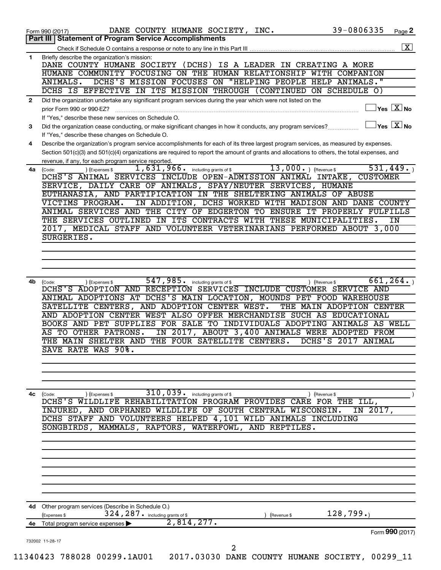|              | 39-0806335<br>DANE COUNTY HUMANE SOCIETY, INC.<br>Page 2<br>Form 990 (2017)<br>Part III   Statement of Program Service Accomplishments                                                                                                                                               |
|--------------|--------------------------------------------------------------------------------------------------------------------------------------------------------------------------------------------------------------------------------------------------------------------------------------|
|              | $\boxed{\textbf{X}}$                                                                                                                                                                                                                                                                 |
| $\mathbf{1}$ | Briefly describe the organization's mission:                                                                                                                                                                                                                                         |
|              | DANE COUNTY HUMANE SOCIETY (DCHS) IS A LEADER IN CREATING A MORE<br>HUMANE COMMUNITY FOCUSING ON THE HUMAN RELATIONSHIP WITH COMPANION                                                                                                                                               |
|              | DCHS'S MISSION FOCUSES ON "HELPING PEOPLE HELP ANIMALS."<br>ANIMALS.                                                                                                                                                                                                                 |
|              | DCHS IS EFFECTIVE IN ITS MISSION THROUGH (CONTINUED ON SCHEDULE O)                                                                                                                                                                                                                   |
| $\mathbf{2}$ | Did the organization undertake any significant program services during the year which were not listed on the                                                                                                                                                                         |
|              | $ {\mathsf Y}\mathsf{es}\ \boxed{{\mathsf X}}$ No<br>prior Form 990 or 990-EZ?                                                                                                                                                                                                       |
|              | If "Yes," describe these new services on Schedule O.                                                                                                                                                                                                                                 |
| 3            | $ {\mathsf Y}\mathsf{es}\ \boxed{{\mathsf X}}$ No<br>Did the organization cease conducting, or make significant changes in how it conducts, any program services?                                                                                                                    |
|              | If "Yes," describe these changes on Schedule O.                                                                                                                                                                                                                                      |
| 4            | Describe the organization's program service accomplishments for each of its three largest program services, as measured by expenses.<br>Section 501(c)(3) and 501(c)(4) organizations are required to report the amount of grants and allocations to others, the total expenses, and |
|              | revenue, if any, for each program service reported.                                                                                                                                                                                                                                  |
| 4a           | $13,000.$ (Revenue \$)<br>531,449.<br>1,631,966.<br>including grants of \$<br>) (Expenses \$<br>(Code:                                                                                                                                                                               |
|              | DCHS'S ANIMAL SERVICES INCLUDE OPEN-ADMISSION ANIMAL INTAKE,<br><b>CUSTOMER</b>                                                                                                                                                                                                      |
|              | SERVICE, DAILY CARE OF ANIMALS, SPAY/NEUTER SERVICES, HUMANE                                                                                                                                                                                                                         |
|              | EUTHANASIA, AND PARTIPICATION IN THE SHELTERING ANIMALS OF ABUSE                                                                                                                                                                                                                     |
|              | VICTIMS PROGRAM.<br>IN ADDITION, DCHS WORKED WITH MADISON AND DANE COUNTY                                                                                                                                                                                                            |
|              | ANIMAL SERVICES AND THE CITY OF EDGERTON TO ENSURE IT PROPERLY FULFILLS<br>THE SERVICES OUTLINED IN ITS CONTRACTS WITH THESE MUNICIPALITIES.<br>ΙN                                                                                                                                   |
|              | 2017, MEDICAL STAFF AND VOLUNTEER VETERINARIANS PERFORMED ABOUT 3,000                                                                                                                                                                                                                |
|              | SURGERIES.                                                                                                                                                                                                                                                                           |
|              |                                                                                                                                                                                                                                                                                      |
|              |                                                                                                                                                                                                                                                                                      |
|              |                                                                                                                                                                                                                                                                                      |
|              |                                                                                                                                                                                                                                                                                      |
| 4b           | 547,985.<br>661, 264.<br>including grants of \$<br>(Code:<br>(Expenses \$<br>) (Revenue \$                                                                                                                                                                                           |
|              | DCHS'S ADOPTION AND RECEPTION SERVICES INCLUDE CUSTOMER SERVICE AND                                                                                                                                                                                                                  |
|              | ANIMAL ADOPTIONS AT DCHS'S MAIN LOCATION, MOUNDS PET FOOD WAREHOUSE<br>SATELLITE CENTERS, AND ADOPTION CENTER WEST.<br>THE MAIN ADOPTION CENTER                                                                                                                                      |
|              | AND ADOPTION CENTER WEST ALSO OFFER MERCHANDISE SUCH AS EDUCATIONAL                                                                                                                                                                                                                  |
|              | BOOKS AND PET SUPPLIES FOR SALE TO INDIVIDUALS ADOPTING ANIMALS AS WELL                                                                                                                                                                                                              |
|              | AS TO OTHER PATRONS.<br>IN 2017, ABOUT 3,400 ANIMALS WERE ADOPTED FROM                                                                                                                                                                                                               |
|              | DCHS'S 2017 ANIMAL<br>THE MAIN SHELTER AND THE FOUR SATELLITE CENTERS.                                                                                                                                                                                                               |
|              | SAVE RATE WAS 90%.                                                                                                                                                                                                                                                                   |
|              |                                                                                                                                                                                                                                                                                      |
|              |                                                                                                                                                                                                                                                                                      |
|              |                                                                                                                                                                                                                                                                                      |
| 4c           | 310,039. including grants of \$<br>) (Expenses \$<br>) (Revenue \$<br>(Code:                                                                                                                                                                                                         |
|              | DCHS'S WILDLIFE REHABILITATION PROGRAM PROVIDES CARE FOR THE ILL,                                                                                                                                                                                                                    |
|              | INJURED, AND ORPHANED WILDLIFE OF SOUTH CENTRAL WISCONSIN.<br>IN 2017,                                                                                                                                                                                                               |
|              | DCHS STAFF AND VOLUNTEERS HELPED 4,101 WILD ANIMALS INCLUDING                                                                                                                                                                                                                        |
|              | SONGBIRDS, MAMMALS, RAPTORS, WATERFOWL, AND REPTILES.                                                                                                                                                                                                                                |
|              |                                                                                                                                                                                                                                                                                      |
|              |                                                                                                                                                                                                                                                                                      |
|              |                                                                                                                                                                                                                                                                                      |
|              |                                                                                                                                                                                                                                                                                      |
|              |                                                                                                                                                                                                                                                                                      |
|              |                                                                                                                                                                                                                                                                                      |
|              |                                                                                                                                                                                                                                                                                      |
|              |                                                                                                                                                                                                                                                                                      |
|              | 4d Other program services (Describe in Schedule O.)                                                                                                                                                                                                                                  |
|              | 128,799.<br>324, 287. including grants of \$<br>(Expenses \$<br>(Revenue \$                                                                                                                                                                                                          |
|              | 2,814,277.<br>4e Total program service expenses                                                                                                                                                                                                                                      |
|              | Form 990 (2017)<br>732002 11-28-17                                                                                                                                                                                                                                                   |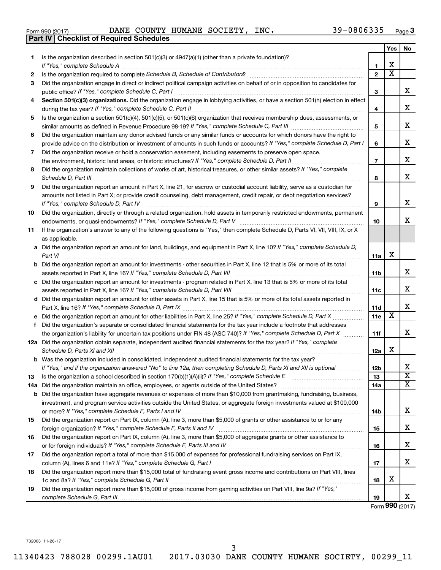| Form 990 (2017) |  |  |
|-----------------|--|--|

Form 990 (2017) Page DANE COUNTY HUMANE SOCIETY, INC. 39-0806335

|     | <b>Part IV   Checklist of Required Schedules</b>                                                                                                                                                                                    |                |                         |                         |
|-----|-------------------------------------------------------------------------------------------------------------------------------------------------------------------------------------------------------------------------------------|----------------|-------------------------|-------------------------|
|     |                                                                                                                                                                                                                                     |                | Yes                     | No                      |
| 1   | Is the organization described in section 501(c)(3) or 4947(a)(1) (other than a private foundation)?                                                                                                                                 |                |                         |                         |
|     |                                                                                                                                                                                                                                     | 1              | х                       |                         |
| 2   |                                                                                                                                                                                                                                     | $\mathbf{2}$   | $\overline{\textbf{x}}$ |                         |
| 3   | Did the organization engage in direct or indirect political campaign activities on behalf of or in opposition to candidates for                                                                                                     |                |                         |                         |
|     |                                                                                                                                                                                                                                     | 3              |                         | x                       |
| 4   | Section 501(c)(3) organizations. Did the organization engage in lobbying activities, or have a section 501(h) election in effect                                                                                                    |                |                         |                         |
|     |                                                                                                                                                                                                                                     | 4              |                         | x                       |
| 5   | Is the organization a section 501(c)(4), 501(c)(5), or 501(c)(6) organization that receives membership dues, assessments, or                                                                                                        |                |                         |                         |
|     |                                                                                                                                                                                                                                     | 5              |                         | x                       |
| 6   | Did the organization maintain any donor advised funds or any similar funds or accounts for which donors have the right to                                                                                                           |                |                         |                         |
|     | provide advice on the distribution or investment of amounts in such funds or accounts? If "Yes," complete Schedule D, Part I                                                                                                        | 6              |                         | X                       |
|     |                                                                                                                                                                                                                                     |                |                         |                         |
| 7   | Did the organization receive or hold a conservation easement, including easements to preserve open space,                                                                                                                           |                |                         | х                       |
|     |                                                                                                                                                                                                                                     | $\overline{7}$ |                         |                         |
| 8   | Did the organization maintain collections of works of art, historical treasures, or other similar assets? If "Yes," complete                                                                                                        |                |                         | х                       |
|     | Schedule D, Part III <b>Marting Community</b> Construction of the Construction of the Construction of the Construction of the Construction of the Construction of the Construction of the Construction of the Construction of the C | 8              |                         |                         |
| 9   | Did the organization report an amount in Part X, line 21, for escrow or custodial account liability, serve as a custodian for                                                                                                       |                |                         |                         |
|     | amounts not listed in Part X; or provide credit counseling, debt management, credit repair, or debt negotiation services?                                                                                                           |                |                         |                         |
|     | If "Yes," complete Schedule D, Part IV                                                                                                                                                                                              | 9              |                         | x                       |
| 10  | Did the organization, directly or through a related organization, hold assets in temporarily restricted endowments, permanent                                                                                                       |                |                         |                         |
|     |                                                                                                                                                                                                                                     | 10             |                         | x                       |
| 11  | If the organization's answer to any of the following questions is "Yes," then complete Schedule D, Parts VI, VII, VIII, IX, or X                                                                                                    |                |                         |                         |
|     | as applicable.                                                                                                                                                                                                                      |                |                         |                         |
|     | a Did the organization report an amount for land, buildings, and equipment in Part X, line 10? If "Yes," complete Schedule D,                                                                                                       |                |                         |                         |
|     |                                                                                                                                                                                                                                     | 11a            | X                       |                         |
|     | <b>b</b> Did the organization report an amount for investments - other securities in Part X, line 12 that is 5% or more of its total                                                                                                |                |                         |                         |
|     |                                                                                                                                                                                                                                     | 11b            |                         | x                       |
|     | c Did the organization report an amount for investments - program related in Part X, line 13 that is 5% or more of its total                                                                                                        |                |                         |                         |
|     |                                                                                                                                                                                                                                     | 11c            |                         | х                       |
|     | d Did the organization report an amount for other assets in Part X, line 15 that is 5% or more of its total assets reported in                                                                                                      |                |                         |                         |
|     |                                                                                                                                                                                                                                     | 11d            |                         | х                       |
|     |                                                                                                                                                                                                                                     | 11e            | х                       |                         |
|     | f Did the organization's separate or consolidated financial statements for the tax year include a footnote that addresses                                                                                                           |                |                         |                         |
|     | the organization's liability for uncertain tax positions under FIN 48 (ASC 740)? If "Yes," complete Schedule D, Part X                                                                                                              | 11f            |                         | X                       |
|     | 12a Did the organization obtain separate, independent audited financial statements for the tax year? If "Yes," complete                                                                                                             |                |                         |                         |
|     | Schedule D, Parts XI and XII                                                                                                                                                                                                        | 12a            | х                       |                         |
|     | <b>b</b> Was the organization included in consolidated, independent audited financial statements for the tax year?                                                                                                                  |                |                         |                         |
|     | If "Yes," and if the organization answered "No" to line 12a, then completing Schedule D, Parts XI and XII is optional                                                                                                               | 12b            |                         | х                       |
| 13  |                                                                                                                                                                                                                                     | 13             |                         | $\overline{\mathbf{X}}$ |
| 14a |                                                                                                                                                                                                                                     | 14a            |                         | X                       |
|     | <b>b</b> Did the organization have aggregate revenues or expenses of more than \$10,000 from grantmaking, fundraising, business,                                                                                                    |                |                         |                         |
|     | investment, and program service activities outside the United States, or aggregate foreign investments valued at \$100,000                                                                                                          |                |                         |                         |
|     |                                                                                                                                                                                                                                     | 14b            |                         | х                       |
| 15  | Did the organization report on Part IX, column (A), line 3, more than \$5,000 of grants or other assistance to or for any                                                                                                           |                |                         |                         |
|     |                                                                                                                                                                                                                                     | 15             |                         | х                       |
| 16  | Did the organization report on Part IX, column (A), line 3, more than \$5,000 of aggregate grants or other assistance to                                                                                                            |                |                         |                         |
|     |                                                                                                                                                                                                                                     | 16             |                         | х                       |
| 17  | Did the organization report a total of more than \$15,000 of expenses for professional fundraising services on Part IX,                                                                                                             |                |                         |                         |
|     |                                                                                                                                                                                                                                     | 17             |                         | х                       |
| 18  | Did the organization report more than \$15,000 total of fundraising event gross income and contributions on Part VIII, lines                                                                                                        |                |                         |                         |
|     |                                                                                                                                                                                                                                     | 18             | х                       |                         |
| 19  | Did the organization report more than \$15,000 of gross income from gaming activities on Part VIII, line 9a? If "Yes,"                                                                                                              |                |                         |                         |
|     |                                                                                                                                                                                                                                     | 19             |                         | x                       |
|     |                                                                                                                                                                                                                                     |                |                         |                         |

Form (2017) **990**

732003 11-28-17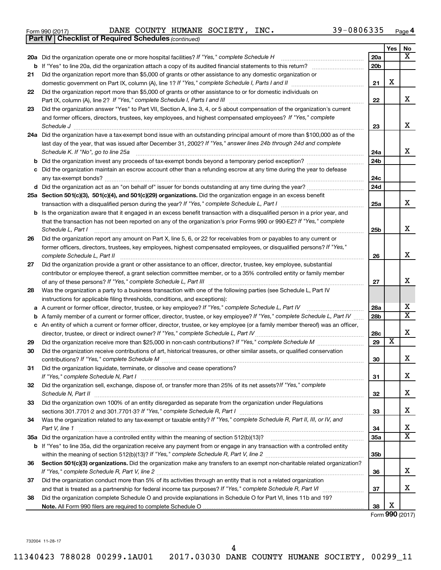*(continued)* **Part IV Checklist of Required Schedules**

Form 990 (2017) Page DANE COUNTY HUMANE SOCIETY, INC. 39-0806335

|    |                                                                                                                                                                                                                                                 |     | Yes                     | No                      |
|----|-------------------------------------------------------------------------------------------------------------------------------------------------------------------------------------------------------------------------------------------------|-----|-------------------------|-------------------------|
|    | 20a Did the organization operate one or more hospital facilities? If "Yes," complete Schedule H                                                                                                                                                 | 20a |                         | $\overline{\mathbf{X}}$ |
|    |                                                                                                                                                                                                                                                 | 20b |                         |                         |
| 21 | Did the organization report more than \$5,000 of grants or other assistance to any domestic organization or                                                                                                                                     |     |                         |                         |
|    | domestic government on Part IX, column (A), line 1? If "Yes," complete Schedule I, Parts I and II                                                                                                                                               | 21  | X                       |                         |
| 22 | Did the organization report more than \$5,000 of grants or other assistance to or for domestic individuals on                                                                                                                                   |     |                         |                         |
|    |                                                                                                                                                                                                                                                 | 22  |                         | x                       |
| 23 | Did the organization answer "Yes" to Part VII, Section A, line 3, 4, or 5 about compensation of the organization's current                                                                                                                      |     |                         |                         |
|    | and former officers, directors, trustees, key employees, and highest compensated employees? If "Yes," complete                                                                                                                                  |     |                         |                         |
|    | Schedule J                                                                                                                                                                                                                                      | 23  |                         | x                       |
|    | 24a Did the organization have a tax-exempt bond issue with an outstanding principal amount of more than \$100,000 as of the                                                                                                                     |     |                         |                         |
|    | last day of the year, that was issued after December 31, 2002? If "Yes," answer lines 24b through 24d and complete<br>Schedule K. If "No", go to line 25a                                                                                       | 24a |                         | X.                      |
|    |                                                                                                                                                                                                                                                 | 24b |                         |                         |
| с  | Did the organization maintain an escrow account other than a refunding escrow at any time during the year to defease                                                                                                                            |     |                         |                         |
|    |                                                                                                                                                                                                                                                 | 24c |                         |                         |
|    | d Did the organization act as an "on behalf of" issuer for bonds outstanding at any time during the year?                                                                                                                                       | 24d |                         |                         |
|    | 25a Section 501(c)(3), 501(c)(4), and 501(c)(29) organizations. Did the organization engage in an excess benefit                                                                                                                                |     |                         |                         |
|    |                                                                                                                                                                                                                                                 | 25a |                         | X.                      |
|    | b Is the organization aware that it engaged in an excess benefit transaction with a disqualified person in a prior year, and                                                                                                                    |     |                         |                         |
|    | that the transaction has not been reported on any of the organization's prior Forms 990 or 990-EZ? If "Yes," complete                                                                                                                           |     |                         |                         |
|    | Schedule L, Part I                                                                                                                                                                                                                              | 25b |                         | x                       |
| 26 | Did the organization report any amount on Part X, line 5, 6, or 22 for receivables from or payables to any current or<br>former officers, directors, trustees, key employees, highest compensated employees, or disqualified persons? If "Yes," |     |                         |                         |
|    | complete Schedule L, Part II                                                                                                                                                                                                                    | 26  |                         | x                       |
| 27 | Did the organization provide a grant or other assistance to an officer, director, trustee, key employee, substantial                                                                                                                            |     |                         |                         |
|    | contributor or employee thereof, a grant selection committee member, or to a 35% controlled entity or family member                                                                                                                             |     |                         |                         |
|    |                                                                                                                                                                                                                                                 | 27  |                         | X.                      |
| 28 | Was the organization a party to a business transaction with one of the following parties (see Schedule L, Part IV                                                                                                                               |     |                         |                         |
|    | instructions for applicable filing thresholds, conditions, and exceptions):                                                                                                                                                                     |     |                         |                         |
| а  | A current or former officer, director, trustee, or key employee? If "Yes," complete Schedule L, Part IV                                                                                                                                         | 28a |                         | x                       |
| b  | A family member of a current or former officer, director, trustee, or key employee? If "Yes," complete Schedule L, Part IV                                                                                                                      | 28b |                         | $\overline{\mathtt{x}}$ |
|    | c An entity of which a current or former officer, director, trustee, or key employee (or a family member thereof) was an officer,                                                                                                               |     |                         |                         |
|    |                                                                                                                                                                                                                                                 | 28c | $\overline{\mathbf{X}}$ | x                       |
| 29 |                                                                                                                                                                                                                                                 | 29  |                         |                         |
| 30 | Did the organization receive contributions of art, historical treasures, or other similar assets, or qualified conservation                                                                                                                     | 30  |                         | x                       |
| 31 | Did the organization liquidate, terminate, or dissolve and cease operations?                                                                                                                                                                    |     |                         |                         |
|    |                                                                                                                                                                                                                                                 | 31  |                         | x                       |
| 32 | Did the organization sell, exchange, dispose of, or transfer more than 25% of its net assets? If "Yes," complete                                                                                                                                |     |                         |                         |
|    | Schedule N, Part II                                                                                                                                                                                                                             | 32  |                         | x                       |
| 33 | Did the organization own 100% of an entity disregarded as separate from the organization under Regulations                                                                                                                                      |     |                         |                         |
|    |                                                                                                                                                                                                                                                 | 33  |                         | x                       |
| 34 | Was the organization related to any tax-exempt or taxable entity? If "Yes," complete Schedule R, Part II, III, or IV, and                                                                                                                       |     |                         |                         |
|    | Part V, line 1                                                                                                                                                                                                                                  | 34  |                         | x                       |
|    |                                                                                                                                                                                                                                                 | 35a |                         | $\overline{\mathtt{x}}$ |
|    | b If "Yes" to line 35a, did the organization receive any payment from or engage in any transaction with a controlled entity                                                                                                                     |     |                         |                         |
| 36 | Section 501(c)(3) organizations. Did the organization make any transfers to an exempt non-charitable related organization?                                                                                                                      | 35b |                         |                         |
|    |                                                                                                                                                                                                                                                 | 36  |                         | x                       |
| 37 | Did the organization conduct more than 5% of its activities through an entity that is not a related organization                                                                                                                                |     |                         |                         |
|    |                                                                                                                                                                                                                                                 | 37  |                         | x                       |
| 38 | Did the organization complete Schedule O and provide explanations in Schedule O for Part VI, lines 11b and 19?                                                                                                                                  |     |                         |                         |
|    |                                                                                                                                                                                                                                                 | 38  | х                       |                         |

Form (2017) **990**

732004 11-28-17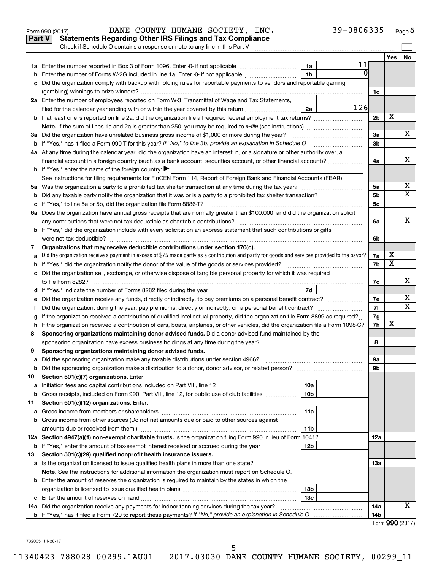|    | Part V<br><b>Statements Regarding Other IRS Filings and Tax Compliance</b><br>Check if Schedule O contains a response or note to any line in this Part V |                 |     |                 |                         |    |
|----|----------------------------------------------------------------------------------------------------------------------------------------------------------|-----------------|-----|-----------------|-------------------------|----|
|    |                                                                                                                                                          |                 |     |                 | Yes                     | No |
|    |                                                                                                                                                          | 1a              | 11  |                 |                         |    |
|    | Enter the number of Forms W-2G included in line 1a. Enter -0- if not applicable                                                                          | 1 <sub>b</sub>  | 0   |                 |                         |    |
|    | Did the organization comply with backup withholding rules for reportable payments to vendors and reportable gaming                                       |                 |     |                 |                         |    |
|    |                                                                                                                                                          |                 |     | 1c              |                         |    |
|    | 2a Enter the number of employees reported on Form W-3, Transmittal of Wage and Tax Statements,                                                           |                 |     |                 |                         |    |
|    | filed for the calendar year ending with or within the year covered by this return <i>[[[[[[[[[[[[[[]]]]</i> ]]                                           | 2a              | 126 |                 |                         |    |
| b  |                                                                                                                                                          |                 |     | 2 <sub>b</sub>  | х                       |    |
|    |                                                                                                                                                          |                 |     |                 |                         |    |
|    | 3a Did the organization have unrelated business gross income of \$1,000 or more during the year?                                                         |                 |     | За              |                         | х  |
|    |                                                                                                                                                          |                 |     | 3 <sub>b</sub>  |                         |    |
|    | 4a At any time during the calendar year, did the organization have an interest in, or a signature or other authority over, a                             |                 |     |                 |                         | x  |
|    | financial account in a foreign country (such as a bank account, securities account, or other financial account)?                                         |                 |     | 4a              |                         |    |
|    | <b>b</b> If "Yes," enter the name of the foreign country: $\blacktriangleright$                                                                          |                 |     |                 |                         |    |
|    | See instructions for filing requirements for FinCEN Form 114, Report of Foreign Bank and Financial Accounts (FBAR).                                      |                 |     | 5a              |                         | х  |
|    |                                                                                                                                                          |                 |     | 5 <sub>b</sub>  |                         | X  |
|    |                                                                                                                                                          |                 |     | 5с              |                         |    |
|    | 6a Does the organization have annual gross receipts that are normally greater than \$100,000, and did the organization solicit                           |                 |     |                 |                         |    |
|    |                                                                                                                                                          |                 |     | 6a              |                         | X  |
|    | <b>b</b> If "Yes," did the organization include with every solicitation an express statement that such contributions or gifts                            |                 |     |                 |                         |    |
|    | were not tax deductible?                                                                                                                                 |                 |     | 6b              |                         |    |
| 7  | Organizations that may receive deductible contributions under section 170(c).                                                                            |                 |     |                 |                         |    |
|    | Did the organization receive a payment in excess of \$75 made partly as a contribution and partly for goods and services provided to the payor?          |                 |     | 7a              | х                       |    |
|    |                                                                                                                                                          |                 |     | 7b              | $\overline{\textbf{x}}$ |    |
|    | c Did the organization sell, exchange, or otherwise dispose of tangible personal property for which it was required                                      |                 |     |                 |                         |    |
|    |                                                                                                                                                          |                 |     | 7с              |                         | X  |
|    |                                                                                                                                                          | 7d              |     |                 |                         |    |
|    | Did the organization receive any funds, directly or indirectly, to pay premiums on a personal benefit contract?                                          |                 |     | 7е              |                         | х  |
| Ť. |                                                                                                                                                          |                 |     | 7f              |                         | X  |
|    | If the organization received a contribution of qualified intellectual property, did the organization file Form 8899 as required?                         |                 |     | 7g              |                         |    |
| h  | If the organization received a contribution of cars, boats, airplanes, or other vehicles, did the organization file a Form 1098-C?                       |                 |     | 7h              | х                       |    |
| 8  | Sponsoring organizations maintaining donor advised funds. Did a donor advised fund maintained by the                                                     |                 |     |                 |                         |    |
|    |                                                                                                                                                          |                 |     | 8               |                         |    |
| 9  | Sponsoring organizations maintaining donor advised funds.                                                                                                |                 |     |                 |                         |    |
|    |                                                                                                                                                          |                 |     | эа              |                         |    |
| b  | Did the sponsoring organization make a distribution to a donor, donor advisor, or related person?                                                        |                 |     | 9b              |                         |    |
| 10 | Section 501(c)(7) organizations. Enter:                                                                                                                  |                 |     |                 |                         |    |
| а  |                                                                                                                                                          | 10a             |     |                 |                         |    |
| b  | Gross receipts, included on Form 990, Part VIII, line 12, for public use of club facilities                                                              | 10b             |     |                 |                         |    |
| 11 | Section 501(c)(12) organizations. Enter:                                                                                                                 |                 |     |                 |                         |    |
| а  | Gross income from other sources (Do not net amounts due or paid to other sources against                                                                 | 11a             |     |                 |                         |    |
| b  | amounts due or received from them.)                                                                                                                      | 11b             |     |                 |                         |    |
|    | 12a Section 4947(a)(1) non-exempt charitable trusts. Is the organization filing Form 990 in lieu of Form 1041?                                           |                 |     | 12a             |                         |    |
|    | <b>b</b> If "Yes," enter the amount of tax-exempt interest received or accrued during the year                                                           | 12b             |     |                 |                         |    |
| 13 | Section 501(c)(29) qualified nonprofit health insurance issuers.                                                                                         |                 |     |                 |                         |    |
| а  | Is the organization licensed to issue qualified health plans in more than one state?                                                                     |                 |     | 13a             |                         |    |
|    | Note. See the instructions for additional information the organization must report on Schedule O.                                                        |                 |     |                 |                         |    |
|    | <b>b</b> Enter the amount of reserves the organization is required to maintain by the states in which the                                                |                 |     |                 |                         |    |
|    |                                                                                                                                                          | 13b             |     |                 |                         |    |
|    |                                                                                                                                                          | 13 <sub>c</sub> |     |                 |                         |    |
|    | 14a Did the organization receive any payments for indoor tanning services during the tax year?                                                           |                 |     | 14a             |                         | х  |
|    | <b>b</b> If "Yes," has it filed a Form 720 to report these payments? If "No," provide an explanation in Schedule O                                       |                 |     | 14 <sub>b</sub> |                         |    |
|    |                                                                                                                                                          |                 |     |                 | Form 990 (2017)         |    |

Form 990 (2017) Page DANE COUNTY HUMANE SOCIETY, INC. 39-0806335

39-0806335 Page 5

732005 11-28-17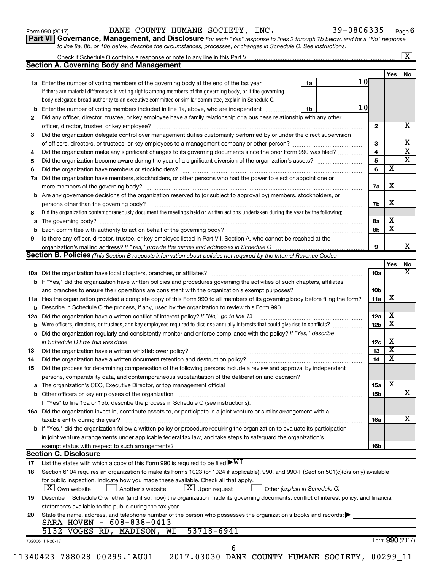|  |  |  | Form 990 (2017) |
|--|--|--|-----------------|
|--|--|--|-----------------|

Form 990 (2017) Page DANE COUNTY HUMANE SOCIETY, INC. 39-0806335

| Part VI   Governance, Management, and Disclosure For each "Yes" response to lines 2 through 7b below, and for a "No" response |  |
|-------------------------------------------------------------------------------------------------------------------------------|--|
| to line 8a, 8b, or 10b below, describe the circumstances, processes, or changes in Schedule O. See instructions.              |  |

|                                                                                                                                |                                                                                                                                                                                                                                                                              |  |    |                 |                 |                              | $\mathbf{X}$ |  |  |
|--------------------------------------------------------------------------------------------------------------------------------|------------------------------------------------------------------------------------------------------------------------------------------------------------------------------------------------------------------------------------------------------------------------------|--|----|-----------------|-----------------|------------------------------|--------------|--|--|
|                                                                                                                                | <b>Section A. Governing Body and Management</b>                                                                                                                                                                                                                              |  |    |                 |                 |                              |              |  |  |
|                                                                                                                                |                                                                                                                                                                                                                                                                              |  |    |                 |                 | Yes                          | No           |  |  |
|                                                                                                                                | 1a Enter the number of voting members of the governing body at the end of the tax year                                                                                                                                                                                       |  | 1a | 10 <sub>l</sub> |                 |                              |              |  |  |
|                                                                                                                                | If there are material differences in voting rights among members of the governing body, or if the governing                                                                                                                                                                  |  |    |                 |                 |                              |              |  |  |
|                                                                                                                                | body delegated broad authority to an executive committee or similar committee, explain in Schedule O.                                                                                                                                                                        |  |    |                 |                 |                              |              |  |  |
|                                                                                                                                | <b>b</b> Enter the number of voting members included in line 1a, above, who are independent <i>manumum</i>                                                                                                                                                                   |  | 1b | 10 <sub>l</sub> |                 |                              |              |  |  |
| 2                                                                                                                              | Did any officer, director, trustee, or key employee have a family relationship or a business relationship with any other                                                                                                                                                     |  |    |                 |                 |                              |              |  |  |
|                                                                                                                                | officer, director, trustee, or key employee?                                                                                                                                                                                                                                 |  |    |                 | $\mathbf{2}$    |                              |              |  |  |
| 3                                                                                                                              | Did the organization delegate control over management duties customarily performed by or under the direct supervision                                                                                                                                                        |  |    |                 |                 |                              |              |  |  |
|                                                                                                                                |                                                                                                                                                                                                                                                                              |  |    |                 | 3               |                              |              |  |  |
| 4                                                                                                                              | Did the organization make any significant changes to its governing documents since the prior Form 990 was filed?                                                                                                                                                             |  |    |                 | 4               |                              |              |  |  |
| 5                                                                                                                              |                                                                                                                                                                                                                                                                              |  |    |                 | 5               |                              |              |  |  |
| 6                                                                                                                              |                                                                                                                                                                                                                                                                              |  |    |                 | 6               | $\overline{\textbf{x}}$      |              |  |  |
| 7a                                                                                                                             | Did the organization have members, stockholders, or other persons who had the power to elect or appoint one or                                                                                                                                                               |  |    |                 |                 |                              |              |  |  |
|                                                                                                                                |                                                                                                                                                                                                                                                                              |  |    |                 |                 |                              |              |  |  |
|                                                                                                                                | <b>b</b> Are any governance decisions of the organization reserved to (or subject to approval by) members, stockholders, or                                                                                                                                                  |  |    |                 | 7a              | X                            |              |  |  |
|                                                                                                                                |                                                                                                                                                                                                                                                                              |  |    |                 | 7b              | X                            |              |  |  |
| 8                                                                                                                              | Did the organization contemporaneously document the meetings held or written actions undertaken during the year by the following:                                                                                                                                            |  |    |                 |                 |                              |              |  |  |
|                                                                                                                                |                                                                                                                                                                                                                                                                              |  |    |                 |                 | X                            |              |  |  |
| a                                                                                                                              |                                                                                                                                                                                                                                                                              |  |    |                 | 8а              | $\overline{\textbf{x}}$      |              |  |  |
|                                                                                                                                |                                                                                                                                                                                                                                                                              |  |    |                 | 8b              |                              |              |  |  |
| 9                                                                                                                              | Is there any officer, director, trustee, or key employee listed in Part VII, Section A, who cannot be reached at the                                                                                                                                                         |  |    |                 |                 |                              |              |  |  |
|                                                                                                                                |                                                                                                                                                                                                                                                                              |  |    |                 | 9               |                              |              |  |  |
|                                                                                                                                | Section B. Policies (This Section B requests information about policies not required by the Internal Revenue Code.)                                                                                                                                                          |  |    |                 |                 |                              |              |  |  |
|                                                                                                                                |                                                                                                                                                                                                                                                                              |  |    |                 |                 | Yes                          |              |  |  |
|                                                                                                                                |                                                                                                                                                                                                                                                                              |  |    |                 | 10a             |                              |              |  |  |
|                                                                                                                                | b If "Yes," did the organization have written policies and procedures governing the activities of such chapters, affiliates,                                                                                                                                                 |  |    |                 |                 |                              |              |  |  |
|                                                                                                                                |                                                                                                                                                                                                                                                                              |  |    |                 | 10 <sub>b</sub> |                              |              |  |  |
|                                                                                                                                | 11a Has the organization provided a complete copy of this Form 990 to all members of its governing body before filing the form?                                                                                                                                              |  |    |                 | 11a             | X                            |              |  |  |
|                                                                                                                                | <b>b</b> Describe in Schedule O the process, if any, used by the organization to review this Form 990.                                                                                                                                                                       |  |    |                 |                 |                              |              |  |  |
| 12a                                                                                                                            | Did the organization have a written conflict of interest policy? If "No," go to line 13                                                                                                                                                                                      |  |    |                 | 12a             | х<br>$\overline{\textbf{x}}$ |              |  |  |
| b                                                                                                                              | Were officers, directors, or trustees, and key employees required to disclose annually interests that could give rise to conflicts?<br>12 <sub>b</sub><br>Did the organization regularly and consistently monitor and enforce compliance with the policy? If "Yes," describe |  |    |                 |                 |                              |              |  |  |
| с                                                                                                                              |                                                                                                                                                                                                                                                                              |  |    |                 |                 |                              |              |  |  |
|                                                                                                                                |                                                                                                                                                                                                                                                                              |  |    |                 |                 |                              |              |  |  |
| 13                                                                                                                             |                                                                                                                                                                                                                                                                              |  |    |                 | 13              | $\overline{\mathbf{X}}$      |              |  |  |
| 14                                                                                                                             | Did the organization have a written document retention and destruction policy? [11] manufaction manufaction in                                                                                                                                                               |  |    |                 | 14              | $\overline{\mathbf{X}}$      |              |  |  |
| 15                                                                                                                             | Did the process for determining compensation of the following persons include a review and approval by independent                                                                                                                                                           |  |    |                 |                 |                              |              |  |  |
|                                                                                                                                | persons, comparability data, and contemporaneous substantiation of the deliberation and decision?                                                                                                                                                                            |  |    |                 |                 |                              |              |  |  |
|                                                                                                                                |                                                                                                                                                                                                                                                                              |  |    |                 | 15a             | X                            |              |  |  |
|                                                                                                                                |                                                                                                                                                                                                                                                                              |  |    |                 | 15b             |                              |              |  |  |
|                                                                                                                                | If "Yes" to line 15a or 15b, describe the process in Schedule O (see instructions).                                                                                                                                                                                          |  |    |                 |                 |                              |              |  |  |
|                                                                                                                                | 16a Did the organization invest in, contribute assets to, or participate in a joint venture or similar arrangement with a                                                                                                                                                    |  |    |                 |                 |                              |              |  |  |
|                                                                                                                                |                                                                                                                                                                                                                                                                              |  |    |                 |                 |                              |              |  |  |
|                                                                                                                                | taxable entity during the year?                                                                                                                                                                                                                                              |  |    |                 | 16a             |                              |              |  |  |
| b If "Yes," did the organization follow a written policy or procedure requiring the organization to evaluate its participation |                                                                                                                                                                                                                                                                              |  |    |                 |                 |                              |              |  |  |
|                                                                                                                                | in joint venture arrangements under applicable federal tax law, and take steps to safeguard the organization's                                                                                                                                                               |  |    |                 |                 |                              |              |  |  |
|                                                                                                                                | exempt status with respect to such arrangements?                                                                                                                                                                                                                             |  |    |                 | 16b             |                              |              |  |  |
|                                                                                                                                | <b>Section C. Disclosure</b>                                                                                                                                                                                                                                                 |  |    |                 |                 |                              |              |  |  |
| 17                                                                                                                             | List the states with which a copy of this Form 990 is required to be filed $\blacktriangleright\texttt{WI}$                                                                                                                                                                  |  |    |                 |                 |                              |              |  |  |
| 18                                                                                                                             | Section 6104 requires an organization to make its Forms 1023 (or 1024 if applicable), 990, and 990-T (Section 501(c)(3)s only) available                                                                                                                                     |  |    |                 |                 |                              |              |  |  |
|                                                                                                                                | for public inspection. Indicate how you made these available. Check all that apply.                                                                                                                                                                                          |  |    |                 |                 |                              |              |  |  |
|                                                                                                                                | $\lfloor x \rfloor$ Upon request<br>$ \mathbf{X} $ Own website<br>Another's website<br>Other (explain in Schedule O)                                                                                                                                                         |  |    |                 |                 |                              |              |  |  |
| 19                                                                                                                             | Describe in Schedule O whether (and if so, how) the organization made its governing documents, conflict of interest policy, and financial                                                                                                                                    |  |    |                 |                 |                              |              |  |  |
|                                                                                                                                | statements available to the public during the tax year.                                                                                                                                                                                                                      |  |    |                 |                 |                              |              |  |  |
| 20                                                                                                                             | State the name, address, and telephone number of the person who possesses the organization's books and records:                                                                                                                                                              |  |    |                 |                 |                              |              |  |  |
|                                                                                                                                | SARA HOVEN - 608-838-0413                                                                                                                                                                                                                                                    |  |    |                 |                 |                              |              |  |  |
|                                                                                                                                | 53718-6941<br>5132 VOGES RD, MADISON, WI                                                                                                                                                                                                                                     |  |    |                 |                 |                              |              |  |  |
|                                                                                                                                | 732006 11-28-17                                                                                                                                                                                                                                                              |  |    |                 |                 | Form 990 (2017)              |              |  |  |
|                                                                                                                                | 6                                                                                                                                                                                                                                                                            |  |    |                 |                 |                              |              |  |  |
|                                                                                                                                | 11340423 788028 00299.1AU01<br>2017.03030 DANE COUNTY HUMANE SOCIETY, 00299_11                                                                                                                                                                                               |  |    |                 |                 |                              |              |  |  |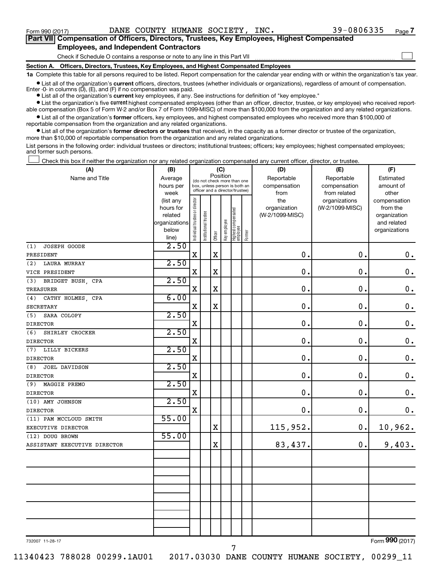$\Box$ 

| Part VII Compensation of Officers, Directors, Trustees, Key Employees, Highest Compensated |
|--------------------------------------------------------------------------------------------|
| <b>Employees, and Independent Contractors</b>                                              |

Check if Schedule O contains a response or note to any line in this Part VII

**Section A. Officers, Directors, Trustees, Key Employees, and Highest Compensated Employees**

**1a**  Complete this table for all persons required to be listed. Report compensation for the calendar year ending with or within the organization's tax year.

**•** List all of the organization's current officers, directors, trustees (whether individuals or organizations), regardless of amount of compensation. Enter -0- in columns  $(D)$ ,  $(E)$ , and  $(F)$  if no compensation was paid.

**•** List all of the organization's **current** key employees, if any. See instructions for definition of "key employee."

**•** List the organization's five current highest compensated employees (other than an officer, director, trustee, or key employee) who received reportable compensation (Box 5 of Form W-2 and/or Box 7 of Form 1099-MISC) of more than \$100,000 from the organization and any related organizations.

**•** List all of the organization's former officers, key employees, and highest compensated employees who received more than \$100,000 of reportable compensation from the organization and any related organizations.

**•** List all of the organization's former directors or trustees that received, in the capacity as a former director or trustee of the organization, more than \$10,000 of reportable compensation from the organization and any related organizations.

List persons in the following order: individual trustees or directors; institutional trustees; officers; key employees; highest compensated employees; and former such persons.

Check this box if neither the organization nor any related organization compensated any current officer, director, or trustee.  $\Box$ 

| (A)                          | (B)               |                                |                                                                  | (C)         |              |                                 |        | (D)             | (E)                           | (F)                   |
|------------------------------|-------------------|--------------------------------|------------------------------------------------------------------|-------------|--------------|---------------------------------|--------|-----------------|-------------------------------|-----------------------|
| Name and Title               | Average           |                                | (do not check more than one                                      | Position    |              |                                 |        | Reportable      | Reportable                    | Estimated             |
|                              | hours per         |                                | box, unless person is both an<br>officer and a director/trustee) |             |              |                                 |        | compensation    | compensation                  | amount of             |
|                              | week<br>(list any |                                |                                                                  |             |              |                                 |        | from<br>the     | from related<br>organizations | other<br>compensation |
|                              | hours for         |                                |                                                                  |             |              |                                 |        | organization    | (W-2/1099-MISC)               | from the              |
|                              | related           |                                |                                                                  |             |              |                                 |        | (W-2/1099-MISC) |                               | organization          |
|                              | organizations     |                                |                                                                  |             |              |                                 |        |                 |                               | and related           |
|                              | below             | Individual trustee or director | Institutional trustee                                            |             | Key employee | Highest compensated<br>employee |        |                 |                               | organizations         |
|                              | line)             |                                |                                                                  | Officer     |              |                                 | Former |                 |                               |                       |
| JOSEPH GOODE<br>(1)          | 2.50              |                                |                                                                  |             |              |                                 |        |                 |                               |                       |
| PRESIDENT                    |                   | $\mathbf X$                    |                                                                  | $\mathbf X$ |              |                                 |        | $\mathbf 0$     | $\mathbf 0$ .                 | $\mathbf 0$ .         |
| (2)<br><b>LAURA MURRAY</b>   | 2.50              |                                |                                                                  |             |              |                                 |        |                 |                               |                       |
| VICE PRESIDENT               |                   | $\mathbf X$                    |                                                                  | $\mathbf X$ |              |                                 |        | 0               | $\mathbf 0$ .                 | $\mathbf 0$ .         |
| (3)<br>BRIDGET BUSH, CPA     | 2.50              |                                |                                                                  |             |              |                                 |        |                 |                               |                       |
| <b>TREASURER</b>             |                   | X                              |                                                                  | $\mathbf X$ |              |                                 |        | $\mathbf 0$     | $\mathbf 0$ .                 | $\mathbf 0$ .         |
| CATHY HOLMES, CPA<br>(4)     | 6.00              |                                |                                                                  |             |              |                                 |        |                 |                               |                       |
| <b>SECRETARY</b>             |                   | $\mathbf X$                    |                                                                  | $\mathbf X$ |              |                                 |        | $\mathbf 0$     | $\mathbf 0$ .                 | $\mathbf 0$ .         |
| (5)<br>SARA COLOPY           | 2.50              |                                |                                                                  |             |              |                                 |        |                 |                               |                       |
| <b>DIRECTOR</b>              |                   | X                              |                                                                  |             |              |                                 |        | $\mathbf 0$     | 0.                            | $\mathbf 0$ .         |
| (6)<br>SHIRLEY CROCKER       | 2.50              |                                |                                                                  |             |              |                                 |        |                 |                               |                       |
| <b>DIRECTOR</b>              |                   | X                              |                                                                  |             |              |                                 |        | $\mathbf 0$     | $\mathbf 0$ .                 | $\mathbf 0$ .         |
| LILLY BICKERS<br>(7)         | 2.50              |                                |                                                                  |             |              |                                 |        |                 |                               |                       |
| <b>DIRECTOR</b>              |                   | X                              |                                                                  |             |              |                                 |        | $\mathbf 0$ .   | 0.                            | $\mathbf 0$ .         |
| JOEL DAVIDSON<br>(8)         | 2.50              |                                |                                                                  |             |              |                                 |        |                 |                               |                       |
| <b>DIRECTOR</b>              |                   | $\mathbf X$                    |                                                                  |             |              |                                 |        | 0.              | $\mathbf 0$ .                 | $\mathbf 0$ .         |
| (9)<br>MAGGIE PREMO          | 2.50              |                                |                                                                  |             |              |                                 |        |                 |                               |                       |
| <b>DIRECTOR</b>              |                   | X                              |                                                                  |             |              |                                 |        | $\mathbf 0$ .   | $\mathbf 0$ .                 | $\mathbf 0$ .         |
| (10) AMY JOHNSON             | 2.50              |                                |                                                                  |             |              |                                 |        |                 |                               |                       |
| <b>DIRECTOR</b>              |                   | $\mathbf X$                    |                                                                  |             |              |                                 |        | 0.              | $\mathbf 0$ .                 | $\mathbf 0$ .         |
| (11) PAM MCCLOUD SMITH       | 55.00             |                                |                                                                  |             |              |                                 |        |                 |                               |                       |
| EXECUTIVE DIRECTOR           |                   |                                |                                                                  | $\mathbf X$ |              |                                 |        | 115,952.        | 0.                            | 10,962.               |
| (12) DOUG BROWN              | 55.00             |                                |                                                                  |             |              |                                 |        |                 |                               |                       |
| ASSISTANT EXECUTIVE DIRECTOR |                   |                                |                                                                  | $\mathbf x$ |              |                                 |        | 83,437.         | 0.                            | 9,403.                |
|                              |                   |                                |                                                                  |             |              |                                 |        |                 |                               |                       |
|                              |                   |                                |                                                                  |             |              |                                 |        |                 |                               |                       |
|                              |                   |                                |                                                                  |             |              |                                 |        |                 |                               |                       |
|                              |                   |                                |                                                                  |             |              |                                 |        |                 |                               |                       |
|                              |                   |                                |                                                                  |             |              |                                 |        |                 |                               |                       |
|                              |                   |                                |                                                                  |             |              |                                 |        |                 |                               |                       |
|                              |                   |                                |                                                                  |             |              |                                 |        |                 |                               |                       |
|                              |                   |                                |                                                                  |             |              |                                 |        |                 |                               |                       |
|                              |                   |                                |                                                                  |             |              |                                 |        |                 |                               |                       |
|                              |                   |                                |                                                                  |             |              |                                 |        |                 |                               | $000 \approx 1$       |

732007 11-28-17

11340423 788028 00299.1AU01 2017.03030 DANE COUNTY HUMANE SOCIETY, 00299\_11

Form (2017) **990**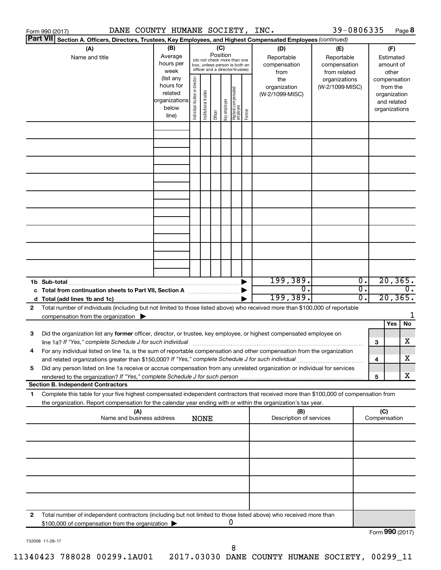|    | DANE COUNTY HUMANE SOCIETY, INC.<br>Form 990 (2017)                                                                                  |               |                                |                       |          |              |                                                              |        |                         | 39-0806335      |                  |                 |               | Page 8           |
|----|--------------------------------------------------------------------------------------------------------------------------------------|---------------|--------------------------------|-----------------------|----------|--------------|--------------------------------------------------------------|--------|-------------------------|-----------------|------------------|-----------------|---------------|------------------|
|    | <b>Part VII</b><br>Section A. Officers, Directors, Trustees, Key Employees, and Highest Compensated Employees (continued)            |               |                                |                       |          |              |                                                              |        |                         |                 |                  |                 |               |                  |
|    | (A)                                                                                                                                  | (B)           |                                |                       |          | (C)          |                                                              |        | (D)                     | (E)             |                  |                 | (F)           |                  |
|    | Name and title                                                                                                                       | Average       |                                |                       | Position |              |                                                              |        | Reportable              | Reportable      |                  |                 | Estimated     |                  |
|    |                                                                                                                                      | hours per     |                                |                       |          |              | (do not check more than one<br>box, unless person is both an |        | compensation            | compensation    |                  |                 | amount of     |                  |
|    |                                                                                                                                      | week          |                                |                       |          |              | officer and a director/trustee)                              |        | from                    | from related    |                  |                 | other         |                  |
|    |                                                                                                                                      | (list any     |                                |                       |          |              |                                                              |        | the                     | organizations   |                  |                 | compensation  |                  |
|    |                                                                                                                                      | hours for     |                                |                       |          |              |                                                              |        | organization            | (W-2/1099-MISC) |                  |                 | from the      |                  |
|    |                                                                                                                                      | related       |                                |                       |          |              |                                                              |        | (W-2/1099-MISC)         |                 |                  |                 | organization  |                  |
|    |                                                                                                                                      | organizations | Individual trustee or director | Institutional trustee |          | Key employee | Highest compensated<br>  employee                            |        |                         |                 |                  |                 | and related   |                  |
|    |                                                                                                                                      | below         |                                |                       |          |              |                                                              | Former |                         |                 |                  |                 | organizations |                  |
|    |                                                                                                                                      | line)         |                                |                       | Officer  |              |                                                              |        |                         |                 |                  |                 |               |                  |
|    |                                                                                                                                      |               |                                |                       |          |              |                                                              |        |                         |                 |                  |                 |               |                  |
|    |                                                                                                                                      |               |                                |                       |          |              |                                                              |        |                         |                 |                  |                 |               |                  |
|    |                                                                                                                                      |               |                                |                       |          |              |                                                              |        |                         |                 |                  |                 |               |                  |
|    |                                                                                                                                      |               |                                |                       |          |              |                                                              |        |                         |                 |                  |                 |               |                  |
|    |                                                                                                                                      |               |                                |                       |          |              |                                                              |        |                         |                 |                  |                 |               |                  |
|    |                                                                                                                                      |               |                                |                       |          |              |                                                              |        |                         |                 |                  |                 |               |                  |
|    |                                                                                                                                      |               |                                |                       |          |              |                                                              |        |                         |                 |                  |                 |               |                  |
|    |                                                                                                                                      |               |                                |                       |          |              |                                                              |        |                         |                 |                  |                 |               |                  |
|    |                                                                                                                                      |               |                                |                       |          |              |                                                              |        |                         |                 |                  |                 |               |                  |
|    |                                                                                                                                      |               |                                |                       |          |              |                                                              |        |                         |                 |                  |                 |               |                  |
|    |                                                                                                                                      |               |                                |                       |          |              |                                                              |        |                         |                 |                  |                 |               |                  |
|    |                                                                                                                                      |               |                                |                       |          |              |                                                              |        |                         |                 |                  |                 |               |                  |
|    |                                                                                                                                      |               |                                |                       |          |              |                                                              |        |                         |                 |                  |                 |               |                  |
|    |                                                                                                                                      |               |                                |                       |          |              |                                                              |        |                         |                 |                  |                 |               |                  |
|    |                                                                                                                                      |               |                                |                       |          |              |                                                              |        |                         |                 |                  |                 |               |                  |
|    |                                                                                                                                      |               |                                |                       |          |              |                                                              |        |                         |                 |                  |                 |               |                  |
|    |                                                                                                                                      |               |                                |                       |          |              |                                                              |        |                         |                 |                  |                 |               |                  |
|    |                                                                                                                                      |               |                                |                       |          |              |                                                              |        |                         |                 |                  |                 |               |                  |
|    |                                                                                                                                      |               |                                |                       |          |              |                                                              |        | 199, 389.               |                 | $\overline{0}$ . |                 | 20, 365.      |                  |
|    | 1b Sub-total                                                                                                                         |               |                                |                       |          |              |                                                              |        | $\overline{0}$ .        |                 | $\overline{0}$ . |                 |               | $\overline{0}$ . |
|    |                                                                                                                                      |               |                                |                       |          |              |                                                              |        | 199,389.                |                 | 0.               |                 | 20, 365.      |                  |
|    |                                                                                                                                      |               |                                |                       |          |              |                                                              |        |                         |                 |                  |                 |               |                  |
| 2  | Total number of individuals (including but not limited to those listed above) who received more than \$100,000 of reportable         |               |                                |                       |          |              |                                                              |        |                         |                 |                  |                 |               |                  |
|    | compensation from the organization $\blacktriangleright$                                                                             |               |                                |                       |          |              |                                                              |        |                         |                 |                  |                 |               | 1                |
|    |                                                                                                                                      |               |                                |                       |          |              |                                                              |        |                         |                 |                  |                 | Yes           | No               |
| 3  | Did the organization list any former officer, director, or trustee, key employee, or highest compensated employee on                 |               |                                |                       |          |              |                                                              |        |                         |                 |                  |                 |               |                  |
|    |                                                                                                                                      |               |                                |                       |          |              |                                                              |        |                         |                 |                  | 3               |               | х                |
|    | For any individual listed on line 1a, is the sum of reportable compensation and other compensation from the organization             |               |                                |                       |          |              |                                                              |        |                         |                 |                  |                 |               |                  |
|    | and related organizations greater than \$150,000? If "Yes," complete Schedule J for such individual                                  |               |                                |                       |          |              |                                                              |        |                         |                 |                  | 4               |               | х                |
| 5  | Did any person listed on line 1a receive or accrue compensation from any unrelated organization or individual for services           |               |                                |                       |          |              |                                                              |        |                         |                 |                  |                 |               |                  |
|    |                                                                                                                                      |               |                                |                       |          |              |                                                              |        |                         |                 |                  | 5               |               | х                |
|    | <b>Section B. Independent Contractors</b>                                                                                            |               |                                |                       |          |              |                                                              |        |                         |                 |                  |                 |               |                  |
| 1. | Complete this table for your five highest compensated independent contractors that received more than \$100,000 of compensation from |               |                                |                       |          |              |                                                              |        |                         |                 |                  |                 |               |                  |
|    | the organization. Report compensation for the calendar year ending with or within the organization's tax year.                       |               |                                |                       |          |              |                                                              |        |                         |                 |                  |                 |               |                  |
|    | (A)                                                                                                                                  |               |                                |                       |          |              |                                                              |        | (B)                     |                 |                  | (C)             |               |                  |
|    | Name and business address                                                                                                            |               |                                | <b>NONE</b>           |          |              |                                                              |        | Description of services |                 |                  | Compensation    |               |                  |
|    |                                                                                                                                      |               |                                |                       |          |              |                                                              |        |                         |                 |                  |                 |               |                  |
|    |                                                                                                                                      |               |                                |                       |          |              |                                                              |        |                         |                 |                  |                 |               |                  |
|    |                                                                                                                                      |               |                                |                       |          |              |                                                              |        |                         |                 |                  |                 |               |                  |
|    |                                                                                                                                      |               |                                |                       |          |              |                                                              |        |                         |                 |                  |                 |               |                  |
|    |                                                                                                                                      |               |                                |                       |          |              |                                                              |        |                         |                 |                  |                 |               |                  |
|    |                                                                                                                                      |               |                                |                       |          |              |                                                              |        |                         |                 |                  |                 |               |                  |
|    |                                                                                                                                      |               |                                |                       |          |              |                                                              |        |                         |                 |                  |                 |               |                  |
|    |                                                                                                                                      |               |                                |                       |          |              |                                                              |        |                         |                 |                  |                 |               |                  |
|    |                                                                                                                                      |               |                                |                       |          |              |                                                              |        |                         |                 |                  |                 |               |                  |
| 2  | Total number of independent contractors (including but not limited to those listed above) who received more than                     |               |                                |                       |          |              | 0                                                            |        |                         |                 |                  |                 |               |                  |
|    | \$100,000 of compensation from the organization                                                                                      |               |                                |                       |          |              |                                                              |        |                         |                 |                  |                 |               |                  |
|    |                                                                                                                                      |               |                                |                       |          |              |                                                              |        |                         |                 |                  | Form 990 (2017) |               |                  |

732008 11-28-17

8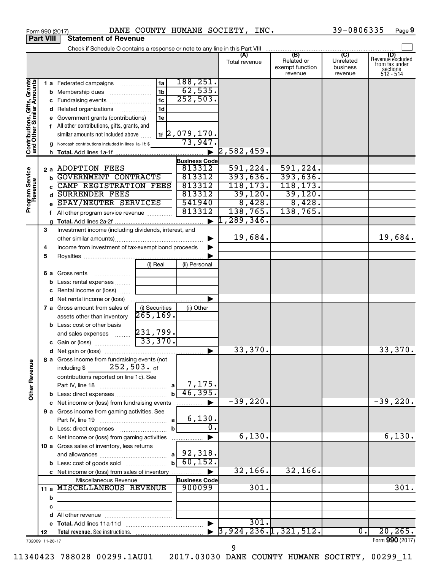|                                                           |                   |   | Form 990 (2017)                                                          | DANE COUNTY HUMANE SOCIETY, INC. |                      |          |                      |          |                                                 | 39-0806335                                         | Page 9                                                             |
|-----------------------------------------------------------|-------------------|---|--------------------------------------------------------------------------|----------------------------------|----------------------|----------|----------------------|----------|-------------------------------------------------|----------------------------------------------------|--------------------------------------------------------------------|
| <b>Part VIII</b>                                          |                   |   | <b>Statement of Revenue</b>                                              |                                  |                      |          |                      |          |                                                 |                                                    |                                                                    |
|                                                           |                   |   |                                                                          |                                  |                      |          |                      |          |                                                 |                                                    |                                                                    |
|                                                           |                   |   |                                                                          |                                  |                      |          | (A)<br>Total revenue |          | (B)<br>Related or<br>exempt function<br>revenue | $\overline{C}$<br>Unrelated<br>business<br>revenue | (D)<br>Revenue excluded<br>trom tax under<br>sections<br>512 - 514 |
|                                                           |                   |   | 1 a Federated campaigns                                                  | 1a                               | 188,251.             |          |                      |          |                                                 |                                                    |                                                                    |
| Contributions, Gifts, Grants<br>and Other Similar Amounts |                   |   | <b>b</b> Membership dues                                                 | 1 <sub>b</sub>                   | 62,535.              |          |                      |          |                                                 |                                                    |                                                                    |
|                                                           |                   |   | c Fundraising events                                                     | 1 <sub>c</sub>                   | 252,503.             |          |                      |          |                                                 |                                                    |                                                                    |
|                                                           |                   |   | d Related organizations                                                  | 1 <sub>d</sub>                   |                      |          |                      |          |                                                 |                                                    |                                                                    |
|                                                           |                   |   | e Government grants (contributions)                                      | 1e                               |                      |          |                      |          |                                                 |                                                    |                                                                    |
|                                                           |                   |   | f All other contributions, gifts, grants, and                            |                                  |                      |          |                      |          |                                                 |                                                    |                                                                    |
|                                                           |                   |   | similar amounts not included above                                       |                                  | <u>1f</u> 2,079,170. |          |                      |          |                                                 |                                                    |                                                                    |
|                                                           |                   |   | g Noncash contributions included in lines 1a-1f: \$                      |                                  | 73,947.              |          |                      |          |                                                 |                                                    |                                                                    |
|                                                           |                   |   |                                                                          |                                  |                      |          | 2,582,459.           |          |                                                 |                                                    |                                                                    |
|                                                           |                   |   |                                                                          |                                  | <b>Business Code</b> |          |                      |          |                                                 |                                                    |                                                                    |
|                                                           | 2 a ADOPTION FEES |   |                                                                          | 813312                           |                      | 591,224. |                      | 591,224. |                                                 |                                                    |                                                                    |
|                                                           |                   |   | GOVERNMENT CONTRACTS                                                     |                                  | 813312               |          | 393,636.             |          | 393,636.                                        |                                                    |                                                                    |
|                                                           |                   |   | CAMP REGISTRATION FEES                                                   |                                  | 813312               |          | 118, 173.            |          | 118, 173.                                       |                                                    |                                                                    |
|                                                           |                   |   | <b>SURRENDER FEES</b>                                                    |                                  | 813312               |          | 39,120.              |          | 39,120.                                         |                                                    |                                                                    |
| Program Service<br>Revenue                                |                   |   | SPAY/NEUTER SERVICES                                                     |                                  | 541940               |          |                      | 8,428.   | 8,428.                                          |                                                    |                                                                    |
|                                                           |                   |   | f All other program service revenue                                      |                                  | 813312               |          | 138,765.             |          | 138,765.                                        |                                                    |                                                                    |
|                                                           |                   |   |                                                                          |                                  |                      |          | $ 1$ ,289,346.       |          |                                                 |                                                    |                                                                    |
|                                                           | З                 |   | Investment income (including dividends, interest, and                    |                                  |                      |          |                      |          |                                                 |                                                    |                                                                    |
|                                                           |                   |   |                                                                          |                                  |                      | ▶        | 19,684.              |          |                                                 |                                                    | 19,684.                                                            |
|                                                           | 4                 |   | Income from investment of tax-exempt bond proceeds                       |                                  |                      |          |                      |          |                                                 |                                                    |                                                                    |
|                                                           | 5                 |   |                                                                          |                                  |                      |          |                      |          |                                                 |                                                    |                                                                    |
|                                                           |                   |   |                                                                          | (i) Real                         | (ii) Personal        |          |                      |          |                                                 |                                                    |                                                                    |
|                                                           |                   |   | <b>6 a</b> Gross rents<br>$\overline{\phantom{a}}$                       |                                  |                      |          |                      |          |                                                 |                                                    |                                                                    |
|                                                           |                   |   | <b>b</b> Less: rental expenses                                           |                                  |                      |          |                      |          |                                                 |                                                    |                                                                    |
|                                                           |                   |   | c Rental income or (loss)                                                |                                  |                      |          |                      |          |                                                 |                                                    |                                                                    |
|                                                           |                   |   | <b>d</b> Net rental income or (loss)                                     |                                  |                      |          |                      |          |                                                 |                                                    |                                                                    |
|                                                           |                   |   | <b>7 a</b> Gross amount from sales of                                    | (i) Securities<br>265, 169.      | (ii) Other           |          |                      |          |                                                 |                                                    |                                                                    |
|                                                           |                   |   | assets other than inventory                                              |                                  |                      |          |                      |          |                                                 |                                                    |                                                                    |
|                                                           |                   |   | <b>b</b> Less: cost or other basis                                       | 231,799.                         |                      |          |                      |          |                                                 |                                                    |                                                                    |
|                                                           |                   |   | and sales expenses                                                       | 33,370.                          |                      |          |                      |          |                                                 |                                                    |                                                                    |
|                                                           |                   |   | c Gain or (loss)                                                         |                                  |                      |          | 33,370.              |          |                                                 |                                                    | 33,370.                                                            |
|                                                           |                   |   |                                                                          |                                  |                      |          |                      |          |                                                 |                                                    |                                                                    |
| <b>Other Revenue</b>                                      |                   |   | 8 a Gross income from fundraising events (not<br>$252$ ,503. $_{\sf of}$ |                                  |                      |          |                      |          |                                                 |                                                    |                                                                    |
|                                                           |                   |   | including \$<br>contributions reported on line 1c). See                  |                                  |                      |          |                      |          |                                                 |                                                    |                                                                    |
|                                                           |                   |   |                                                                          |                                  | 7,175.               |          |                      |          |                                                 |                                                    |                                                                    |
|                                                           |                   |   | <b>b</b> Less: direct expenses <i></i>                                   |                                  | 46,395.              |          |                      |          |                                                 |                                                    |                                                                    |
|                                                           |                   |   | c Net income or (loss) from fundraising events                           |                                  |                      |          | $-39,220.$           |          |                                                 |                                                    | $-39,220.$                                                         |
|                                                           |                   |   | 9 a Gross income from gaming activities. See                             |                                  |                      |          |                      |          |                                                 |                                                    |                                                                    |
|                                                           |                   |   |                                                                          |                                  | 6,130.               |          |                      |          |                                                 |                                                    |                                                                    |
|                                                           |                   |   |                                                                          | $\mathbf b$                      |                      | σ.       |                      |          |                                                 |                                                    |                                                                    |
|                                                           |                   |   | c Net income or (loss) from gaming activities                            |                                  |                      |          |                      | 6,130.   |                                                 |                                                    | 6,130.                                                             |
|                                                           |                   |   | 10 a Gross sales of inventory, less returns                              |                                  |                      |          |                      |          |                                                 |                                                    |                                                                    |
|                                                           |                   |   |                                                                          |                                  |                      |          |                      |          |                                                 |                                                    |                                                                    |
|                                                           |                   |   |                                                                          | bl                               | 60, 152.             |          |                      |          |                                                 |                                                    |                                                                    |
|                                                           |                   |   | c Net income or (loss) from sales of inventory                           |                                  |                      |          | 32,166.              |          | 32, 166.                                        |                                                    |                                                                    |
|                                                           |                   |   | Miscellaneous Revenue                                                    |                                  | <b>Business Code</b> |          |                      |          |                                                 |                                                    |                                                                    |
|                                                           |                   |   | 11 a MISCELLANEOUS REVENUE                                               |                                  | 900099               |          |                      | 301.     |                                                 |                                                    | 301.                                                               |
|                                                           |                   | b |                                                                          |                                  |                      |          |                      |          |                                                 |                                                    |                                                                    |
|                                                           |                   | c |                                                                          |                                  |                      |          |                      |          |                                                 |                                                    |                                                                    |
|                                                           |                   |   |                                                                          |                                  |                      |          |                      |          |                                                 |                                                    |                                                                    |
|                                                           |                   |   |                                                                          |                                  |                      |          |                      | 301.     |                                                 |                                                    |                                                                    |
|                                                           | 12                |   |                                                                          |                                  |                      |          |                      |          | $\blacktriangleright$ 3,924,236.1,321,512.      | $\overline{0}$ .                                   | 20, 265.                                                           |
| 732009 11-28-17                                           |                   |   |                                                                          |                                  |                      |          |                      |          |                                                 |                                                    | Form 990 (2017)                                                    |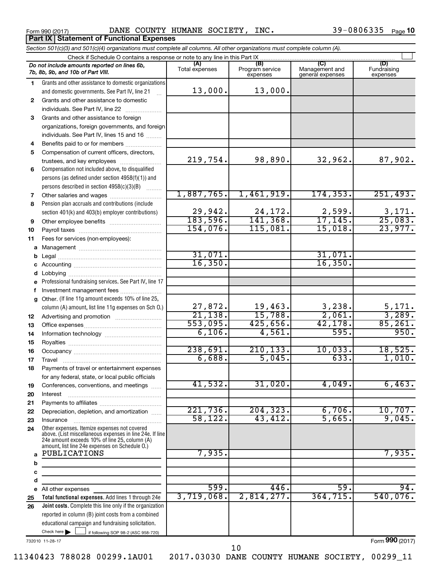**Part IX Statement of Functional Expenses**

Form 990 (2017) Page DANE COUNTY HUMANE SOCIETY, INC. 39-0806335

|              | Section 501(c)(3) and 501(c)(4) organizations must complete all columns. All other organizations must complete column (A).                                                                                  |                         |                                    |                                    |                                |
|--------------|-------------------------------------------------------------------------------------------------------------------------------------------------------------------------------------------------------------|-------------------------|------------------------------------|------------------------------------|--------------------------------|
|              | Check if Schedule O contains a response or note to any line in this Part IX                                                                                                                                 |                         |                                    |                                    |                                |
|              | Do not include amounts reported on lines 6b,<br>7b, 8b, 9b, and 10b of Part VIII.                                                                                                                           | (A)<br>Total expenses   | (B)<br>Program service<br>expenses | Management and<br>general expenses | (D)<br>Fundraising<br>expenses |
| 1.           | Grants and other assistance to domestic organizations                                                                                                                                                       |                         |                                    |                                    |                                |
|              | and domestic governments. See Part IV, line 21                                                                                                                                                              | 13,000.                 | 13,000.                            |                                    |                                |
| 2            | Grants and other assistance to domestic                                                                                                                                                                     |                         |                                    |                                    |                                |
|              | individuals. See Part IV, line 22                                                                                                                                                                           |                         |                                    |                                    |                                |
| 3            | Grants and other assistance to foreign                                                                                                                                                                      |                         |                                    |                                    |                                |
|              | organizations, foreign governments, and foreign                                                                                                                                                             |                         |                                    |                                    |                                |
|              | individuals. See Part IV, lines 15 and 16                                                                                                                                                                   |                         |                                    |                                    |                                |
| 4            | Benefits paid to or for members                                                                                                                                                                             |                         |                                    |                                    |                                |
| 5            | Compensation of current officers, directors,                                                                                                                                                                |                         |                                    |                                    |                                |
|              | trustees, and key employees                                                                                                                                                                                 | 219,754.                | 98,890.                            | 32,962.                            | 87,902.                        |
| 6            | Compensation not included above, to disqualified                                                                                                                                                            |                         |                                    |                                    |                                |
|              | persons (as defined under section 4958(f)(1)) and                                                                                                                                                           |                         |                                    |                                    |                                |
|              | persons described in section 4958(c)(3)(B)                                                                                                                                                                  |                         |                                    |                                    |                                |
| 7            | Other salaries and wages                                                                                                                                                                                    | 1,887,765.              | 1,461,919.                         | 174, 353.                          | 251,493.                       |
| 8            | Pension plan accruals and contributions (include                                                                                                                                                            |                         |                                    |                                    |                                |
|              | section 401(k) and 403(b) employer contributions)                                                                                                                                                           | 29,942.                 | 24,172.                            | $\frac{2,599}{17,145}$             | $\frac{3,171}{25,083}$         |
| 9            | Other employee benefits                                                                                                                                                                                     | 183,596.                | 141,368.<br>115,081.               |                                    |                                |
| 10           |                                                                                                                                                                                                             | 154,076.                |                                    | 15,018.                            | 23,977.                        |
| 11           | Fees for services (non-employees):                                                                                                                                                                          |                         |                                    |                                    |                                |
| a            |                                                                                                                                                                                                             | 31,071.                 |                                    | 31,071.                            |                                |
| b            |                                                                                                                                                                                                             | 16, 350.                |                                    | 16,350.                            |                                |
|              |                                                                                                                                                                                                             |                         |                                    |                                    |                                |
| d            |                                                                                                                                                                                                             |                         |                                    |                                    |                                |
|              | Professional fundraising services. See Part IV, line 17                                                                                                                                                     |                         |                                    |                                    |                                |
|              | Investment management fees                                                                                                                                                                                  |                         |                                    |                                    |                                |
| $\mathbf{a}$ | Other. (If line 11g amount exceeds 10% of line 25,                                                                                                                                                          |                         | 19,463.                            |                                    |                                |
|              | column (A) amount, list line 11g expenses on Sch O.)                                                                                                                                                        | $\frac{27,872}{21,138}$ | 15,788.                            | $\frac{3,238}{2,061}$              | $\frac{5,171}{3,289}$ .        |
| 12           |                                                                                                                                                                                                             | 553,095.                | 425,656.                           | 42, 178.                           | 85,261.                        |
| 13           |                                                                                                                                                                                                             | 6,106.                  | 4,561.                             | 595.                               | 950.                           |
| 14<br>15     |                                                                                                                                                                                                             |                         |                                    |                                    |                                |
| 16           |                                                                                                                                                                                                             | 238,691.                | 210, 133.                          | 10,033.                            | 18,525.                        |
| 17           |                                                                                                                                                                                                             | 6,688.                  | 5,045.                             | 633.                               | 1,010.                         |
| 18           | Payments of travel or entertainment expenses                                                                                                                                                                |                         |                                    |                                    |                                |
|              | for any federal, state, or local public officials                                                                                                                                                           |                         |                                    |                                    |                                |
| 19           | Conferences, conventions, and meetings                                                                                                                                                                      | 41,532.                 | 31,020.                            | 4,049.                             | 6,463.                         |
| 20           | Interest                                                                                                                                                                                                    |                         |                                    |                                    |                                |
| 21           |                                                                                                                                                                                                             |                         |                                    |                                    |                                |
| 22           | Depreciation, depletion, and amortization                                                                                                                                                                   | 221,736.                | 204, 323.                          | 6,706.                             | 10,707.                        |
| 23           | Insurance                                                                                                                                                                                                   | 58, 122.                | 43, 412.                           | 5,665.                             | 9,045.                         |
| 24           | Other expenses. Itemize expenses not covered<br>above. (List miscellaneous expenses in line 24e. If line<br>24e amount exceeds 10% of line 25, column (A)<br>amount, list line 24e expenses on Schedule O.) |                         |                                    |                                    |                                |
| a            | PUBLICATIONS                                                                                                                                                                                                | 7,935.                  |                                    |                                    | 7,935.                         |
| b            |                                                                                                                                                                                                             |                         |                                    |                                    |                                |
| с            |                                                                                                                                                                                                             |                         |                                    |                                    |                                |
| d            |                                                                                                                                                                                                             |                         |                                    |                                    |                                |
| е            | All other expenses                                                                                                                                                                                          | 599.                    | 446.                               | 59.                                | 94.                            |
| 25           | Total functional expenses. Add lines 1 through 24e                                                                                                                                                          | 3,719,068.              | 2,814,277.                         | 364, 715.                          | 540,076.                       |
| 26           | Joint costs. Complete this line only if the organization                                                                                                                                                    |                         |                                    |                                    |                                |
|              | reported in column (B) joint costs from a combined                                                                                                                                                          |                         |                                    |                                    |                                |
|              | educational campaign and fundraising solicitation.                                                                                                                                                          |                         |                                    |                                    |                                |
|              | Check here $\blacktriangleright$<br>if following SOP 98-2 (ASC 958-720)                                                                                                                                     |                         |                                    |                                    |                                |

732010 11-28-17

Form (2017) **990**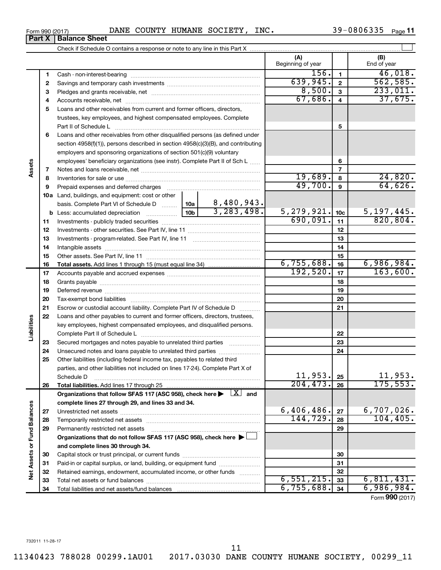|                      |    | Part II of Schedule L                                                                                |                 |              |              | 5               |                                     |  |  |  |  |
|----------------------|----|------------------------------------------------------------------------------------------------------|-----------------|--------------|--------------|-----------------|-------------------------------------|--|--|--|--|
|                      | 6  | Loans and other receivables from other disqualified persons (as defined under                        |                 |              |              |                 |                                     |  |  |  |  |
|                      |    | section $4958(f)(1)$ , persons described in section $4958(c)(3)(B)$ , and contributing               |                 |              |              |                 |                                     |  |  |  |  |
|                      |    | employers and sponsoring organizations of section 501(c)(9) voluntary                                |                 |              |              |                 |                                     |  |  |  |  |
|                      |    | employees' beneficiary organizations (see instr). Complete Part II of Sch L                          |                 |              |              | 6               |                                     |  |  |  |  |
| Assets               | 7  |                                                                                                      |                 |              |              | $\overline{7}$  |                                     |  |  |  |  |
|                      | 8  |                                                                                                      |                 |              | 19,689.      | 8               | 24,820.                             |  |  |  |  |
|                      | 9  | Prepaid expenses and deferred charges                                                                |                 |              | 49,700.      | 9               | 64,626.                             |  |  |  |  |
|                      |    | 10a Land, buildings, and equipment: cost or other                                                    |                 |              |              |                 |                                     |  |  |  |  |
|                      |    | basis. Complete Part VI of Schedule D                                                                | 10a             | 8,480,943.   |              |                 |                                     |  |  |  |  |
|                      |    | <b>b</b> Less: accumulated depreciation                                                              | 10 <sub>b</sub> | 3, 283, 498. | 5, 279, 921. | 10 <sub>c</sub> | 5,197,445.                          |  |  |  |  |
|                      | 11 |                                                                                                      |                 |              | 690,091.     | 11              |                                     |  |  |  |  |
|                      | 12 |                                                                                                      |                 |              | 12           |                 |                                     |  |  |  |  |
|                      | 13 |                                                                                                      |                 |              |              | 13              |                                     |  |  |  |  |
|                      | 14 |                                                                                                      |                 |              |              | 14              |                                     |  |  |  |  |
|                      | 15 |                                                                                                      |                 |              |              | 15              |                                     |  |  |  |  |
|                      | 16 |                                                                                                      |                 |              | 6,755,688.   | 16              | 820, 804.<br>6,986,984.<br>163,600. |  |  |  |  |
|                      | 17 |                                                                                                      |                 | 192,520.     | 17           |                 |                                     |  |  |  |  |
|                      | 18 |                                                                                                      |                 |              |              | 18              |                                     |  |  |  |  |
|                      | 19 |                                                                                                      |                 |              |              | 19              |                                     |  |  |  |  |
|                      | 20 |                                                                                                      |                 |              |              | 20              |                                     |  |  |  |  |
|                      | 21 | Escrow or custodial account liability. Complete Part IV of Schedule D                                |                 |              |              | 21              |                                     |  |  |  |  |
|                      | 22 | Loans and other payables to current and former officers, directors, trustees,                        |                 |              |              |                 |                                     |  |  |  |  |
| Liabilities          |    | key employees, highest compensated employees, and disqualified persons.                              |                 |              |              |                 |                                     |  |  |  |  |
|                      |    |                                                                                                      |                 | 22           |              |                 |                                     |  |  |  |  |
|                      | 23 | Secured mortgages and notes payable to unrelated third parties                                       |                 | 23           |              |                 |                                     |  |  |  |  |
|                      | 24 | Unsecured notes and loans payable to unrelated third parties                                         |                 |              |              | 24              |                                     |  |  |  |  |
|                      | 25 | Other liabilities (including federal income tax, payables to related third                           |                 |              |              |                 |                                     |  |  |  |  |
|                      |    | parties, and other liabilities not included on lines 17-24). Complete Part X of                      |                 |              |              |                 |                                     |  |  |  |  |
|                      |    | Schedule D                                                                                           |                 |              | 11,953.      | 25              | 11,953.                             |  |  |  |  |
|                      | 26 |                                                                                                      |                 |              | 204, 473.    | 26              | 175, 553.                           |  |  |  |  |
|                      |    | Organizations that follow SFAS 117 (ASC 958), check here $\blacktriangleright \lfloor X \rfloor$ and |                 |              |              |                 |                                     |  |  |  |  |
|                      |    | complete lines 27 through 29, and lines 33 and 34.                                                   |                 |              |              |                 |                                     |  |  |  |  |
|                      | 27 |                                                                                                      |                 |              | 6,406,486.   | 27              | 6,707,026.                          |  |  |  |  |
|                      | 28 |                                                                                                      |                 |              | 144,729.     | 28              | 104, 405.                           |  |  |  |  |
| <b>Fund Balances</b> | 29 | Permanently restricted net assets                                                                    |                 |              |              | 29              |                                     |  |  |  |  |
|                      |    | Organizations that do not follow SFAS 117 (ASC 958), check here $\blacktriangleright$                |                 |              |              |                 |                                     |  |  |  |  |
| $\bf \delta$         |    | and complete lines 30 through 34.                                                                    |                 |              |              |                 |                                     |  |  |  |  |
|                      | 30 |                                                                                                      |                 |              |              | 30              |                                     |  |  |  |  |
| <b>Net Assets</b>    | 31 | Paid-in or capital surplus, or land, building, or equipment fund                                     |                 |              |              | 31              |                                     |  |  |  |  |
|                      | 32 | Retained earnings, endowment, accumulated income, or other funds                                     |                 |              |              | 32              |                                     |  |  |  |  |
|                      | 33 |                                                                                                      |                 | 6,551,215.   | 33           | 6,811,431.      |                                     |  |  |  |  |
|                      | 34 | Total liabilities and net assets/fund balances                                                       |                 |              | 6,755,688.   | 34              | 6,986,984.                          |  |  |  |  |
|                      |    |                                                                                                      |                 |              |              |                 | Form 990 (2017)                     |  |  |  |  |

#### Form 990 (2017) DANE COUNTY HUMANE SOCIETY, INC.  $39-0806335$  Page **Part X** | **Balance Sheet**

 Cash - non-interest-bearing ~~~~~~~~~~~~~~~~~~~~~~~~~ Savings and temporary cash investments ~~~~~~~~~~~~~~~~~~ Pledges and grants receivable, net ~~~~~~~~~~~~~~~~~~~~~ Accounts receivable, net ~~~~~~~~~~~~~~~~~~~~~~~~~~ Loans and other receivables from current and former officers, directors,

trustees, key employees, and highest compensated employees. Complete

Check if Schedule O contains a response or note to any line in this Part X

 $\perp$ 

233,011**.** 

 $156. | 1 | 46,018.$ 

**(A) (B)**

Beginning of year  $\begin{array}{|c|c|c|c|c|}\n\hline\n\end{array}$  End of year

639,945. 2 562,585<br>8,500. 3 233,011

67,686. 37,675.

11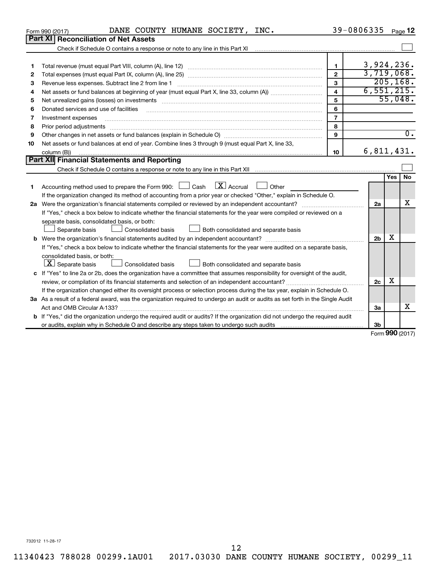|    | DANE COUNTY HUMANE SOCIETY, INC.<br>Form 990 (2017)                                                                                                                                                                            | 39-0806335              |                |     | Page 12          |
|----|--------------------------------------------------------------------------------------------------------------------------------------------------------------------------------------------------------------------------------|-------------------------|----------------|-----|------------------|
|    | <b>Part XI Reconciliation of Net Assets</b>                                                                                                                                                                                    |                         |                |     |                  |
|    | Check if Schedule O contains a response or note to any line in this Part XI [11] [12] Check if Schedule O contains a response or note to any line in this Part XI                                                              |                         |                |     |                  |
|    |                                                                                                                                                                                                                                |                         |                |     |                  |
| 1  |                                                                                                                                                                                                                                | $\mathbf{1}$            | 3,924,236.     |     |                  |
| 2  |                                                                                                                                                                                                                                | $\overline{2}$          | 3,719,068.     |     |                  |
| з  |                                                                                                                                                                                                                                | 3                       |                |     | 205, 168.        |
| 4  |                                                                                                                                                                                                                                | $\overline{\mathbf{4}}$ | 6,551,215.     |     |                  |
| 5  | Net unrealized gains (losses) on investments [11] matter than the control of the state of the state of the state of the state of the state of the state of the state of the state of the state of the state of the state of th | 5                       |                |     | 55,048.          |
| 6  |                                                                                                                                                                                                                                | 6                       |                |     |                  |
| 7  | Investment expenses                                                                                                                                                                                                            | $\overline{7}$          |                |     |                  |
| 8  | Prior period adjustments                                                                                                                                                                                                       | 8                       |                |     |                  |
| 9  |                                                                                                                                                                                                                                | 9                       |                |     | $\overline{0}$ . |
| 10 | Net assets or fund balances at end of year. Combine lines 3 through 9 (must equal Part X, line 33,                                                                                                                             |                         |                |     |                  |
|    | column (B))                                                                                                                                                                                                                    | 10                      | 6,811,431.     |     |                  |
|    | Part XII Financial Statements and Reporting                                                                                                                                                                                    |                         |                |     |                  |
|    |                                                                                                                                                                                                                                |                         |                |     |                  |
|    |                                                                                                                                                                                                                                |                         |                | Yes | <b>No</b>        |
| 1  | $\lfloor x \rfloor$ Accrual<br>Accounting method used to prepare the Form 990: [130] Cash<br>Other                                                                                                                             |                         |                |     |                  |
|    | If the organization changed its method of accounting from a prior year or checked "Other," explain in Schedule O.                                                                                                              |                         |                |     |                  |
|    |                                                                                                                                                                                                                                |                         | 2a             |     | x                |
|    | If "Yes," check a box below to indicate whether the financial statements for the year were compiled or reviewed on a                                                                                                           |                         |                |     |                  |
|    | separate basis, consolidated basis, or both:                                                                                                                                                                                   |                         |                |     |                  |
|    | Consolidated basis<br>Separate basis<br>Both consolidated and separate basis                                                                                                                                                   |                         |                |     |                  |
|    |                                                                                                                                                                                                                                |                         | 2 <sub>b</sub> | х   |                  |
|    | If "Yes," check a box below to indicate whether the financial statements for the year were audited on a separate basis,                                                                                                        |                         |                |     |                  |
|    | consolidated basis, or both:                                                                                                                                                                                                   |                         |                |     |                  |
|    | $ \mathbf{X} $ Separate basis<br>Both consolidated and separate basis<br><b>Consolidated basis</b>                                                                                                                             |                         |                |     |                  |
|    | c If "Yes" to line 2a or 2b, does the organization have a committee that assumes responsibility for oversight of the audit,                                                                                                    |                         |                |     |                  |
|    |                                                                                                                                                                                                                                |                         | 2c             | х   |                  |
|    | If the organization changed either its oversight process or selection process during the tax year, explain in Schedule O.                                                                                                      |                         |                |     |                  |
|    | 3a As a result of a federal award, was the organization required to undergo an audit or audits as set forth in the Single Audit                                                                                                |                         |                |     |                  |
|    |                                                                                                                                                                                                                                |                         | За             |     | x                |
|    | b If "Yes," did the organization undergo the required audit or audits? If the organization did not undergo the required audit                                                                                                  |                         |                |     |                  |
|    |                                                                                                                                                                                                                                |                         | 3b             |     |                  |
|    |                                                                                                                                                                                                                                |                         |                |     | Form 990 (2017)  |

732012 11-28-17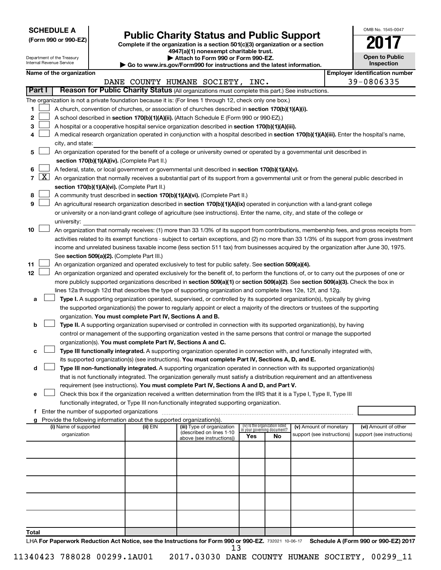| <b>SCHEDULE A</b> |  |
|-------------------|--|
|-------------------|--|

| (Form 990 or 990-EZ) |  |  |  |  |  |  |
|----------------------|--|--|--|--|--|--|
|----------------------|--|--|--|--|--|--|

# **Public Charity Status and Public Support**<br> **Addition is a section 501(c)(3) organization or a section**<br>  $4947(a)(1)$  nonexempt charitable trust.

**(Form 990 or 990-EZ) Complete if the organization is a section 501(c)(3) organization or a section**

| OMB No. 1545-0047                   |
|-------------------------------------|
|                                     |
| <b>Open to Public</b><br>Inspection |

|       |        | Department of the Treasury<br>Internal Revenue Service |                                               |                                                                          | Attach to Form 990 or Form 990-EZ.<br>$\blacktriangleright$ Go to www.irs.gov/Form990 for instructions and the latest information.                                                                                                                 |     |                                                                |                            |  | <b>Open to Public</b><br>Inspection   |
|-------|--------|--------------------------------------------------------|-----------------------------------------------|--------------------------------------------------------------------------|----------------------------------------------------------------------------------------------------------------------------------------------------------------------------------------------------------------------------------------------------|-----|----------------------------------------------------------------|----------------------------|--|---------------------------------------|
|       |        | Name of the organization                               |                                               |                                                                          |                                                                                                                                                                                                                                                    |     |                                                                |                            |  | <b>Employer identification number</b> |
|       |        |                                                        |                                               |                                                                          | DANE COUNTY HUMANE SOCIETY, INC.                                                                                                                                                                                                                   |     |                                                                |                            |  | 39-0806335                            |
|       | Part I |                                                        |                                               |                                                                          | Reason for Public Charity Status (All organizations must complete this part.) See instructions.                                                                                                                                                    |     |                                                                |                            |  |                                       |
|       |        |                                                        |                                               |                                                                          | The organization is not a private foundation because it is: (For lines 1 through 12, check only one box.)                                                                                                                                          |     |                                                                |                            |  |                                       |
| 1     |        |                                                        |                                               |                                                                          | A church, convention of churches, or association of churches described in section 170(b)(1)(A)(i).                                                                                                                                                 |     |                                                                |                            |  |                                       |
| 2     |        |                                                        |                                               |                                                                          | A school described in section 170(b)(1)(A)(ii). (Attach Schedule E (Form 990 or 990-EZ).)                                                                                                                                                          |     |                                                                |                            |  |                                       |
| 3     |        |                                                        |                                               |                                                                          | A hospital or a cooperative hospital service organization described in section 170(b)(1)(A)(iii).                                                                                                                                                  |     |                                                                |                            |  |                                       |
| 4     |        |                                                        |                                               |                                                                          | A medical research organization operated in conjunction with a hospital described in section 170(b)(1)(A)(iii). Enter the hospital's name,                                                                                                         |     |                                                                |                            |  |                                       |
|       |        | city, and state:                                       |                                               |                                                                          |                                                                                                                                                                                                                                                    |     |                                                                |                            |  |                                       |
| 5     |        |                                                        |                                               |                                                                          | An organization operated for the benefit of a college or university owned or operated by a governmental unit described in                                                                                                                          |     |                                                                |                            |  |                                       |
|       |        |                                                        |                                               | section 170(b)(1)(A)(iv). (Complete Part II.)                            |                                                                                                                                                                                                                                                    |     |                                                                |                            |  |                                       |
| 6     |        |                                                        |                                               |                                                                          | A federal, state, or local government or governmental unit described in section 170(b)(1)(A)(v).                                                                                                                                                   |     |                                                                |                            |  |                                       |
|       | 7   X  |                                                        |                                               |                                                                          | An organization that normally receives a substantial part of its support from a governmental unit or from the general public described in                                                                                                          |     |                                                                |                            |  |                                       |
|       |        |                                                        |                                               | section 170(b)(1)(A)(vi). (Complete Part II.)                            |                                                                                                                                                                                                                                                    |     |                                                                |                            |  |                                       |
| 8     |        |                                                        |                                               |                                                                          | A community trust described in section 170(b)(1)(A)(vi). (Complete Part II.)                                                                                                                                                                       |     |                                                                |                            |  |                                       |
| 9     |        |                                                        |                                               |                                                                          | An agricultural research organization described in section 170(b)(1)(A)(ix) operated in conjunction with a land-grant college                                                                                                                      |     |                                                                |                            |  |                                       |
|       |        |                                                        |                                               |                                                                          | or university or a non-land-grant college of agriculture (see instructions). Enter the name, city, and state of the college or                                                                                                                     |     |                                                                |                            |  |                                       |
|       |        | university:                                            |                                               |                                                                          |                                                                                                                                                                                                                                                    |     |                                                                |                            |  |                                       |
| 10    |        |                                                        |                                               |                                                                          | An organization that normally receives: (1) more than 33 1/3% of its support from contributions, membership fees, and gross receipts from                                                                                                          |     |                                                                |                            |  |                                       |
|       |        |                                                        |                                               |                                                                          | activities related to its exempt functions - subject to certain exceptions, and (2) no more than 33 1/3% of its support from gross investment                                                                                                      |     |                                                                |                            |  |                                       |
|       |        |                                                        |                                               |                                                                          | income and unrelated business taxable income (less section 511 tax) from businesses acquired by the organization after June 30, 1975.                                                                                                              |     |                                                                |                            |  |                                       |
| 11    |        |                                                        |                                               | See section 509(a)(2). (Complete Part III.)                              |                                                                                                                                                                                                                                                    |     |                                                                |                            |  |                                       |
| 12    |        |                                                        |                                               |                                                                          | An organization organized and operated exclusively to test for public safety. See section 509(a)(4).<br>An organization organized and operated exclusively for the benefit of, to perform the functions of, or to carry out the purposes of one or |     |                                                                |                            |  |                                       |
|       |        |                                                        |                                               |                                                                          | more publicly supported organizations described in section 509(a)(1) or section 509(a)(2). See section 509(a)(3). Check the box in                                                                                                                 |     |                                                                |                            |  |                                       |
|       |        |                                                        |                                               |                                                                          | lines 12a through 12d that describes the type of supporting organization and complete lines 12e, 12f, and 12g.                                                                                                                                     |     |                                                                |                            |  |                                       |
| a     |        |                                                        |                                               |                                                                          | Type I. A supporting organization operated, supervised, or controlled by its supported organization(s), typically by giving                                                                                                                        |     |                                                                |                            |  |                                       |
|       |        |                                                        |                                               |                                                                          | the supported organization(s) the power to regularly appoint or elect a majority of the directors or trustees of the supporting                                                                                                                    |     |                                                                |                            |  |                                       |
|       |        |                                                        |                                               | organization. You must complete Part IV, Sections A and B.               |                                                                                                                                                                                                                                                    |     |                                                                |                            |  |                                       |
| b     |        |                                                        |                                               |                                                                          | Type II. A supporting organization supervised or controlled in connection with its supported organization(s), by having                                                                                                                            |     |                                                                |                            |  |                                       |
|       |        |                                                        |                                               |                                                                          | control or management of the supporting organization vested in the same persons that control or manage the supported                                                                                                                               |     |                                                                |                            |  |                                       |
|       |        |                                                        |                                               | organization(s). You must complete Part IV, Sections A and C.            |                                                                                                                                                                                                                                                    |     |                                                                |                            |  |                                       |
| с     |        |                                                        |                                               |                                                                          | Type III functionally integrated. A supporting organization operated in connection with, and functionally integrated with,                                                                                                                         |     |                                                                |                            |  |                                       |
|       |        |                                                        |                                               |                                                                          | its supported organization(s) (see instructions). You must complete Part IV, Sections A, D, and E.                                                                                                                                                 |     |                                                                |                            |  |                                       |
| d     |        |                                                        |                                               |                                                                          | Type III non-functionally integrated. A supporting organization operated in connection with its supported organization(s)                                                                                                                          |     |                                                                |                            |  |                                       |
|       |        |                                                        |                                               |                                                                          | that is not functionally integrated. The organization generally must satisfy a distribution requirement and an attentiveness                                                                                                                       |     |                                                                |                            |  |                                       |
|       |        |                                                        |                                               |                                                                          | requirement (see instructions). You must complete Part IV, Sections A and D, and Part V.                                                                                                                                                           |     |                                                                |                            |  |                                       |
| е     |        |                                                        |                                               |                                                                          | Check this box if the organization received a written determination from the IRS that it is a Type I, Type II, Type III                                                                                                                            |     |                                                                |                            |  |                                       |
|       |        |                                                        |                                               |                                                                          | functionally integrated, or Type III non-functionally integrated supporting organization.                                                                                                                                                          |     |                                                                |                            |  |                                       |
|       |        |                                                        | f Enter the number of supported organizations |                                                                          |                                                                                                                                                                                                                                                    |     |                                                                |                            |  |                                       |
|       |        |                                                        |                                               | g Provide the following information about the supported organization(s). |                                                                                                                                                                                                                                                    |     |                                                                |                            |  |                                       |
|       |        | (i) Name of supported                                  |                                               | (ii) EIN                                                                 | (iii) Type of organization                                                                                                                                                                                                                         |     | (iv) Is the organization listed<br>in your governing document? | (v) Amount of monetary     |  | (vi) Amount of other                  |
|       |        | organization                                           |                                               |                                                                          | (described on lines 1-10<br>above (see instructions))                                                                                                                                                                                              | Yes | No                                                             | support (see instructions) |  | support (see instructions)            |
|       |        |                                                        |                                               |                                                                          |                                                                                                                                                                                                                                                    |     |                                                                |                            |  |                                       |
|       |        |                                                        |                                               |                                                                          |                                                                                                                                                                                                                                                    |     |                                                                |                            |  |                                       |
|       |        |                                                        |                                               |                                                                          |                                                                                                                                                                                                                                                    |     |                                                                |                            |  |                                       |
|       |        |                                                        |                                               |                                                                          |                                                                                                                                                                                                                                                    |     |                                                                |                            |  |                                       |
|       |        |                                                        |                                               |                                                                          |                                                                                                                                                                                                                                                    |     |                                                                |                            |  |                                       |
|       |        |                                                        |                                               |                                                                          |                                                                                                                                                                                                                                                    |     |                                                                |                            |  |                                       |
|       |        |                                                        |                                               |                                                                          |                                                                                                                                                                                                                                                    |     |                                                                |                            |  |                                       |
|       |        |                                                        |                                               |                                                                          |                                                                                                                                                                                                                                                    |     |                                                                |                            |  |                                       |
|       |        |                                                        |                                               |                                                                          |                                                                                                                                                                                                                                                    |     |                                                                |                            |  |                                       |
|       |        |                                                        |                                               |                                                                          |                                                                                                                                                                                                                                                    |     |                                                                |                            |  |                                       |
| Total |        |                                                        |                                               |                                                                          |                                                                                                                                                                                                                                                    |     |                                                                |                            |  |                                       |

LHA For Paperwork Reduction Act Notice, see the Instructions for Form 990 or 990-EZ. 732021 10-06-17 Schedule A (Form 990 or 990-EZ) 2017 13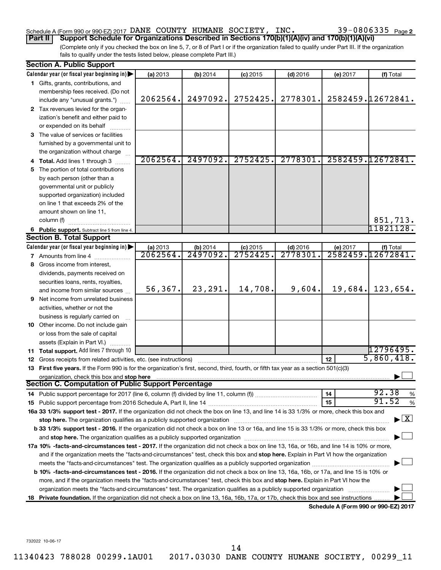### Schedule A (Form 990 or 990-EZ) 2017 DANE COUNTY HUMANE SOCIETY, INC.  $39-0806335$   $_{\rm Page}$

(Complete only if you checked the box on line 5, 7, or 8 of Part I or if the organization failed to qualify under Part III. If the organization **Part II Support Schedule for Organizations Described in Sections 170(b)(1)(A)(iv) and 170(b)(1)(A)(vi)**

fails to qualify under the tests listed below, please complete Part III.)

|     | <b>Section A. Public Support</b>                                                                                                                                                                                               |          |                      |            |            |          |                                      |  |  |
|-----|--------------------------------------------------------------------------------------------------------------------------------------------------------------------------------------------------------------------------------|----------|----------------------|------------|------------|----------|--------------------------------------|--|--|
|     | Calendar year (or fiscal year beginning in)                                                                                                                                                                                    | (a) 2013 | (b) 2014             | $(c)$ 2015 | $(d)$ 2016 | (e) 2017 | (f) Total                            |  |  |
|     | 1 Gifts, grants, contributions, and                                                                                                                                                                                            |          |                      |            |            |          |                                      |  |  |
|     | membership fees received. (Do not                                                                                                                                                                                              |          |                      |            |            |          |                                      |  |  |
|     | include any "unusual grants.")                                                                                                                                                                                                 | 2062564. | 2497092.             | 2752425.   | 2778301.   |          | 2582459.12672841.                    |  |  |
|     | 2 Tax revenues levied for the organ-                                                                                                                                                                                           |          |                      |            |            |          |                                      |  |  |
|     | ization's benefit and either paid to                                                                                                                                                                                           |          |                      |            |            |          |                                      |  |  |
|     | or expended on its behalf                                                                                                                                                                                                      |          |                      |            |            |          |                                      |  |  |
|     | 3 The value of services or facilities                                                                                                                                                                                          |          |                      |            |            |          |                                      |  |  |
|     | furnished by a governmental unit to                                                                                                                                                                                            |          |                      |            |            |          |                                      |  |  |
|     | the organization without charge                                                                                                                                                                                                |          |                      |            |            |          |                                      |  |  |
|     | 4 Total. Add lines 1 through 3                                                                                                                                                                                                 | 2062564. | 2497092.             | 2752425.   | 2778301.   |          | 2582459.12672841.                    |  |  |
| 5   | The portion of total contributions                                                                                                                                                                                             |          |                      |            |            |          |                                      |  |  |
|     | by each person (other than a                                                                                                                                                                                                   |          |                      |            |            |          |                                      |  |  |
|     | governmental unit or publicly                                                                                                                                                                                                  |          |                      |            |            |          |                                      |  |  |
|     | supported organization) included                                                                                                                                                                                               |          |                      |            |            |          |                                      |  |  |
|     | on line 1 that exceeds 2% of the                                                                                                                                                                                               |          |                      |            |            |          |                                      |  |  |
|     | amount shown on line 11,                                                                                                                                                                                                       |          |                      |            |            |          |                                      |  |  |
|     | column (f)                                                                                                                                                                                                                     |          |                      |            |            |          | 851,713.                             |  |  |
|     | 6 Public support. Subtract line 5 from line 4.                                                                                                                                                                                 |          |                      |            |            |          | 11821128.                            |  |  |
|     | <b>Section B. Total Support</b>                                                                                                                                                                                                |          |                      |            |            |          |                                      |  |  |
|     | Calendar year (or fiscal year beginning in)                                                                                                                                                                                    | (a) 2013 | (b) 2014             | $(c)$ 2015 | $(d)$ 2016 | (e) 2017 | (f) Total                            |  |  |
|     | 7 Amounts from line 4                                                                                                                                                                                                          | 2062564. | $\overline{2497092}$ | 2752425    | 2778301    |          | 2582459.12672841.                    |  |  |
| 8   | Gross income from interest.                                                                                                                                                                                                    |          |                      |            |            |          |                                      |  |  |
|     | dividends, payments received on                                                                                                                                                                                                |          |                      |            |            |          |                                      |  |  |
|     | securities loans, rents, royalties,                                                                                                                                                                                            |          |                      |            |            |          |                                      |  |  |
|     | and income from similar sources                                                                                                                                                                                                | 56,367.  | 23,291.              | 14,708.    | 9,604.     | 19,684.  | 123,654.                             |  |  |
| 9   | Net income from unrelated business                                                                                                                                                                                             |          |                      |            |            |          |                                      |  |  |
|     | activities, whether or not the                                                                                                                                                                                                 |          |                      |            |            |          |                                      |  |  |
|     | business is regularly carried on                                                                                                                                                                                               |          |                      |            |            |          |                                      |  |  |
| 10  | Other income. Do not include gain                                                                                                                                                                                              |          |                      |            |            |          |                                      |  |  |
|     | or loss from the sale of capital                                                                                                                                                                                               |          |                      |            |            |          |                                      |  |  |
|     | assets (Explain in Part VI.)                                                                                                                                                                                                   |          |                      |            |            |          |                                      |  |  |
|     | <b>11 Total support.</b> Add lines 7 through 10                                                                                                                                                                                |          |                      |            |            |          | 12796495.                            |  |  |
| 12  | Gross receipts from related activities, etc. (see instructions)                                                                                                                                                                |          |                      |            |            | 12       | 5,860,418.                           |  |  |
|     | 13 First five years. If the Form 990 is for the organization's first, second, third, fourth, or fifth tax year as a section 501(c)(3)                                                                                          |          |                      |            |            |          |                                      |  |  |
|     | organization, check this box and stop here                                                                                                                                                                                     |          |                      |            |            |          |                                      |  |  |
|     | Section C. Computation of Public Support Percentage                                                                                                                                                                            |          |                      |            |            |          |                                      |  |  |
|     |                                                                                                                                                                                                                                |          |                      |            |            | 14       | 92.38<br>%                           |  |  |
|     |                                                                                                                                                                                                                                |          |                      |            |            | 15       | 91.52<br>%                           |  |  |
|     | 16a 33 1/3% support test - 2017. If the organization did not check the box on line 13, and line 14 is 33 1/3% or more, check this box and                                                                                      |          |                      |            |            |          |                                      |  |  |
|     | stop here. The organization qualifies as a publicly supported organization manufaction manufacture content and the state of the state of the state of the state of the state of the state of the state of the state of the sta |          |                      |            |            |          | $\blacktriangleright$ $\mathbf{X}$   |  |  |
|     | b 33 1/3% support test - 2016. If the organization did not check a box on line 13 or 16a, and line 15 is 33 1/3% or more, check this box                                                                                       |          |                      |            |            |          |                                      |  |  |
|     |                                                                                                                                                                                                                                |          |                      |            |            |          |                                      |  |  |
|     | 17a 10% -facts-and-circumstances test - 2017. If the organization did not check a box on line 13, 16a, or 16b, and line 14 is 10% or more,                                                                                     |          |                      |            |            |          |                                      |  |  |
|     | and if the organization meets the "facts-and-circumstances" test, check this box and stop here. Explain in Part VI how the organization                                                                                        |          |                      |            |            |          |                                      |  |  |
|     |                                                                                                                                                                                                                                |          |                      |            |            |          |                                      |  |  |
|     | <b>b 10%</b> -facts-and-circumstances test - 2016. If the organization did not check a box on line 13, 16a, 16b, or 17a, and line 15 is 10% or                                                                                 |          |                      |            |            |          |                                      |  |  |
|     | more, and if the organization meets the "facts-and-circumstances" test, check this box and stop here. Explain in Part VI how the                                                                                               |          |                      |            |            |          |                                      |  |  |
|     | organization meets the "facts-and-circumstances" test. The organization qualifies as a publicly supported organization                                                                                                         |          |                      |            |            |          |                                      |  |  |
| 18. | Private foundation. If the organization did not check a box on line 13, 16a, 16b, 17a, or 17b, check this box and see instructions.                                                                                            |          |                      |            |            |          |                                      |  |  |
|     |                                                                                                                                                                                                                                |          |                      |            |            |          | Schedule A (Form 990 or 990-EZ) 2017 |  |  |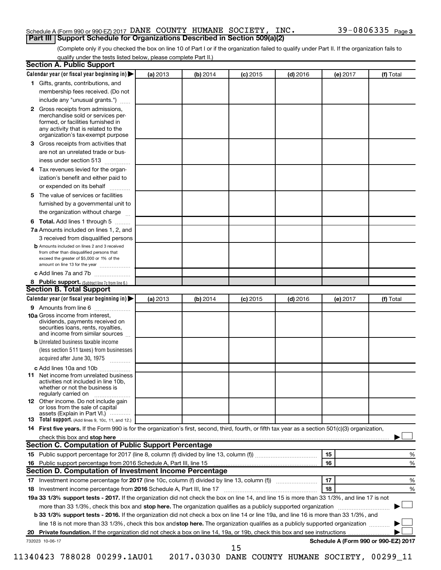#### Schedule A (Form 990 or 990-EZ) 2017 DANE COUNTY HUMANE SOCIETY, INC.  $39-0806335$   $_{\rm Page}$ **Part III Support Schedule for Organizations Described in Section 509(a)(2)**

(Complete only if you checked the box on line 10 of Part I or if the organization failed to qualify under Part II. If the organization fails to qualify under the tests listed below, please complete Part II.)

| <b>Section A. Public Support</b>                                                                                                                                                                                                        |          |          |            |            |          |                                      |
|-----------------------------------------------------------------------------------------------------------------------------------------------------------------------------------------------------------------------------------------|----------|----------|------------|------------|----------|--------------------------------------|
| Calendar year (or fiscal year beginning in)                                                                                                                                                                                             | (a) 2013 | (b) 2014 | $(c)$ 2015 | $(d)$ 2016 | (e) 2017 | (f) Total                            |
| 1 Gifts, grants, contributions, and                                                                                                                                                                                                     |          |          |            |            |          |                                      |
| membership fees received. (Do not                                                                                                                                                                                                       |          |          |            |            |          |                                      |
| include any "unusual grants.")                                                                                                                                                                                                          |          |          |            |            |          |                                      |
| <b>2</b> Gross receipts from admissions,<br>merchandise sold or services per-<br>formed, or facilities furnished in<br>any activity that is related to the<br>organization's tax-exempt purpose                                         |          |          |            |            |          |                                      |
| 3 Gross receipts from activities that                                                                                                                                                                                                   |          |          |            |            |          |                                      |
| are not an unrelated trade or bus-                                                                                                                                                                                                      |          |          |            |            |          |                                      |
| iness under section 513                                                                                                                                                                                                                 |          |          |            |            |          |                                      |
| 4 Tax revenues levied for the organ-                                                                                                                                                                                                    |          |          |            |            |          |                                      |
| ization's benefit and either paid to                                                                                                                                                                                                    |          |          |            |            |          |                                      |
| or expended on its behalf                                                                                                                                                                                                               |          |          |            |            |          |                                      |
| 5 The value of services or facilities                                                                                                                                                                                                   |          |          |            |            |          |                                      |
| furnished by a governmental unit to                                                                                                                                                                                                     |          |          |            |            |          |                                      |
| the organization without charge                                                                                                                                                                                                         |          |          |            |            |          |                                      |
| 6 Total. Add lines 1 through 5                                                                                                                                                                                                          |          |          |            |            |          |                                      |
| 7a Amounts included on lines 1, 2, and                                                                                                                                                                                                  |          |          |            |            |          |                                      |
| 3 received from disqualified persons                                                                                                                                                                                                    |          |          |            |            |          |                                      |
| <b>b</b> Amounts included on lines 2 and 3 received<br>from other than disqualified persons that<br>exceed the greater of \$5,000 or 1% of the<br>amount on line 13 for the year                                                        |          |          |            |            |          |                                      |
| c Add lines 7a and 7b                                                                                                                                                                                                                   |          |          |            |            |          |                                      |
| 8 Public support. (Subtract line 7c from line 6.)                                                                                                                                                                                       |          |          |            |            |          |                                      |
| <b>Section B. Total Support</b>                                                                                                                                                                                                         |          |          |            |            |          |                                      |
| Calendar year (or fiscal year beginning in)                                                                                                                                                                                             | (a) 2013 | (b) 2014 | $(c)$ 2015 | $(d)$ 2016 | (e) 2017 | (f) Total                            |
| 9 Amounts from line 6                                                                                                                                                                                                                   |          |          |            |            |          |                                      |
| <b>10a</b> Gross income from interest,<br>dividends, payments received on<br>securities loans, rents, royalties,<br>and income from similar sources                                                                                     |          |          |            |            |          |                                      |
| <b>b</b> Unrelated business taxable income                                                                                                                                                                                              |          |          |            |            |          |                                      |
| (less section 511 taxes) from businesses                                                                                                                                                                                                |          |          |            |            |          |                                      |
| acquired after June 30, 1975                                                                                                                                                                                                            |          |          |            |            |          |                                      |
| c Add lines 10a and 10b                                                                                                                                                                                                                 |          |          |            |            |          |                                      |
| <b>11</b> Net income from unrelated business<br>activities not included in line 10b.<br>whether or not the business is<br>regularly carried on                                                                                          |          |          |            |            |          |                                      |
| 12 Other income. Do not include gain<br>or loss from the sale of capital<br>assets (Explain in Part VI.)                                                                                                                                |          |          |            |            |          |                                      |
| <b>13</b> Total support. (Add lines 9, 10c, 11, and 12.)                                                                                                                                                                                |          |          |            |            |          |                                      |
| 14 First five years. If the Form 990 is for the organization's first, second, third, fourth, or fifth tax year as a section 501(c)(3) organization,                                                                                     |          |          |            |            |          |                                      |
| check this box and stop here <b>contained and the contained and stop here</b> check this box and stop here <b>contained and the contained and stop here</b> contained and stop here contained and and stop here contained and stop here |          |          |            |            |          |                                      |
| Section C. Computation of Public Support Percentage                                                                                                                                                                                     |          |          |            |            |          |                                      |
|                                                                                                                                                                                                                                         |          |          |            |            | 15       | ℅                                    |
|                                                                                                                                                                                                                                         |          |          |            |            | 16       | %                                    |
| Section D. Computation of Investment Income Percentage                                                                                                                                                                                  |          |          |            |            |          |                                      |
|                                                                                                                                                                                                                                         |          |          |            |            | 17       | %                                    |
| 18 Investment income percentage from 2016 Schedule A, Part III, line 17                                                                                                                                                                 |          |          |            |            | 18       | %                                    |
| 19a 33 1/3% support tests - 2017. If the organization did not check the box on line 14, and line 15 is more than 33 1/3%, and line 17 is not                                                                                            |          |          |            |            |          |                                      |
| more than 33 1/3%, check this box and stop here. The organization qualifies as a publicly supported organization                                                                                                                        |          |          |            |            |          |                                      |
| b 33 1/3% support tests - 2016. If the organization did not check a box on line 14 or line 19a, and line 16 is more than 33 1/3%, and                                                                                                   |          |          |            |            |          |                                      |
| line 18 is not more than 33 1/3%, check this box and stop here. The organization qualifies as a publicly supported organization                                                                                                         |          |          |            |            |          |                                      |
|                                                                                                                                                                                                                                         |          |          |            |            |          |                                      |
| 732023 10-06-17                                                                                                                                                                                                                         |          |          |            |            |          | Schedule A (Form 990 or 990-EZ) 2017 |
|                                                                                                                                                                                                                                         |          |          | 15         |            |          |                                      |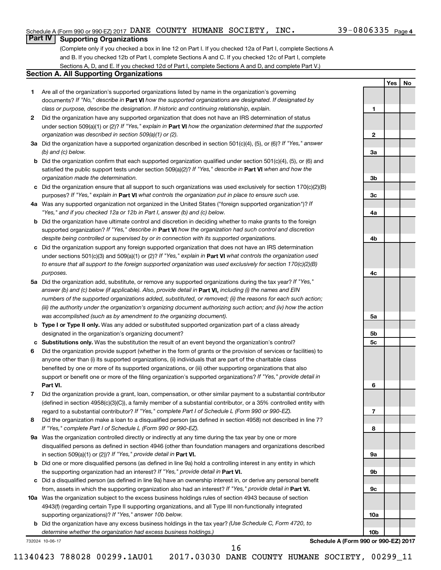**1**

**2**

**3a**

**3b**

**3c**

**4a**

**4b**

**4c**

**5a**

**5b 5c**

**6**

**7**

**8**

**9a**

**9b**

**9c**

**10a**

**10b**

**Yes No**

### **Part IV Supporting Organizations**

(Complete only if you checked a box in line 12 on Part I. If you checked 12a of Part I, complete Sections A and B. If you checked 12b of Part I, complete Sections A and C. If you checked 12c of Part I, complete Sections A, D, and E. If you checked 12d of Part I, complete Sections A and D, and complete Part V.)

#### **Section A. All Supporting Organizations**

- **1** Are all of the organization's supported organizations listed by name in the organization's governing documents? If "No," describe in Part VI how the supported organizations are designated. If designated by *class or purpose, describe the designation. If historic and continuing relationship, explain.*
- **2** Did the organization have any supported organization that does not have an IRS determination of status under section 509(a)(1) or (2)? If "Yes," explain in Part **VI** how the organization determined that the supported *organization was described in section 509(a)(1) or (2).*
- **3a** Did the organization have a supported organization described in section 501(c)(4), (5), or (6)? If "Yes," answer *(b) and (c) below.*
- **b** Did the organization confirm that each supported organization qualified under section 501(c)(4), (5), or (6) and satisfied the public support tests under section 509(a)(2)? If "Yes," describe in Part VI when and how the *organization made the determination.*
- **c** Did the organization ensure that all support to such organizations was used exclusively for section 170(c)(2)(B) purposes? If "Yes," explain in Part VI what controls the organization put in place to ensure such use.
- **4 a** *If* Was any supported organization not organized in the United States ("foreign supported organization")? *"Yes," and if you checked 12a or 12b in Part I, answer (b) and (c) below.*
- **b** Did the organization have ultimate control and discretion in deciding whether to make grants to the foreign supported organization? If "Yes," describe in Part VI how the organization had such control and discretion *despite being controlled or supervised by or in connection with its supported organizations.*
- **c** Did the organization support any foreign supported organization that does not have an IRS determination under sections 501(c)(3) and 509(a)(1) or (2)? If "Yes," explain in Part VI what controls the organization used *to ensure that all support to the foreign supported organization was used exclusively for section 170(c)(2)(B) purposes.*
- **5a** Did the organization add, substitute, or remove any supported organizations during the tax year? If "Yes," answer (b) and (c) below (if applicable). Also, provide detail in **Part VI,** including (i) the names and EIN *numbers of the supported organizations added, substituted, or removed; (ii) the reasons for each such action; (iii) the authority under the organization's organizing document authorizing such action; and (iv) how the action was accomplished (such as by amendment to the organizing document).*
- **b Type I or Type II only.** Was any added or substituted supported organization part of a class already designated in the organization's organizing document?
- **c Substitutions only.**  Was the substitution the result of an event beyond the organization's control?
- **6** Did the organization provide support (whether in the form of grants or the provision of services or facilities) to **Part VI.** support or benefit one or more of the filing organization's supported organizations? If "Yes," provide detail in anyone other than (i) its supported organizations, (ii) individuals that are part of the charitable class benefited by one or more of its supported organizations, or (iii) other supporting organizations that also
- **7** Did the organization provide a grant, loan, compensation, or other similar payment to a substantial contributor regard to a substantial contributor? If "Yes," complete Part I of Schedule L (Form 990 or 990-EZ). (defined in section 4958(c)(3)(C)), a family member of a substantial contributor, or a 35% controlled entity with
- **8** Did the organization make a loan to a disqualified person (as defined in section 4958) not described in line 7? *If "Yes," complete Part I of Schedule L (Form 990 or 990-EZ).*
- **9 a** Was the organization controlled directly or indirectly at any time during the tax year by one or more in section 509(a)(1) or (2))? If "Yes," provide detail in **Part VI.** disqualified persons as defined in section 4946 (other than foundation managers and organizations described
- **b** Did one or more disqualified persons (as defined in line 9a) hold a controlling interest in any entity in which the supporting organization had an interest? If "Yes," provide detail in Part VI.
- **c** Did a disqualified person (as defined in line 9a) have an ownership interest in, or derive any personal benefit from, assets in which the supporting organization also had an interest? If "Yes," provide detail in Part VI.
- **10 a** Was the organization subject to the excess business holdings rules of section 4943 because of section supporting organizations)? If "Yes," answer 10b below. 4943(f) (regarding certain Type II supporting organizations, and all Type III non-functionally integrated
	- **b** Did the organization have any excess business holdings in the tax year? (Use Schedule C, Form 4720, to *determine whether the organization had excess business holdings.)*

732024 10-06-17

**Schedule A (Form 990 or 990-EZ) 2017**

11340423 788028 00299.1AU01 2017.03030 DANE COUNTY HUMANE SOCIETY, 00299\_11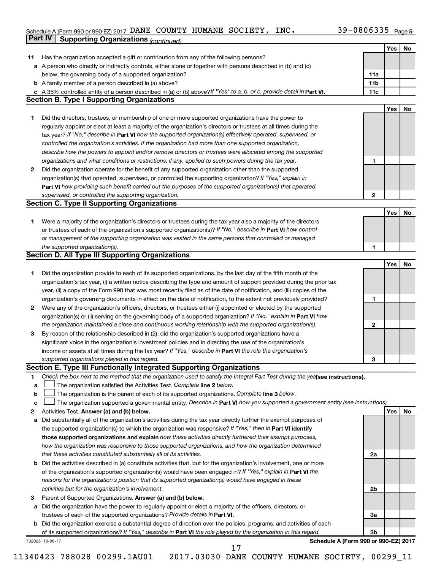#### Schedule A (Form 990 or 990-EZ) 2017 DANE COUNTY HUMANE SOCIETY, INC.  $39-0800335$  Page DANE COUNTY HUMANE SOCIETY, INC. 39-0806335

|             | Part IV<br><b>Supporting Organizations (continued)</b>                                                                                                                       |                 |     |    |
|-------------|------------------------------------------------------------------------------------------------------------------------------------------------------------------------------|-----------------|-----|----|
|             |                                                                                                                                                                              |                 | Yes | No |
| 11          | Has the organization accepted a gift or contribution from any of the following persons?                                                                                      |                 |     |    |
|             | a A person who directly or indirectly controls, either alone or together with persons described in (b) and (c)                                                               |                 |     |    |
|             | below, the governing body of a supported organization?                                                                                                                       | 11a             |     |    |
|             | <b>b</b> A family member of a person described in (a) above?                                                                                                                 | 11 <sub>b</sub> |     |    |
|             |                                                                                                                                                                              | 11c             |     |    |
|             | c A 35% controlled entity of a person described in (a) or (b) above? If "Yes" to a, b, or c, provide detail in Part VI.<br><b>Section B. Type I Supporting Organizations</b> |                 |     |    |
|             |                                                                                                                                                                              |                 |     |    |
|             |                                                                                                                                                                              |                 | Yes | No |
| 1           | Did the directors, trustees, or membership of one or more supported organizations have the power to                                                                          |                 |     |    |
|             | regularly appoint or elect at least a majority of the organization's directors or trustees at all times during the                                                           |                 |     |    |
|             | tax year? If "No," describe in Part VI how the supported organization(s) effectively operated, supervised, or                                                                |                 |     |    |
|             | controlled the organization's activities. If the organization had more than one supported organization,                                                                      |                 |     |    |
|             | describe how the powers to appoint and/or remove directors or trustees were allocated among the supported                                                                    |                 |     |    |
|             | organizations and what conditions or restrictions, if any, applied to such powers during the tax year.                                                                       | 1               |     |    |
| 2           | Did the organization operate for the benefit of any supported organization other than the supported                                                                          |                 |     |    |
|             | organization(s) that operated, supervised, or controlled the supporting organization? If "Yes," explain in                                                                   |                 |     |    |
|             | Part VI how providing such benefit carried out the purposes of the supported organization(s) that operated,                                                                  |                 |     |    |
|             | supervised, or controlled the supporting organization.                                                                                                                       | $\mathbf{2}$    |     |    |
|             | <b>Section C. Type II Supporting Organizations</b>                                                                                                                           |                 |     |    |
|             |                                                                                                                                                                              |                 | Yes | No |
| 1           | Were a majority of the organization's directors or trustees during the tax year also a majority of the directors                                                             |                 |     |    |
|             | or trustees of each of the organization's supported organization(s)? If "No," describe in Part VI how control                                                                |                 |     |    |
|             | or management of the supporting organization was vested in the same persons that controlled or managed                                                                       |                 |     |    |
|             | the supported organization(s).                                                                                                                                               | 1               |     |    |
|             | <b>Section D. All Type III Supporting Organizations</b>                                                                                                                      |                 |     |    |
|             |                                                                                                                                                                              |                 | Yes |    |
|             |                                                                                                                                                                              |                 |     | No |
| 1           | Did the organization provide to each of its supported organizations, by the last day of the fifth month of the                                                               |                 |     |    |
|             | organization's tax year, (i) a written notice describing the type and amount of support provided during the prior tax                                                        |                 |     |    |
|             | year, (ii) a copy of the Form 990 that was most recently filed as of the date of notification, and (iii) copies of the                                                       |                 |     |    |
|             | organization's governing documents in effect on the date of notification, to the extent not previously provided?                                                             | 1               |     |    |
| 2           | Were any of the organization's officers, directors, or trustees either (i) appointed or elected by the supported                                                             |                 |     |    |
|             | organization(s) or (ii) serving on the governing body of a supported organization? If "No," explain in Part VI how                                                           |                 |     |    |
|             | the organization maintained a close and continuous working relationship with the supported organization(s).                                                                  | 2               |     |    |
| 3           | By reason of the relationship described in (2), did the organization's supported organizations have a                                                                        |                 |     |    |
|             | significant voice in the organization's investment policies and in directing the use of the organization's                                                                   |                 |     |    |
|             | income or assets at all times during the tax year? If "Yes," describe in Part VI the role the organization's                                                                 |                 |     |    |
|             | supported organizations played in this regard.                                                                                                                               | з               |     |    |
|             | Section E. Type III Functionally Integrated Supporting Organizations                                                                                                         |                 |     |    |
| 1           | Check the box next to the method that the organization used to satisfy the Integral Part Test during the yealsee instructions).                                              |                 |     |    |
| a           | The organization satisfied the Activities Test. Complete line 2 below.                                                                                                       |                 |     |    |
| $\mathbf b$ | The organization is the parent of each of its supported organizations. Complete line 3 below.                                                                                |                 |     |    |
| c           | The organization supported a governmental entity. Describe in Part VI how you supported a government entity (see instructions).                                              |                 |     |    |
| 2           | Activities Test. Answer (a) and (b) below.                                                                                                                                   |                 | Yes | No |
| а           | Did substantially all of the organization's activities during the tax year directly further the exempt purposes of                                                           |                 |     |    |
|             |                                                                                                                                                                              |                 |     |    |
|             | the supported organization(s) to which the organization was responsive? If "Yes," then in Part VI identify                                                                   |                 |     |    |
|             | those supported organizations and explain how these activities directly furthered their exempt purposes,                                                                     |                 |     |    |
|             | how the organization was responsive to those supported organizations, and how the organization determined                                                                    |                 |     |    |
|             | that these activities constituted substantially all of its activities.                                                                                                       | 2a              |     |    |
|             | <b>b</b> Did the activities described in (a) constitute activities that, but for the organization's involvement, one or more                                                 |                 |     |    |
|             | of the organization's supported organization(s) would have been engaged in? If "Yes," explain in Part VI the                                                                 |                 |     |    |
|             | reasons for the organization's position that its supported organization(s) would have engaged in these                                                                       |                 |     |    |
|             | activities but for the organization's involvement.                                                                                                                           | 2b              |     |    |
| З           | Parent of Supported Organizations. Answer (a) and (b) below.                                                                                                                 |                 |     |    |
| а           | Did the organization have the power to regularly appoint or elect a majority of the officers, directors, or                                                                  |                 |     |    |
|             | trustees of each of the supported organizations? Provide details in Part VI.                                                                                                 | За              |     |    |
|             | <b>b</b> Did the organization exercise a substantial degree of direction over the policies, programs, and activities of each                                                 |                 |     |    |
|             | of its supported organizations? If "Yes," describe in Part VI the role played by the organization in this regard.                                                            | 3b              |     |    |
|             | Schedule A (Form 990 or 990-EZ) 2017<br>732025 10-06-17                                                                                                                      |                 |     |    |
|             |                                                                                                                                                                              |                 |     |    |

11340423 788028 00299.1AU01 2017.03030 DANE COUNTY HUMANE SOCIETY, 00299\_11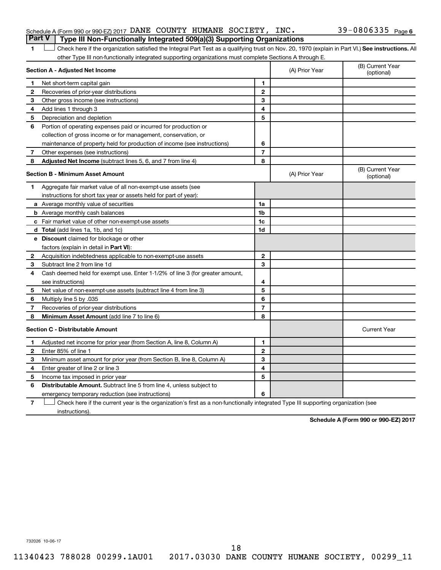| Schedule A (Form 990 or 990-EZ) 2017 DANE COUNTY HUMANE SOCIETY, INC.                 |  |  | 39-0806335 $_{Page6}$ |  |
|---------------------------------------------------------------------------------------|--|--|-----------------------|--|
| <b>Part V</b> Type III Non-Functionally Integrated 509(a)(3) Supporting Organizations |  |  |                       |  |

1 **Letter See instructions.** All Check here if the organization satisfied the Integral Part Test as a qualifying trust on Nov. 20, 1970 (explain in Part VI.) See instructions. All other Type III non-functionally integrated supporting organizations must complete Sections A through E.

|              | Section A - Adjusted Net Income                                              | (A) Prior Year | (B) Current Year<br>(optional) |                                |
|--------------|------------------------------------------------------------------------------|----------------|--------------------------------|--------------------------------|
| 1            | Net short-term capital gain                                                  | 1              |                                |                                |
| 2            | Recoveries of prior-year distributions                                       | $\overline{2}$ |                                |                                |
| 3            | Other gross income (see instructions)                                        | 3              |                                |                                |
| 4            | Add lines 1 through 3                                                        | 4              |                                |                                |
| 5            | Depreciation and depletion                                                   | 5              |                                |                                |
| 6            | Portion of operating expenses paid or incurred for production or             |                |                                |                                |
|              | collection of gross income or for management, conservation, or               |                |                                |                                |
|              | maintenance of property held for production of income (see instructions)     | 6              |                                |                                |
| 7            | Other expenses (see instructions)                                            | $\overline{7}$ |                                |                                |
| 8            | Adjusted Net Income (subtract lines 5, 6, and 7 from line 4)                 | 8              |                                |                                |
|              | <b>Section B - Minimum Asset Amount</b>                                      |                | (A) Prior Year                 | (B) Current Year<br>(optional) |
| 1.           | Aggregate fair market value of all non-exempt-use assets (see                |                |                                |                                |
|              | instructions for short tax year or assets held for part of year):            |                |                                |                                |
|              | a Average monthly value of securities                                        | 1a             |                                |                                |
|              | <b>b</b> Average monthly cash balances                                       | 1 <sub>b</sub> |                                |                                |
|              | c Fair market value of other non-exempt-use assets                           | 1c             |                                |                                |
|              | <b>d</b> Total (add lines 1a, 1b, and 1c)                                    | 1d             |                                |                                |
|              | e Discount claimed for blockage or other                                     |                |                                |                                |
|              | factors (explain in detail in <b>Part VI</b> ):                              |                |                                |                                |
| 2            | Acquisition indebtedness applicable to non-exempt-use assets                 | $\mathbf{2}$   |                                |                                |
| 3            | Subtract line 2 from line 1d                                                 | 3              |                                |                                |
| 4            | Cash deemed held for exempt use. Enter 1-1/2% of line 3 (for greater amount, |                |                                |                                |
|              | see instructions)                                                            | 4              |                                |                                |
| 5            | Net value of non-exempt-use assets (subtract line 4 from line 3)             | 5              |                                |                                |
| 6            | Multiply line 5 by .035                                                      | 6              |                                |                                |
| 7            | Recoveries of prior-year distributions                                       | $\overline{7}$ |                                |                                |
| 8            | Minimum Asset Amount (add line 7 to line 6)                                  | 8              |                                |                                |
|              | <b>Section C - Distributable Amount</b>                                      |                |                                | <b>Current Year</b>            |
| 1            | Adjusted net income for prior year (from Section A, line 8, Column A)        | 1              |                                |                                |
| $\mathbf{2}$ | Enter 85% of line 1                                                          | $\mathbf{2}$   |                                |                                |
| 3            | Minimum asset amount for prior year (from Section B, line 8, Column A)       | 3              |                                |                                |
| 4            | Enter greater of line 2 or line 3                                            | 4              |                                |                                |
| 5            | Income tax imposed in prior year                                             | 5              |                                |                                |
| 6            | Distributable Amount. Subtract line 5 from line 4, unless subject to         |                |                                |                                |
|              | emergency temporary reduction (see instructions)                             | 6              |                                |                                |
|              |                                                                              |                |                                |                                |

**7** Check here if the current year is the organization's first as a non-functionally integrated Type III supporting organization (see † instructions).

**Schedule A (Form 990 or 990-EZ) 2017**

732026 10-06-17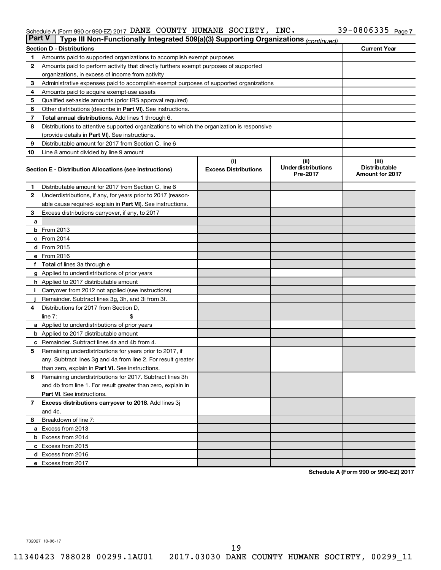#### Schedule A (Form 990 or 990-EZ) 2017 DANE COUNTY HUMANE SOCIETY, INC.  $39-0800335$  Page DANE COUNTY HUMANE SOCIETY, INC. 39-0806335

|                | <b>Part V</b><br>Type III Non-Functionally Integrated 509(a)(3) Supporting Organizations (continued) |                                    |                                               |                                                         |  |  |  |  |
|----------------|------------------------------------------------------------------------------------------------------|------------------------------------|-----------------------------------------------|---------------------------------------------------------|--|--|--|--|
|                | <b>Section D - Distributions</b>                                                                     |                                    |                                               | <b>Current Year</b>                                     |  |  |  |  |
| 1              | Amounts paid to supported organizations to accomplish exempt purposes                                |                                    |                                               |                                                         |  |  |  |  |
| $\mathbf{2}$   | Amounts paid to perform activity that directly furthers exempt purposes of supported                 |                                    |                                               |                                                         |  |  |  |  |
|                | organizations, in excess of income from activity                                                     |                                    |                                               |                                                         |  |  |  |  |
| 3              | Administrative expenses paid to accomplish exempt purposes of supported organizations                |                                    |                                               |                                                         |  |  |  |  |
| 4              | Amounts paid to acquire exempt-use assets                                                            |                                    |                                               |                                                         |  |  |  |  |
| 5              | Qualified set-aside amounts (prior IRS approval required)                                            |                                    |                                               |                                                         |  |  |  |  |
| 6              | Other distributions (describe in <b>Part VI</b> ). See instructions.                                 |                                    |                                               |                                                         |  |  |  |  |
| 7              | Total annual distributions. Add lines 1 through 6.                                                   |                                    |                                               |                                                         |  |  |  |  |
| 8              | Distributions to attentive supported organizations to which the organization is responsive           |                                    |                                               |                                                         |  |  |  |  |
|                | (provide details in Part VI). See instructions.                                                      |                                    |                                               |                                                         |  |  |  |  |
| 9              | Distributable amount for 2017 from Section C, line 6                                                 |                                    |                                               |                                                         |  |  |  |  |
| 10             | Line 8 amount divided by line 9 amount                                                               |                                    |                                               |                                                         |  |  |  |  |
|                | Section E - Distribution Allocations (see instructions)                                              | (i)<br><b>Excess Distributions</b> | (ii)<br><b>Underdistributions</b><br>Pre-2017 | (iii)<br><b>Distributable</b><br><b>Amount for 2017</b> |  |  |  |  |
| 1              | Distributable amount for 2017 from Section C, line 6                                                 |                                    |                                               |                                                         |  |  |  |  |
| $\mathbf{2}$   | Underdistributions, if any, for years prior to 2017 (reason-                                         |                                    |                                               |                                                         |  |  |  |  |
|                | able cause required- explain in Part VI). See instructions.                                          |                                    |                                               |                                                         |  |  |  |  |
| 3              | Excess distributions carryover, if any, to 2017                                                      |                                    |                                               |                                                         |  |  |  |  |
| a              |                                                                                                      |                                    |                                               |                                                         |  |  |  |  |
|                | <b>b</b> From 2013                                                                                   |                                    |                                               |                                                         |  |  |  |  |
|                | c From 2014                                                                                          |                                    |                                               |                                                         |  |  |  |  |
|                | d From 2015                                                                                          |                                    |                                               |                                                         |  |  |  |  |
|                | e From 2016                                                                                          |                                    |                                               |                                                         |  |  |  |  |
|                | f Total of lines 3a through e                                                                        |                                    |                                               |                                                         |  |  |  |  |
|                | <b>g</b> Applied to underdistributions of prior years                                                |                                    |                                               |                                                         |  |  |  |  |
|                | <b>h</b> Applied to 2017 distributable amount                                                        |                                    |                                               |                                                         |  |  |  |  |
| Ť.             | Carryover from 2012 not applied (see instructions)                                                   |                                    |                                               |                                                         |  |  |  |  |
|                | Remainder. Subtract lines 3g, 3h, and 3i from 3f.                                                    |                                    |                                               |                                                         |  |  |  |  |
| 4              | Distributions for 2017 from Section D,                                                               |                                    |                                               |                                                         |  |  |  |  |
|                | line $7:$                                                                                            |                                    |                                               |                                                         |  |  |  |  |
|                | <b>a</b> Applied to underdistributions of prior years                                                |                                    |                                               |                                                         |  |  |  |  |
|                | <b>b</b> Applied to 2017 distributable amount                                                        |                                    |                                               |                                                         |  |  |  |  |
| c              | Remainder. Subtract lines 4a and 4b from 4.                                                          |                                    |                                               |                                                         |  |  |  |  |
| 5              | Remaining underdistributions for years prior to 2017, if                                             |                                    |                                               |                                                         |  |  |  |  |
|                | any. Subtract lines 3g and 4a from line 2. For result greater                                        |                                    |                                               |                                                         |  |  |  |  |
|                | than zero, explain in Part VI. See instructions.                                                     |                                    |                                               |                                                         |  |  |  |  |
| 6              | Remaining underdistributions for 2017. Subtract lines 3h                                             |                                    |                                               |                                                         |  |  |  |  |
|                | and 4b from line 1. For result greater than zero, explain in                                         |                                    |                                               |                                                         |  |  |  |  |
|                | <b>Part VI.</b> See instructions.                                                                    |                                    |                                               |                                                         |  |  |  |  |
| $\overline{7}$ | Excess distributions carryover to 2018. Add lines 3j                                                 |                                    |                                               |                                                         |  |  |  |  |
|                | and 4c.                                                                                              |                                    |                                               |                                                         |  |  |  |  |
| 8              | Breakdown of line 7:                                                                                 |                                    |                                               |                                                         |  |  |  |  |
|                | a Excess from 2013                                                                                   |                                    |                                               |                                                         |  |  |  |  |
|                | <b>b</b> Excess from 2014                                                                            |                                    |                                               |                                                         |  |  |  |  |
|                | c Excess from 2015                                                                                   |                                    |                                               |                                                         |  |  |  |  |
|                | d Excess from 2016                                                                                   |                                    |                                               |                                                         |  |  |  |  |
|                | e Excess from 2017                                                                                   |                                    |                                               |                                                         |  |  |  |  |

**Schedule A (Form 990 or 990-EZ) 2017**

732027 10-06-17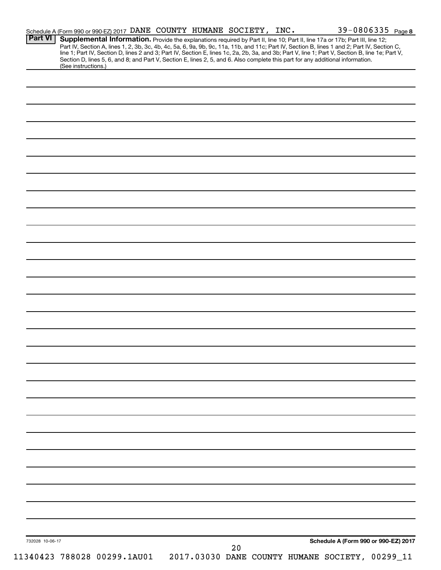| Supplemental Information. Provide the explanations required by Part II, line 10; Part II, line 17a or 17b; Part III, line 12;<br>Part IV, Section A, lines 1, 2, 3b, 3c, 4b, 4c, 5a, 6, 9a, 9b, 9c, 11a, 11b, and 11c; Part IV, Section B, lines 1 and 2; Part IV, Section C, line 1; Part IV, Section D, lines 2 and 3; Part IV, Section E, lines 1c, 2a, 2b,<br>Section D, lines 5, 6, and 8; and Part V, Section E, lines 2, 5, and 6. Also complete this part for any additional information.<br>(See instructions.)<br>Schedule A (Form 990 or 990-EZ) 2017<br>732028 10-06-17<br>20 | <b>Part VI</b> |  |  | Schedule A (Form 990 or 990-EZ) 2017 DANE COUNTY HUMANE SOCIETY, INC. |  |  | 39-0806335 Page 8 |
|-------------------------------------------------------------------------------------------------------------------------------------------------------------------------------------------------------------------------------------------------------------------------------------------------------------------------------------------------------------------------------------------------------------------------------------------------------------------------------------------------------------------------------------------------------------------------------------------|----------------|--|--|-----------------------------------------------------------------------|--|--|-------------------|
|                                                                                                                                                                                                                                                                                                                                                                                                                                                                                                                                                                                           |                |  |  |                                                                       |  |  |                   |
|                                                                                                                                                                                                                                                                                                                                                                                                                                                                                                                                                                                           |                |  |  |                                                                       |  |  |                   |
|                                                                                                                                                                                                                                                                                                                                                                                                                                                                                                                                                                                           |                |  |  |                                                                       |  |  |                   |
|                                                                                                                                                                                                                                                                                                                                                                                                                                                                                                                                                                                           |                |  |  |                                                                       |  |  |                   |
|                                                                                                                                                                                                                                                                                                                                                                                                                                                                                                                                                                                           |                |  |  |                                                                       |  |  |                   |
|                                                                                                                                                                                                                                                                                                                                                                                                                                                                                                                                                                                           |                |  |  |                                                                       |  |  |                   |
|                                                                                                                                                                                                                                                                                                                                                                                                                                                                                                                                                                                           |                |  |  |                                                                       |  |  |                   |
|                                                                                                                                                                                                                                                                                                                                                                                                                                                                                                                                                                                           |                |  |  |                                                                       |  |  |                   |
|                                                                                                                                                                                                                                                                                                                                                                                                                                                                                                                                                                                           |                |  |  |                                                                       |  |  |                   |
|                                                                                                                                                                                                                                                                                                                                                                                                                                                                                                                                                                                           |                |  |  |                                                                       |  |  |                   |
|                                                                                                                                                                                                                                                                                                                                                                                                                                                                                                                                                                                           |                |  |  |                                                                       |  |  |                   |
|                                                                                                                                                                                                                                                                                                                                                                                                                                                                                                                                                                                           |                |  |  |                                                                       |  |  |                   |
|                                                                                                                                                                                                                                                                                                                                                                                                                                                                                                                                                                                           |                |  |  |                                                                       |  |  |                   |
|                                                                                                                                                                                                                                                                                                                                                                                                                                                                                                                                                                                           |                |  |  |                                                                       |  |  |                   |
|                                                                                                                                                                                                                                                                                                                                                                                                                                                                                                                                                                                           |                |  |  |                                                                       |  |  |                   |
|                                                                                                                                                                                                                                                                                                                                                                                                                                                                                                                                                                                           |                |  |  |                                                                       |  |  |                   |
|                                                                                                                                                                                                                                                                                                                                                                                                                                                                                                                                                                                           |                |  |  |                                                                       |  |  |                   |
|                                                                                                                                                                                                                                                                                                                                                                                                                                                                                                                                                                                           |                |  |  |                                                                       |  |  |                   |
|                                                                                                                                                                                                                                                                                                                                                                                                                                                                                                                                                                                           |                |  |  |                                                                       |  |  |                   |
|                                                                                                                                                                                                                                                                                                                                                                                                                                                                                                                                                                                           |                |  |  |                                                                       |  |  |                   |
|                                                                                                                                                                                                                                                                                                                                                                                                                                                                                                                                                                                           |                |  |  |                                                                       |  |  |                   |
|                                                                                                                                                                                                                                                                                                                                                                                                                                                                                                                                                                                           |                |  |  |                                                                       |  |  |                   |
|                                                                                                                                                                                                                                                                                                                                                                                                                                                                                                                                                                                           |                |  |  |                                                                       |  |  |                   |
|                                                                                                                                                                                                                                                                                                                                                                                                                                                                                                                                                                                           |                |  |  |                                                                       |  |  |                   |
|                                                                                                                                                                                                                                                                                                                                                                                                                                                                                                                                                                                           |                |  |  |                                                                       |  |  |                   |
|                                                                                                                                                                                                                                                                                                                                                                                                                                                                                                                                                                                           |                |  |  |                                                                       |  |  |                   |
|                                                                                                                                                                                                                                                                                                                                                                                                                                                                                                                                                                                           |                |  |  |                                                                       |  |  |                   |
|                                                                                                                                                                                                                                                                                                                                                                                                                                                                                                                                                                                           |                |  |  |                                                                       |  |  |                   |
|                                                                                                                                                                                                                                                                                                                                                                                                                                                                                                                                                                                           |                |  |  |                                                                       |  |  |                   |
|                                                                                                                                                                                                                                                                                                                                                                                                                                                                                                                                                                                           |                |  |  |                                                                       |  |  |                   |
|                                                                                                                                                                                                                                                                                                                                                                                                                                                                                                                                                                                           |                |  |  |                                                                       |  |  |                   |
|                                                                                                                                                                                                                                                                                                                                                                                                                                                                                                                                                                                           |                |  |  |                                                                       |  |  |                   |
|                                                                                                                                                                                                                                                                                                                                                                                                                                                                                                                                                                                           |                |  |  |                                                                       |  |  |                   |
|                                                                                                                                                                                                                                                                                                                                                                                                                                                                                                                                                                                           |                |  |  |                                                                       |  |  |                   |
|                                                                                                                                                                                                                                                                                                                                                                                                                                                                                                                                                                                           |                |  |  |                                                                       |  |  |                   |
|                                                                                                                                                                                                                                                                                                                                                                                                                                                                                                                                                                                           |                |  |  |                                                                       |  |  |                   |
|                                                                                                                                                                                                                                                                                                                                                                                                                                                                                                                                                                                           |                |  |  |                                                                       |  |  |                   |
|                                                                                                                                                                                                                                                                                                                                                                                                                                                                                                                                                                                           |                |  |  |                                                                       |  |  |                   |
|                                                                                                                                                                                                                                                                                                                                                                                                                                                                                                                                                                                           |                |  |  |                                                                       |  |  |                   |
|                                                                                                                                                                                                                                                                                                                                                                                                                                                                                                                                                                                           |                |  |  |                                                                       |  |  |                   |
|                                                                                                                                                                                                                                                                                                                                                                                                                                                                                                                                                                                           |                |  |  |                                                                       |  |  |                   |
|                                                                                                                                                                                                                                                                                                                                                                                                                                                                                                                                                                                           |                |  |  |                                                                       |  |  |                   |
|                                                                                                                                                                                                                                                                                                                                                                                                                                                                                                                                                                                           |                |  |  |                                                                       |  |  |                   |
|                                                                                                                                                                                                                                                                                                                                                                                                                                                                                                                                                                                           |                |  |  |                                                                       |  |  |                   |
|                                                                                                                                                                                                                                                                                                                                                                                                                                                                                                                                                                                           |                |  |  |                                                                       |  |  |                   |
|                                                                                                                                                                                                                                                                                                                                                                                                                                                                                                                                                                                           |                |  |  |                                                                       |  |  |                   |
|                                                                                                                                                                                                                                                                                                                                                                                                                                                                                                                                                                                           |                |  |  |                                                                       |  |  |                   |
|                                                                                                                                                                                                                                                                                                                                                                                                                                                                                                                                                                                           |                |  |  |                                                                       |  |  |                   |
|                                                                                                                                                                                                                                                                                                                                                                                                                                                                                                                                                                                           |                |  |  |                                                                       |  |  |                   |
|                                                                                                                                                                                                                                                                                                                                                                                                                                                                                                                                                                                           |                |  |  |                                                                       |  |  |                   |
|                                                                                                                                                                                                                                                                                                                                                                                                                                                                                                                                                                                           |                |  |  |                                                                       |  |  |                   |
|                                                                                                                                                                                                                                                                                                                                                                                                                                                                                                                                                                                           |                |  |  |                                                                       |  |  |                   |
|                                                                                                                                                                                                                                                                                                                                                                                                                                                                                                                                                                                           |                |  |  |                                                                       |  |  |                   |
|                                                                                                                                                                                                                                                                                                                                                                                                                                                                                                                                                                                           |                |  |  |                                                                       |  |  |                   |
|                                                                                                                                                                                                                                                                                                                                                                                                                                                                                                                                                                                           |                |  |  |                                                                       |  |  |                   |
|                                                                                                                                                                                                                                                                                                                                                                                                                                                                                                                                                                                           |                |  |  |                                                                       |  |  |                   |
|                                                                                                                                                                                                                                                                                                                                                                                                                                                                                                                                                                                           |                |  |  |                                                                       |  |  |                   |
|                                                                                                                                                                                                                                                                                                                                                                                                                                                                                                                                                                                           |                |  |  |                                                                       |  |  |                   |
|                                                                                                                                                                                                                                                                                                                                                                                                                                                                                                                                                                                           |                |  |  |                                                                       |  |  |                   |
|                                                                                                                                                                                                                                                                                                                                                                                                                                                                                                                                                                                           |                |  |  |                                                                       |  |  |                   |
| 2017.03030 DANE COUNTY HUMANE SOCIETY, 00299_11<br>11340423 788028 00299.1AU01                                                                                                                                                                                                                                                                                                                                                                                                                                                                                                            |                |  |  |                                                                       |  |  |                   |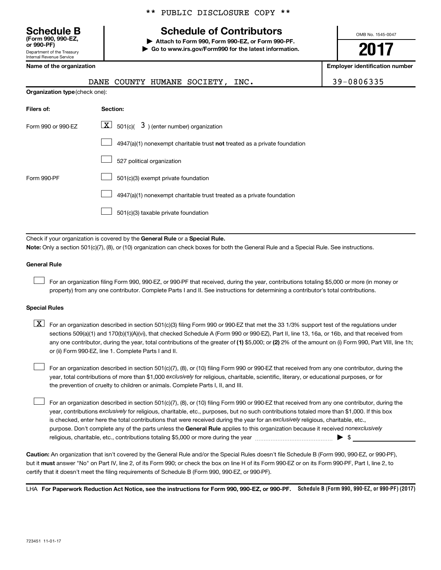Department of the Treasury Internal Revenue Service **(Form 990, 990-EZ,**

## **Schedule B Schedule of Contributors**

**or 990-PF) | Attach to Form 990, Form 990-EZ, or Form 990-PF. | Go to www.irs.gov/Form990 for the latest information.** OMB No. 1545-0047

## **2017**

| Name of the organization       |                                                                                                                                                                                                                                                                                  | <b>Employer identification number</b> |
|--------------------------------|----------------------------------------------------------------------------------------------------------------------------------------------------------------------------------------------------------------------------------------------------------------------------------|---------------------------------------|
|                                | DANE COUNTY HUMANE SOCIETY, INC.                                                                                                                                                                                                                                                 | 39-0806335                            |
| Organization type (check one): |                                                                                                                                                                                                                                                                                  |                                       |
| Filers of:                     | Section:                                                                                                                                                                                                                                                                         |                                       |
| Form 990 or 990-EZ             | $\lfloor \mathbf{X} \rfloor$ 501(c)( 3) (enter number) organization                                                                                                                                                                                                              |                                       |
|                                | 4947(a)(1) nonexempt charitable trust not treated as a private foundation                                                                                                                                                                                                        |                                       |
|                                | 527 political organization                                                                                                                                                                                                                                                       |                                       |
| Form 990-PF                    | 501(c)(3) exempt private foundation                                                                                                                                                                                                                                              |                                       |
|                                | 4947(a)(1) nonexempt charitable trust treated as a private foundation                                                                                                                                                                                                            |                                       |
|                                | 501(c)(3) taxable private foundation                                                                                                                                                                                                                                             |                                       |
|                                |                                                                                                                                                                                                                                                                                  |                                       |
|                                | Check if your organization is covered by the General Rule or a Special Rule.<br>Note: Only a section 501(c)(7), (8), or (10) organization can check boxes for both the General Rule and a Special Rule. See instructions.                                                        |                                       |
|                                |                                                                                                                                                                                                                                                                                  |                                       |
| <b>General Rule</b>            |                                                                                                                                                                                                                                                                                  |                                       |
|                                | For an organization filing Form 990, 990-EZ, or 990-PF that received, during the year, contributions totaling \$5,000 or more (in money or<br>property) from any one contributor. Complete Parts I and II. See instructions for determining a contributor's total contributions. |                                       |
| <b>Special Rules</b>           |                                                                                                                                                                                                                                                                                  |                                       |
| <u>x</u>                       | For an organization described in section 501(c)(3) filing Form 990 or 990-EZ that met the 33 1/3% support test of the regulations under                                                                                                                                          |                                       |

any one contributor, during the year, total contributions of the greater of (1) \$5,000; or (2) 2% of the amount on (i) Form 990, Part VIII, line 1h; sections 509(a)(1) and 170(b)(1)(A)(vi), that checked Schedule A (Form 990 or 990-EZ), Part II, line 13, 16a, or 16b, and that received from or (ii) Form 990-EZ, line 1. Complete Parts I and II.

year, total contributions of more than \$1,000 *exclusively* for religious, charitable, scientific, literary, or educational purposes, or for For an organization described in section 501(c)(7), (8), or (10) filing Form 990 or 990-EZ that received from any one contributor, during the the prevention of cruelty to children or animals. Complete Parts I, II, and III.  $\Box$ 

purpose. Don't complete any of the parts unless the General Rule applies to this organization because it received nonexclusively year, contributions exclusively for religious, charitable, etc., purposes, but no such contributions totaled more than \$1,000. If this box is checked, enter here the total contributions that were received during the year for an exclusively religious, charitable, etc., For an organization described in section 501(c)(7), (8), or (10) filing Form 990 or 990-EZ that received from any one contributor, during the religious, charitable, etc., contributions totaling \$5,000 or more during the year  $\ldots$  $\ldots$  $\ldots$  $\ldots$  $\ldots$  $\ldots$ 

**Caution:**  An organization that isn't covered by the General Rule and/or the Special Rules doesn't file Schedule B (Form 990, 990-EZ, or 990-PF),  **must** but it answer "No" on Part IV, line 2, of its Form 990; or check the box on line H of its Form 990-EZ or on its Form 990-PF, Part I, line 2, to certify that it doesn't meet the filing requirements of Schedule B (Form 990, 990-EZ, or 990-PF).

LHA For Paperwork Reduction Act Notice, see the instructions for Form 990, 990-EZ, or 990-PF. Schedule B (Form 990, 990-EZ, or 990-PF) (2017)

 $\Box$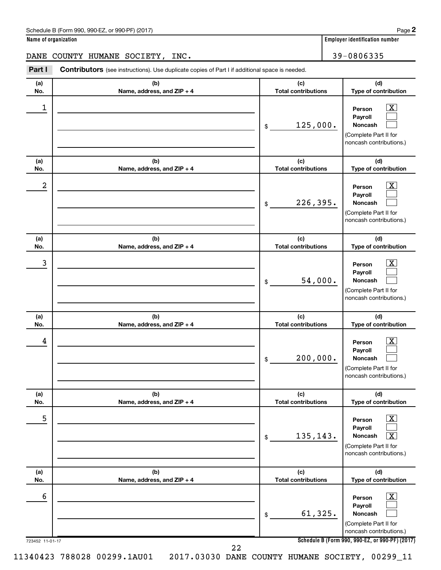|             | Schedule B (Form 990, 990-EZ, or 990-PF) (2017)                                                |                                   | Page                                                                                         |
|-------------|------------------------------------------------------------------------------------------------|-----------------------------------|----------------------------------------------------------------------------------------------|
|             | Name of organization                                                                           |                                   | Employer identification number                                                               |
| <b>DANE</b> | COUNTY HUMANE SOCIETY,<br>INC.                                                                 |                                   | 39-0806335                                                                                   |
| Part I      | Contributors (see instructions). Use duplicate copies of Part I if additional space is needed. |                                   |                                                                                              |
| (a)<br>No.  | (b)<br>Name, address, and ZIP + 4                                                              | (c)<br><b>Total contributions</b> | (d)<br>Type of contribution                                                                  |
| 1           |                                                                                                | 125,000.<br>\$                    | х<br>Person<br>Payroll<br><b>Noncash</b><br>(Complete Part II for<br>noncash contributions.) |
| (a)<br>No.  | (b)<br>Name, address, and ZIP + 4                                                              | (c)<br><b>Total contributions</b> | (d)<br>Type of contribution                                                                  |
| 2           |                                                                                                | 226,395.<br>\$                    | x<br>Person<br>Payroll<br><b>Noncash</b><br>(Complete Part II for<br>noncash contributions.) |
| (a)<br>No.  | (b)<br>Name, address, and ZIP + 4                                                              | (c)<br><b>Total contributions</b> | (d)<br>Type of contribution                                                                  |
| 3           |                                                                                                | 54,000.<br>\$                     | x<br>Person<br>Payroll<br><b>Noncash</b><br>(Complete Part II for<br>noncash contributions.) |
| (a)<br>No.  | (b)<br>Name, address, and ZIP + 4                                                              | (c)<br><b>Total contributions</b> | (d)<br><b>Type of contribution</b>                                                           |

| (a)<br>No.                  | (b)                               | (c)<br><b>Total contributions</b>           | (d)                                                                                                                                                                   |
|-----------------------------|-----------------------------------|---------------------------------------------|-----------------------------------------------------------------------------------------------------------------------------------------------------------------------|
| 4                           | Name, address, and ZIP + 4        | 200,000.<br>\$                              | Type of contribution<br>$\overline{\textbf{X}}$<br>Person<br>Payroll<br><b>Noncash</b><br>(Complete Part II for<br>noncash contributions.)                            |
| (a)<br>No.                  | (b)<br>Name, address, and ZIP + 4 | (c)<br><b>Total contributions</b>           | (d)<br>Type of contribution                                                                                                                                           |
| 5                           |                                   | 135, 143.<br>\$                             | $\overline{\mathbf{X}}$<br>Person<br>Payroll<br>$\overline{\mathbf{X}}$<br><b>Noncash</b><br>(Complete Part II for<br>noncash contributions.)                         |
| (a)                         | (b)                               | (c)                                         | (d)                                                                                                                                                                   |
| No.<br>6<br>723452 11-01-17 | Name, address, and ZIP + 4        | <b>Total contributions</b><br>61,325.<br>\$ | Type of contribution<br>x<br>Person<br>Payroll<br><b>Noncash</b><br>(Complete Part II for<br>noncash contributions.)<br>Schedule B (Form 990, 990-EZ, or 990-PF) (201 |

**Schedule B (Form 990, 990-EZ, or 990-PF) (2017)**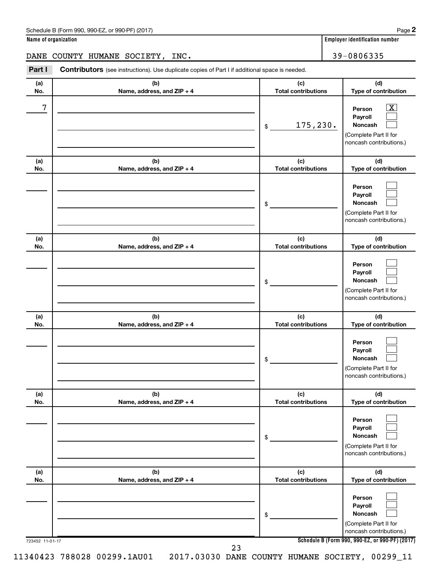| Schedule B (Form 990, 990-EZ, or 990-PF) (2017) | Page |
|-------------------------------------------------|------|
|-------------------------------------------------|------|

DANE COUNTY HUMANE SOCIETY, INC. 39-0806335

| Part I | <b>Contributors</b> (see instructions). Use duplicate copies of Part I if additional space is needed. |                            |  |  |  |  |  |  |
|--------|-------------------------------------------------------------------------------------------------------|----------------------------|--|--|--|--|--|--|
| (a)    |                                                                                                       | (C)                        |  |  |  |  |  |  |
| No.    | Name, address, and $ZIP + 4$                                                                          | <b>Total contributions</b> |  |  |  |  |  |  |

| (a) | (b)                        | (c)                        | (d)                                                                                                         |
|-----|----------------------------|----------------------------|-------------------------------------------------------------------------------------------------------------|
| No. | Name, address, and ZIP + 4 | <b>Total contributions</b> | Type of contribution                                                                                        |
| 7   |                            | 175,230.<br>\$             | $\overline{\textbf{x}}$<br>Person<br>Payroll<br>Noncash<br>(Complete Part II for<br>noncash contributions.) |
| (a) | (b)                        | (c)                        | (d)                                                                                                         |
| No. | Name, address, and ZIP + 4 | <b>Total contributions</b> | Type of contribution                                                                                        |
|     |                            | \$                         | Person<br>Payroll<br>Noncash<br>(Complete Part II for<br>noncash contributions.)                            |
| (a) | (b)                        | (c)                        | (d)                                                                                                         |
| No. | Name, address, and ZIP + 4 | <b>Total contributions</b> | Type of contribution                                                                                        |
|     |                            | \$                         | Person<br>Payroll<br><b>Noncash</b><br>(Complete Part II for<br>noncash contributions.)                     |
| (a) | (b)                        | (c)                        | (d)                                                                                                         |
| No. | Name, address, and ZIP + 4 | <b>Total contributions</b> | Type of contribution                                                                                        |
|     |                            | \$                         | Person<br>Payroll<br><b>Noncash</b><br>(Complete Part II for<br>noncash contributions.)                     |
| (a) | (b)                        | (c)                        | (d)                                                                                                         |
| NO. | Name, address, and ZIP + 4 | <b>Total contributions</b> | Type of contribution                                                                                        |
|     |                            | \$                         | Person<br>Payroll<br>Noncash<br>(Complete Part II for<br>noncash contributions.)                            |
| (a) | (b)                        | (c)                        | (d)                                                                                                         |
| No. | Name, address, and ZIP + 4 | <b>Total contributions</b> | Type of contribution                                                                                        |
|     |                            | \$                         | Person<br>Payroll<br>Noncash<br>(Complete Part II for<br>noncash contributions.)                            |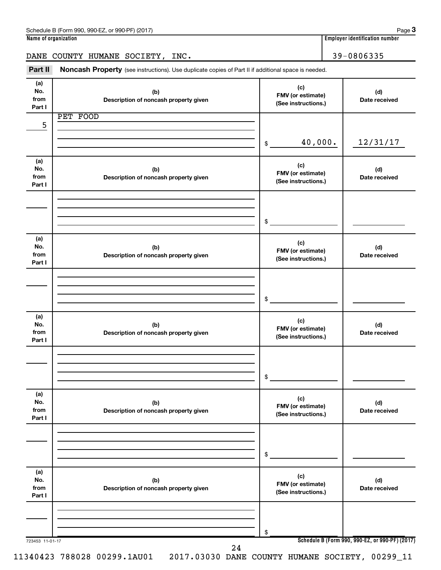|                              | Name of organization                                                                                |                                                 | <b>Employer identification number</b> |
|------------------------------|-----------------------------------------------------------------------------------------------------|-------------------------------------------------|---------------------------------------|
|                              | DANE COUNTY HUMANE SOCIETY, INC.                                                                    |                                                 | 39-0806335                            |
| Part II                      | Noncash Property (see instructions). Use duplicate copies of Part II if additional space is needed. |                                                 |                                       |
| (a)<br>No.<br>from<br>Part I | (b)<br>Description of noncash property given                                                        | (c)<br>FMV (or estimate)<br>(See instructions.) | (d)<br>Date received                  |
| 5                            | PET FOOD                                                                                            |                                                 |                                       |
|                              |                                                                                                     | 40,000.<br>\$                                   | 12/31/17                              |
| (a)<br>No.<br>from<br>Part I | (b)<br>Description of noncash property given                                                        | (c)<br>FMV (or estimate)<br>(See instructions.) | (d)<br>Date received                  |
|                              |                                                                                                     | \$                                              |                                       |
|                              |                                                                                                     |                                                 |                                       |
| (a)<br>No.<br>from<br>Part I | (b)<br>Description of noncash property given                                                        | (c)<br>FMV (or estimate)<br>(See instructions.) | (d)<br>Date received                  |
|                              |                                                                                                     |                                                 |                                       |
|                              |                                                                                                     | \$                                              |                                       |
| (a)<br>No.<br>from<br>Part I | (b)<br>Description of noncash property given                                                        | (c)<br>FMV (or estimate)<br>(See instructions.) | (d)<br>Date received                  |
|                              |                                                                                                     |                                                 |                                       |
|                              |                                                                                                     | \$                                              |                                       |
| (a)<br>No.<br>from<br>Part I | (b)<br>Description of noncash property given                                                        | (c)<br>FMV (or estimate)<br>(See instructions.) | (d)<br>Date received                  |
|                              |                                                                                                     |                                                 |                                       |
|                              |                                                                                                     | \$                                              |                                       |
| (a)<br>No.                   | (b)                                                                                                 | (c)<br>FMV (or estimate)                        | (d)                                   |

**Schedule B (Form 990, 990-EZ, or 990-PF) (2017)**

**(See instructions.)**

11340423 788028 00299.1AU01 2017.03030 DANE COUNTY HUMANE SOCIETY, 00299\_11

**Description of noncash property given**

723453 11-01-17

**from Part I**

24

\$

**Name of organization Employer identification number**

**(d) Date received**

Schedule B (Form 990, 990-EZ, or 990-PF) (2017)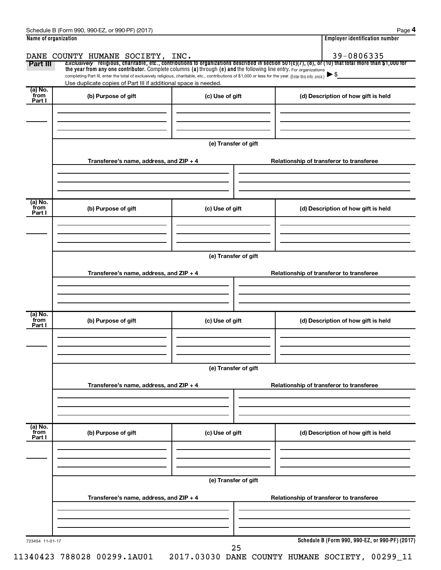| Name of organization      |                                                                                                                                                          |                                          | <b>Employer identification number</b>                                                                                                                 |  |  |  |  |  |  |  |
|---------------------------|----------------------------------------------------------------------------------------------------------------------------------------------------------|------------------------------------------|-------------------------------------------------------------------------------------------------------------------------------------------------------|--|--|--|--|--|--|--|
|                           | DANE COUNTY HUMANE SOCIETY, INC.                                                                                                                         |                                          | 39-0806335                                                                                                                                            |  |  |  |  |  |  |  |
| Part III                  | the year from any one contributor. Complete columns (a) through (e) and the following line entry. For organizations                                      |                                          | Exclusively religious, charitable, etc., contributions to organizations described in section 501(c)(7), (8), or (10) that total more than \$1,000 for |  |  |  |  |  |  |  |
|                           | completing Part III, enter the total of exclusively religious, charitable, etc., contributions of \$1,000 or less for the year. (Enter this info. once.) |                                          |                                                                                                                                                       |  |  |  |  |  |  |  |
|                           | Use duplicate copies of Part III if additional space is needed.                                                                                          |                                          |                                                                                                                                                       |  |  |  |  |  |  |  |
| (a) No.<br>from           | (b) Purpose of gift                                                                                                                                      | (c) Use of gift                          | (d) Description of how gift is held                                                                                                                   |  |  |  |  |  |  |  |
| Part I                    |                                                                                                                                                          |                                          |                                                                                                                                                       |  |  |  |  |  |  |  |
|                           |                                                                                                                                                          |                                          |                                                                                                                                                       |  |  |  |  |  |  |  |
|                           |                                                                                                                                                          |                                          |                                                                                                                                                       |  |  |  |  |  |  |  |
|                           |                                                                                                                                                          |                                          |                                                                                                                                                       |  |  |  |  |  |  |  |
|                           |                                                                                                                                                          | (e) Transfer of gift                     |                                                                                                                                                       |  |  |  |  |  |  |  |
|                           |                                                                                                                                                          |                                          |                                                                                                                                                       |  |  |  |  |  |  |  |
|                           | Transferee's name, address, and ZIP + 4                                                                                                                  |                                          | Relationship of transferor to transferee                                                                                                              |  |  |  |  |  |  |  |
|                           |                                                                                                                                                          |                                          |                                                                                                                                                       |  |  |  |  |  |  |  |
|                           |                                                                                                                                                          |                                          |                                                                                                                                                       |  |  |  |  |  |  |  |
|                           |                                                                                                                                                          |                                          |                                                                                                                                                       |  |  |  |  |  |  |  |
| (a) No.                   |                                                                                                                                                          |                                          |                                                                                                                                                       |  |  |  |  |  |  |  |
| from<br>Part I            | (b) Purpose of gift                                                                                                                                      | (c) Use of gift                          | (d) Description of how gift is held                                                                                                                   |  |  |  |  |  |  |  |
|                           |                                                                                                                                                          |                                          |                                                                                                                                                       |  |  |  |  |  |  |  |
|                           |                                                                                                                                                          |                                          |                                                                                                                                                       |  |  |  |  |  |  |  |
|                           |                                                                                                                                                          |                                          |                                                                                                                                                       |  |  |  |  |  |  |  |
|                           |                                                                                                                                                          |                                          |                                                                                                                                                       |  |  |  |  |  |  |  |
|                           |                                                                                                                                                          | (e) Transfer of gift                     |                                                                                                                                                       |  |  |  |  |  |  |  |
|                           | Transferee's name, address, and ZIP + 4                                                                                                                  | Relationship of transferor to transferee |                                                                                                                                                       |  |  |  |  |  |  |  |
|                           |                                                                                                                                                          |                                          |                                                                                                                                                       |  |  |  |  |  |  |  |
|                           |                                                                                                                                                          |                                          |                                                                                                                                                       |  |  |  |  |  |  |  |
|                           |                                                                                                                                                          |                                          |                                                                                                                                                       |  |  |  |  |  |  |  |
| (a) No.                   |                                                                                                                                                          |                                          |                                                                                                                                                       |  |  |  |  |  |  |  |
| from<br>Part I            | (b) Purpose of gift                                                                                                                                      | (c) Use of gift                          | (d) Description of how gift is held                                                                                                                   |  |  |  |  |  |  |  |
|                           |                                                                                                                                                          |                                          |                                                                                                                                                       |  |  |  |  |  |  |  |
|                           |                                                                                                                                                          |                                          |                                                                                                                                                       |  |  |  |  |  |  |  |
|                           |                                                                                                                                                          |                                          |                                                                                                                                                       |  |  |  |  |  |  |  |
|                           |                                                                                                                                                          |                                          |                                                                                                                                                       |  |  |  |  |  |  |  |
|                           | (e) Transfer of gift                                                                                                                                     |                                          |                                                                                                                                                       |  |  |  |  |  |  |  |
|                           | Transferee's name, address, and $ZIP + 4$                                                                                                                |                                          | Relationship of transferor to transferee                                                                                                              |  |  |  |  |  |  |  |
|                           |                                                                                                                                                          |                                          |                                                                                                                                                       |  |  |  |  |  |  |  |
|                           |                                                                                                                                                          |                                          |                                                                                                                                                       |  |  |  |  |  |  |  |
|                           |                                                                                                                                                          |                                          |                                                                                                                                                       |  |  |  |  |  |  |  |
|                           |                                                                                                                                                          |                                          |                                                                                                                                                       |  |  |  |  |  |  |  |
| (a) No.<br>from<br>Part I | (b) Purpose of gift                                                                                                                                      | (c) Use of gift                          | (d) Description of how gift is held                                                                                                                   |  |  |  |  |  |  |  |
|                           |                                                                                                                                                          |                                          |                                                                                                                                                       |  |  |  |  |  |  |  |
|                           |                                                                                                                                                          |                                          |                                                                                                                                                       |  |  |  |  |  |  |  |
|                           |                                                                                                                                                          |                                          |                                                                                                                                                       |  |  |  |  |  |  |  |
|                           |                                                                                                                                                          |                                          |                                                                                                                                                       |  |  |  |  |  |  |  |
|                           |                                                                                                                                                          | (e) Transfer of gift                     |                                                                                                                                                       |  |  |  |  |  |  |  |
|                           |                                                                                                                                                          |                                          |                                                                                                                                                       |  |  |  |  |  |  |  |
|                           | Transferee's name, address, and ZIP + 4                                                                                                                  |                                          | Relationship of transferor to transferee                                                                                                              |  |  |  |  |  |  |  |
|                           |                                                                                                                                                          |                                          |                                                                                                                                                       |  |  |  |  |  |  |  |
|                           |                                                                                                                                                          |                                          |                                                                                                                                                       |  |  |  |  |  |  |  |
|                           |                                                                                                                                                          |                                          |                                                                                                                                                       |  |  |  |  |  |  |  |
|                           |                                                                                                                                                          |                                          | Schedule B (Form 990, 990-EZ, or 990-PF) (2017)                                                                                                       |  |  |  |  |  |  |  |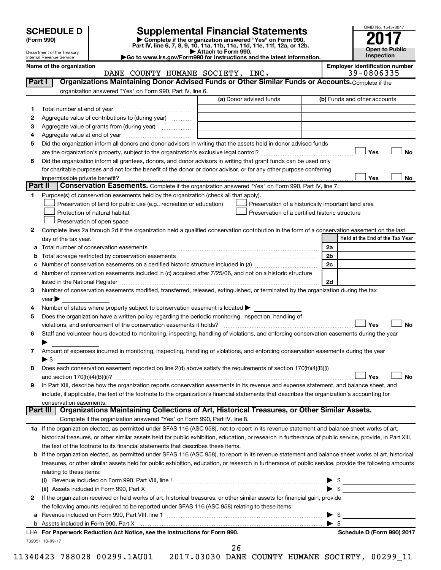| (Form 990) |
|------------|
|            |

# **SCHEDULE D Supplemental Financial Statements**<br> **Form 990 2017**<br> **Part IV** line 6.7.8.9.10, 11a, 11b, 11d, 11d, 11d, 11d, 11d, 12a, 0r, 12b

**(Form 990) | Complete if the organization answered "Yes" on Form 990, Part IV, line 6, 7, 8, 9, 10, 11a, 11b, 11c, 11d, 11e, 11f, 12a, or 12b.**

**| Attach to Form 990. |Go to www.irs.gov/Form990 for instructions and the latest information.**



Department of the Treasury Internal Revenue Service

Name of the organization<br> **Employer identification number**<br> **Employer identification number**<br> **Employer identification number**<br> **Employer identification number**<br> **Employer identification number** DANE COUNTY HUMANE SOCIETY, INC.

| Part I  | Organizations Maintaining Donor Advised Funds or Other Similar Funds or Accounts. Complete if the                                                                                                                             |                                                |                                                    |
|---------|-------------------------------------------------------------------------------------------------------------------------------------------------------------------------------------------------------------------------------|------------------------------------------------|----------------------------------------------------|
|         | organization answered "Yes" on Form 990, Part IV, line 6.                                                                                                                                                                     | (a) Donor advised funds                        | (b) Funds and other accounts                       |
|         |                                                                                                                                                                                                                               |                                                |                                                    |
| 1       | Aggregate value of contributions to (during year)                                                                                                                                                                             |                                                |                                                    |
| 2       | Aggregate value of grants from (during year)                                                                                                                                                                                  |                                                |                                                    |
| з<br>4  |                                                                                                                                                                                                                               |                                                |                                                    |
| 5       | Did the organization inform all donors and donor advisors in writing that the assets held in donor advised funds                                                                                                              |                                                |                                                    |
|         |                                                                                                                                                                                                                               |                                                | Yes<br>No                                          |
| 6       | Did the organization inform all grantees, donors, and donor advisors in writing that grant funds can be used only                                                                                                             |                                                |                                                    |
|         | for charitable purposes and not for the benefit of the donor or donor advisor, or for any other purpose conferring                                                                                                            |                                                |                                                    |
|         |                                                                                                                                                                                                                               |                                                | Yes<br>No                                          |
| Part II | Conservation Easements. Complete if the organization answered "Yes" on Form 990, Part IV, line 7.                                                                                                                             |                                                |                                                    |
| 1       | Purpose(s) of conservation easements held by the organization (check all that apply).                                                                                                                                         |                                                |                                                    |
|         | Preservation of land for public use (e.g., recreation or education)                                                                                                                                                           |                                                | Preservation of a historically important land area |
|         | Protection of natural habitat                                                                                                                                                                                                 | Preservation of a certified historic structure |                                                    |
|         | Preservation of open space                                                                                                                                                                                                    |                                                |                                                    |
| 2       | Complete lines 2a through 2d if the organization held a qualified conservation contribution in the form of a conservation easement on the last                                                                                |                                                |                                                    |
|         | day of the tax year.                                                                                                                                                                                                          |                                                | Held at the End of the Tax Year                    |
| а       |                                                                                                                                                                                                                               |                                                | 2a                                                 |
| b       |                                                                                                                                                                                                                               |                                                | 2 <sub>b</sub>                                     |
|         |                                                                                                                                                                                                                               |                                                | 2c                                                 |
|         | d Number of conservation easements included in (c) acquired after 7/25/06, and not on a historic structure                                                                                                                    |                                                |                                                    |
|         | listed in the National Register [111] Marshall Register [11] Marshall Register [11] Marshall Register [11] Marshall Register [11] Marshall Register [11] Marshall Register [11] Marshall Register [11] Marshall Register [11] |                                                | 2d                                                 |
| 3       | Number of conservation easements modified, transferred, released, extinguished, or terminated by the organization during the tax                                                                                              |                                                |                                                    |
|         | $year \triangleright$                                                                                                                                                                                                         |                                                |                                                    |
| 4       | Number of states where property subject to conservation easement is located $\blacktriangleright$                                                                                                                             |                                                |                                                    |
| 5       | Does the organization have a written policy regarding the periodic monitoring, inspection, handling of                                                                                                                        |                                                |                                                    |
|         | violations, and enforcement of the conservation easements it holds?                                                                                                                                                           |                                                | Yes<br><b>No</b>                                   |
| 6       | Staff and volunteer hours devoted to monitoring, inspecting, handling of violations, and enforcing conservation easements during the year                                                                                     |                                                |                                                    |
| 7       | Amount of expenses incurred in monitoring, inspecting, handling of violations, and enforcing conservation easements during the year                                                                                           |                                                |                                                    |
|         | ► \$                                                                                                                                                                                                                          |                                                |                                                    |
| 8       | Does each conservation easement reported on line 2(d) above satisfy the requirements of section 170(h)(4)(B)(i)                                                                                                               |                                                |                                                    |
|         |                                                                                                                                                                                                                               |                                                | Yes<br><b>No</b>                                   |
| 9       | In Part XIII, describe how the organization reports conservation easements in its revenue and expense statement, and balance sheet, and                                                                                       |                                                |                                                    |
|         | include, if applicable, the text of the footnote to the organization's financial statements that describes the organization's accounting for                                                                                  |                                                |                                                    |
|         | conservation easements.                                                                                                                                                                                                       |                                                |                                                    |
|         | Organizations Maintaining Collections of Art, Historical Treasures, or Other Similar Assets.<br>Part III                                                                                                                      |                                                |                                                    |
|         | Complete if the organization answered "Yes" on Form 990, Part IV, line 8.                                                                                                                                                     |                                                |                                                    |
|         | 1a If the organization elected, as permitted under SFAS 116 (ASC 958), not to report in its revenue statement and balance sheet works of art,                                                                                 |                                                |                                                    |
|         | historical treasures, or other similar assets held for public exhibition, education, or research in furtherance of public service, provide, in Part XIII,                                                                     |                                                |                                                    |
|         | the text of the footnote to its financial statements that describes these items.                                                                                                                                              |                                                |                                                    |
|         | <b>b</b> If the organization elected, as permitted under SFAS 116 (ASC 958), to report in its revenue statement and balance sheet works of art, historical                                                                    |                                                |                                                    |
|         | treasures, or other similar assets held for public exhibition, education, or research in furtherance of public service, provide the following amounts                                                                         |                                                |                                                    |
|         | relating to these items:                                                                                                                                                                                                      |                                                |                                                    |
|         |                                                                                                                                                                                                                               |                                                | $\triangleright$ \$                                |
|         | (ii) Assets included in Form 990, Part X                                                                                                                                                                                      |                                                | $\triangleright$ \$                                |
| 2       | If the organization received or held works of art, historical treasures, or other similar assets for financial gain, provide                                                                                                  |                                                |                                                    |
|         | the following amounts required to be reported under SFAS 116 (ASC 958) relating to these items:                                                                                                                               |                                                |                                                    |
| a       |                                                                                                                                                                                                                               |                                                | - \$<br>▶                                          |
|         | b Assets included in Form 990, Part X [11, 120] Marten and March 2014 March 2015 (120) March 2015 (120) March 2015                                                                                                            |                                                | $\blacktriangleright$ s                            |
|         | LHA For Paperwork Reduction Act Notice, see the Instructions for Form 990.                                                                                                                                                    |                                                | Schedule D (Form 990) 2017                         |
|         | 732051 10-09-17                                                                                                                                                                                                               | 26                                             |                                                    |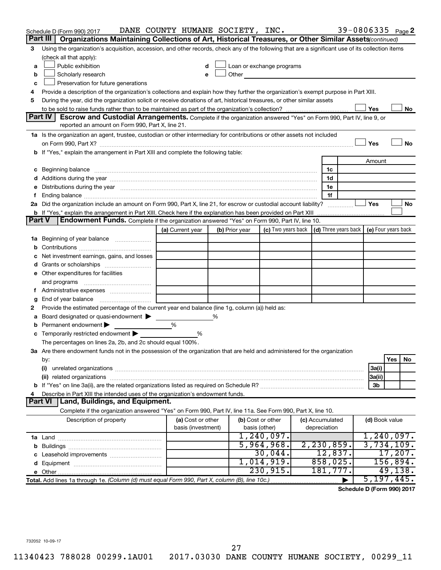|               | Schedule D (Form 990) 2017                                                                                                                                                                                                     | DANE COUNTY HUMANE SOCIETY, INC. |                |                   |                                                                                                                                                                                                                               |                     |                | 39-0806335 Page 2                          |
|---------------|--------------------------------------------------------------------------------------------------------------------------------------------------------------------------------------------------------------------------------|----------------------------------|----------------|-------------------|-------------------------------------------------------------------------------------------------------------------------------------------------------------------------------------------------------------------------------|---------------------|----------------|--------------------------------------------|
|               | Part III<br>Organizations Maintaining Collections of Art, Historical Treasures, or Other Similar Assets(continued)                                                                                                             |                                  |                |                   |                                                                                                                                                                                                                               |                     |                |                                            |
| 3             | Using the organization's acquisition, accession, and other records, check any of the following that are a significant use of its collection items                                                                              |                                  |                |                   |                                                                                                                                                                                                                               |                     |                |                                            |
|               | (check all that apply):                                                                                                                                                                                                        |                                  |                |                   |                                                                                                                                                                                                                               |                     |                |                                            |
| a             | Public exhibition                                                                                                                                                                                                              |                                  |                |                   | Loan or exchange programs                                                                                                                                                                                                     |                     |                |                                            |
| b             | Scholarly research                                                                                                                                                                                                             | е                                |                |                   | Other and the contract of the contract of the contract of the contract of the contract of the contract of the contract of the contract of the contract of the contract of the contract of the contract of the contract of the |                     |                |                                            |
| с             | Preservation for future generations                                                                                                                                                                                            |                                  |                |                   |                                                                                                                                                                                                                               |                     |                |                                            |
| 4             | Provide a description of the organization's collections and explain how they further the organization's exempt purpose in Part XIII.                                                                                           |                                  |                |                   |                                                                                                                                                                                                                               |                     |                |                                            |
| 5             | During the year, did the organization solicit or receive donations of art, historical treasures, or other similar assets                                                                                                       |                                  |                |                   |                                                                                                                                                                                                                               |                     |                |                                            |
|               | Part IV<br>Escrow and Custodial Arrangements. Complete if the organization answered "Yes" on Form 990, Part IV, line 9, or                                                                                                     |                                  |                |                   |                                                                                                                                                                                                                               |                     | Yes            | No                                         |
|               | reported an amount on Form 990, Part X, line 21.                                                                                                                                                                               |                                  |                |                   |                                                                                                                                                                                                                               |                     |                |                                            |
|               | 1a Is the organization an agent, trustee, custodian or other intermediary for contributions or other assets not included                                                                                                       |                                  |                |                   |                                                                                                                                                                                                                               |                     |                |                                            |
|               |                                                                                                                                                                                                                                |                                  |                |                   |                                                                                                                                                                                                                               |                     | Yes            | No                                         |
|               | b If "Yes," explain the arrangement in Part XIII and complete the following table:                                                                                                                                             |                                  |                |                   |                                                                                                                                                                                                                               |                     |                |                                            |
|               |                                                                                                                                                                                                                                |                                  |                |                   |                                                                                                                                                                                                                               |                     | Amount         |                                            |
|               |                                                                                                                                                                                                                                |                                  |                |                   |                                                                                                                                                                                                                               | 1c                  |                |                                            |
|               |                                                                                                                                                                                                                                |                                  |                |                   |                                                                                                                                                                                                                               | 1d                  |                |                                            |
| е             | Distributions during the year manufactured and an account of the year manufactured and the year manufactured and the year manufactured and the year manufactured and the year manufactured and the year manufactured and the y |                                  |                |                   |                                                                                                                                                                                                                               | 1e                  |                |                                            |
| f.            |                                                                                                                                                                                                                                |                                  |                |                   |                                                                                                                                                                                                                               | 1f                  |                |                                            |
|               | 2a Did the organization include an amount on Form 990, Part X, line 21, for escrow or custodial account liability?                                                                                                             |                                  |                |                   |                                                                                                                                                                                                                               |                     | Yes            | No                                         |
|               | <b>b</b> If "Yes," explain the arrangement in Part XIII. Check here if the explanation has been provided on Part XIII                                                                                                          |                                  |                |                   |                                                                                                                                                                                                                               |                     |                |                                            |
| <b>Part V</b> | Endowment Funds. Complete if the organization answered "Yes" on Form 990, Part IV, line 10.                                                                                                                                    |                                  |                |                   |                                                                                                                                                                                                                               |                     |                |                                            |
|               |                                                                                                                                                                                                                                | (a) Current year                 | (b) Prior year |                   | (c) Two years back                                                                                                                                                                                                            |                     |                | (d) Three years back   (e) Four years back |
|               | 1a Beginning of year balance                                                                                                                                                                                                   |                                  |                |                   |                                                                                                                                                                                                                               |                     |                |                                            |
| b             |                                                                                                                                                                                                                                |                                  |                |                   |                                                                                                                                                                                                                               |                     |                |                                            |
|               | Net investment earnings, gains, and losses                                                                                                                                                                                     |                                  |                |                   |                                                                                                                                                                                                                               |                     |                |                                            |
| d             |                                                                                                                                                                                                                                |                                  |                |                   |                                                                                                                                                                                                                               |                     |                |                                            |
|               | e Other expenditures for facilities                                                                                                                                                                                            |                                  |                |                   |                                                                                                                                                                                                                               |                     |                |                                            |
|               | and programs                                                                                                                                                                                                                   |                                  |                |                   |                                                                                                                                                                                                                               |                     |                |                                            |
|               |                                                                                                                                                                                                                                |                                  |                |                   |                                                                                                                                                                                                                               |                     |                |                                            |
| g             | Provide the estimated percentage of the current year end balance (line 1g, column (a)) held as:                                                                                                                                |                                  |                |                   |                                                                                                                                                                                                                               |                     |                |                                            |
| 2<br>а        | Board designated or quasi-endowment                                                                                                                                                                                            |                                  | %              |                   |                                                                                                                                                                                                                               |                     |                |                                            |
| b             | Permanent endowment                                                                                                                                                                                                            | %                                |                |                   |                                                                                                                                                                                                                               |                     |                |                                            |
| с             | Temporarily restricted endowment                                                                                                                                                                                               | %                                |                |                   |                                                                                                                                                                                                                               |                     |                |                                            |
|               | The percentages on lines 2a, 2b, and 2c should equal 100%.                                                                                                                                                                     |                                  |                |                   |                                                                                                                                                                                                                               |                     |                |                                            |
|               | 3a Are there endowment funds not in the possession of the organization that are held and administered for the organization                                                                                                     |                                  |                |                   |                                                                                                                                                                                                                               |                     |                |                                            |
|               | by:                                                                                                                                                                                                                            |                                  |                |                   |                                                                                                                                                                                                                               |                     |                | Yes<br>No                                  |
|               | (i)                                                                                                                                                                                                                            |                                  |                |                   |                                                                                                                                                                                                                               |                     | 3a(i)          |                                            |
|               |                                                                                                                                                                                                                                |                                  |                |                   |                                                                                                                                                                                                                               |                     | 3a(ii)         |                                            |
|               |                                                                                                                                                                                                                                |                                  |                |                   |                                                                                                                                                                                                                               |                     | 3b             |                                            |
| 4             | Describe in Part XIII the intended uses of the organization's endowment funds.                                                                                                                                                 |                                  |                |                   |                                                                                                                                                                                                                               |                     |                |                                            |
|               | Part VI   Land, Buildings, and Equipment.                                                                                                                                                                                      |                                  |                |                   |                                                                                                                                                                                                                               |                     |                |                                            |
|               | Complete if the organization answered "Yes" on Form 990, Part IV, line 11a. See Form 990, Part X, line 10.                                                                                                                     |                                  |                |                   |                                                                                                                                                                                                                               |                     |                |                                            |
|               | Description of property                                                                                                                                                                                                        | (a) Cost or other                |                | (b) Cost or other |                                                                                                                                                                                                                               | (c) Accumulated     | (d) Book value |                                            |
|               |                                                                                                                                                                                                                                | basis (investment)               |                | basis (other)     |                                                                                                                                                                                                                               | depreciation        |                |                                            |
|               |                                                                                                                                                                                                                                |                                  |                |                   | 1,240,097.                                                                                                                                                                                                                    |                     |                | 1,240,097.                                 |
|               |                                                                                                                                                                                                                                |                                  |                |                   | 5,964,968.                                                                                                                                                                                                                    | 2, 230, 859.        |                | 3,734,109.                                 |
| c             |                                                                                                                                                                                                                                |                                  |                |                   | 30,044.<br>1,014,919.                                                                                                                                                                                                         | 12,837.<br>858,025. |                | 17,207.<br>156,894.                        |
|               |                                                                                                                                                                                                                                |                                  |                |                   | 230,915.                                                                                                                                                                                                                      | 181,777.            |                | 49, 138.                                   |
|               |                                                                                                                                                                                                                                |                                  |                |                   |                                                                                                                                                                                                                               |                     |                | 5, 197, 445.                               |
|               |                                                                                                                                                                                                                                |                                  |                |                   |                                                                                                                                                                                                                               |                     |                |                                            |

**Schedule D (Form 990) 2017**

732052 10-09-17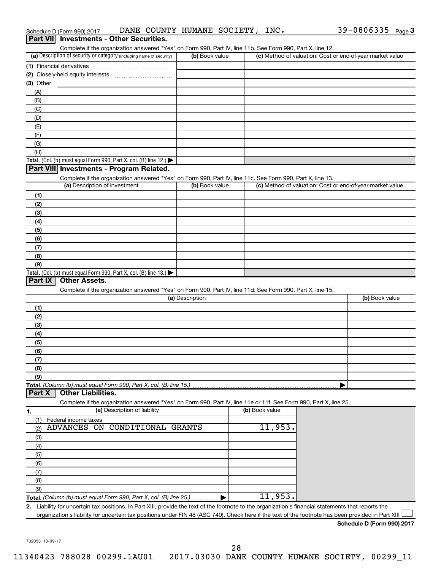|             | Schedule D (Form 990) 2017               | DANE COUNTY HUMANE SOCIETY, INC.                                                                                                                                                   |                 |                |                                                           | 39-0806335 $_{Page}$ 3     |  |
|-------------|------------------------------------------|------------------------------------------------------------------------------------------------------------------------------------------------------------------------------------|-----------------|----------------|-----------------------------------------------------------|----------------------------|--|
|             | Part VII Investments - Other Securities. |                                                                                                                                                                                    |                 |                |                                                           |                            |  |
|             |                                          | Complete if the organization answered "Yes" on Form 990, Part IV, line 11b. See Form 990, Part X, line 12.<br>(a) Description of security or category (including name of security) |                 |                |                                                           |                            |  |
|             |                                          |                                                                                                                                                                                    | (b) Book value  |                | (c) Method of valuation: Cost or end-of-year market value |                            |  |
|             | (1) Financial derivatives                |                                                                                                                                                                                    |                 |                |                                                           |                            |  |
| $(3)$ Other |                                          |                                                                                                                                                                                    |                 |                |                                                           |                            |  |
| (A)         |                                          |                                                                                                                                                                                    |                 |                |                                                           |                            |  |
| (B)         |                                          |                                                                                                                                                                                    |                 |                |                                                           |                            |  |
| (C)         |                                          |                                                                                                                                                                                    |                 |                |                                                           |                            |  |
| (D)         |                                          |                                                                                                                                                                                    |                 |                |                                                           |                            |  |
| (E)         |                                          |                                                                                                                                                                                    |                 |                |                                                           |                            |  |
| (F)         |                                          |                                                                                                                                                                                    |                 |                |                                                           |                            |  |
| (G)         |                                          |                                                                                                                                                                                    |                 |                |                                                           |                            |  |
| (H)         |                                          |                                                                                                                                                                                    |                 |                |                                                           |                            |  |
|             |                                          | Total. (Col. (b) must equal Form 990, Part X, col. (B) line 12.)                                                                                                                   |                 |                |                                                           |                            |  |
|             |                                          | Part VIII Investments - Program Related.                                                                                                                                           |                 |                |                                                           |                            |  |
|             | (a) Description of investment            | Complete if the organization answered "Yes" on Form 990, Part IV, line 11c. See Form 990, Part X, line 13.                                                                         | (b) Book value  |                | (c) Method of valuation: Cost or end-of-year market value |                            |  |
|             |                                          |                                                                                                                                                                                    |                 |                |                                                           |                            |  |
| (1)<br>(2)  |                                          |                                                                                                                                                                                    |                 |                |                                                           |                            |  |
| (3)         |                                          |                                                                                                                                                                                    |                 |                |                                                           |                            |  |
| (4)         |                                          |                                                                                                                                                                                    |                 |                |                                                           |                            |  |
| (5)         |                                          |                                                                                                                                                                                    |                 |                |                                                           |                            |  |
| (6)         |                                          |                                                                                                                                                                                    |                 |                |                                                           |                            |  |
| (7)         |                                          |                                                                                                                                                                                    |                 |                |                                                           |                            |  |
| (8)         |                                          |                                                                                                                                                                                    |                 |                |                                                           |                            |  |
| (9)         |                                          |                                                                                                                                                                                    |                 |                |                                                           |                            |  |
|             |                                          | Total. (Col. (b) must equal Form 990, Part X, col. (B) line $13.$ )                                                                                                                |                 |                |                                                           |                            |  |
| Part IX     | <b>Other Assets.</b>                     |                                                                                                                                                                                    |                 |                |                                                           |                            |  |
|             |                                          | Complete if the organization answered "Yes" on Form 990, Part IV, line 11d. See Form 990, Part X, line 15.                                                                         | (a) Description |                |                                                           | (b) Book value             |  |
|             |                                          |                                                                                                                                                                                    |                 |                |                                                           |                            |  |
| (1)<br>(2)  |                                          |                                                                                                                                                                                    |                 |                |                                                           |                            |  |
| (3)         |                                          |                                                                                                                                                                                    |                 |                |                                                           |                            |  |
| (4)         |                                          |                                                                                                                                                                                    |                 |                |                                                           |                            |  |
| (5)         |                                          |                                                                                                                                                                                    |                 |                |                                                           |                            |  |
| (6)         |                                          |                                                                                                                                                                                    |                 |                |                                                           |                            |  |
| (7)         |                                          |                                                                                                                                                                                    |                 |                |                                                           |                            |  |
| (8)         |                                          |                                                                                                                                                                                    |                 |                |                                                           |                            |  |
| (9)         |                                          |                                                                                                                                                                                    |                 |                |                                                           |                            |  |
|             |                                          | Total. (Column (b) must equal Form 990, Part X, col. (B) line 15.)                                                                                                                 |                 |                |                                                           |                            |  |
| Part X      | <b>Other Liabilities.</b>                |                                                                                                                                                                                    |                 |                |                                                           |                            |  |
|             |                                          | Complete if the organization answered "Yes" on Form 990, Part IV, line 11e or 11f. See Form 990, Part X, line 25.<br>(a) Description of liability                                  |                 | (b) Book value |                                                           |                            |  |
| 1.          | Federal income taxes                     |                                                                                                                                                                                    |                 |                |                                                           |                            |  |
| (1)<br>(2)  | <b>ADVANCES ON</b>                       | <b>CONDITIONAL GRANTS</b>                                                                                                                                                          |                 | 11,953.        |                                                           |                            |  |
| (3)         |                                          |                                                                                                                                                                                    |                 |                |                                                           |                            |  |
| (4)         |                                          |                                                                                                                                                                                    |                 |                |                                                           |                            |  |
| (5)         |                                          |                                                                                                                                                                                    |                 |                |                                                           |                            |  |
| (6)         |                                          |                                                                                                                                                                                    |                 |                |                                                           |                            |  |
| (7)         |                                          |                                                                                                                                                                                    |                 |                |                                                           |                            |  |
| (8)         |                                          |                                                                                                                                                                                    |                 |                |                                                           |                            |  |
| (9)         |                                          |                                                                                                                                                                                    |                 |                |                                                           |                            |  |
|             |                                          | Total. (Column (b) must equal Form 990, Part X, col. (B) line 25.)                                                                                                                 |                 | 11,953.        |                                                           |                            |  |
|             |                                          | 2. Liability for uncertain tax positions. In Part XIII, provide the text of the footnote to the organization's financial statements that reports the                               |                 |                |                                                           |                            |  |
|             |                                          | organization's liability for uncertain tax positions under FIN 48 (ASC 740). Check here if the text of the footnote has been provided in Part XIII                                 |                 |                |                                                           |                            |  |
|             |                                          |                                                                                                                                                                                    |                 |                |                                                           | Schodule D (Form 990) 2017 |  |

**Schedule D (Form 990) 2017**

732053 10-09-17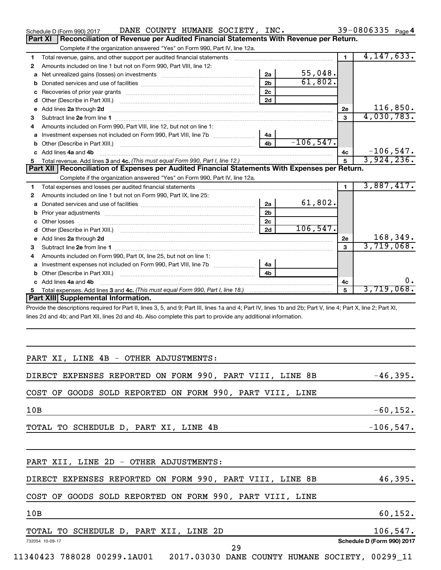| DANE COUNTY HUMANE SOCIETY, INC.<br>Schedule D (Form 990) 2017                                                                                                                                                                           |                |              | 39-0806335 Page 4 |              |             |
|------------------------------------------------------------------------------------------------------------------------------------------------------------------------------------------------------------------------------------------|----------------|--------------|-------------------|--------------|-------------|
| Reconciliation of Revenue per Audited Financial Statements With Revenue per Return.<br>Part XI                                                                                                                                           |                |              |                   |              |             |
| Complete if the organization answered "Yes" on Form 990, Part IV, line 12a.                                                                                                                                                              |                |              |                   |              |             |
| 1                                                                                                                                                                                                                                        |                |              | $\blacksquare$    | 4, 147, 633. |             |
| Amounts included on line 1 but not on Form 990, Part VIII, line 12:<br>2                                                                                                                                                                 |                |              |                   |              |             |
| а                                                                                                                                                                                                                                        | 2a             | 55,048.      |                   |              |             |
| b                                                                                                                                                                                                                                        | 2 <sub>b</sub> | 61,802.      |                   |              |             |
| с                                                                                                                                                                                                                                        | 2 <sub>c</sub> |              |                   |              |             |
| d                                                                                                                                                                                                                                        | 2d             |              |                   |              |             |
| Add lines 2a through 2d<br>е                                                                                                                                                                                                             |                |              | 2e                | 116,850.     |             |
| 3                                                                                                                                                                                                                                        |                |              | 3                 | 4,030,783.   |             |
| Amounts included on Form 990, Part VIII, line 12, but not on line 1:<br>4                                                                                                                                                                |                |              |                   |              |             |
| а                                                                                                                                                                                                                                        | 4а             |              |                   |              |             |
| Other (Describe in Part XIII.) <b>Construction Contract Construction</b> Construction Construction Construction Const<br>b                                                                                                               | 4 <sub>b</sub> | $-106, 547.$ |                   |              |             |
| c Add lines 4a and 4b                                                                                                                                                                                                                    |                |              | 4c                | $-106, 547.$ |             |
| 5.<br>Part XII   Reconciliation of Expenses per Audited Financial Statements With Expenses per Return.                                                                                                                                   |                |              | 5                 | 3,924,236.   |             |
| Complete if the organization answered "Yes" on Form 990, Part IV, line 12a.                                                                                                                                                              |                |              |                   |              |             |
|                                                                                                                                                                                                                                          |                |              | $\blacksquare$    | 3,887,417.   |             |
| 1<br>Amounts included on line 1 but not on Form 990, Part IX, line 25:<br>2                                                                                                                                                              |                |              |                   |              |             |
| а                                                                                                                                                                                                                                        | 2a             | 61,802.      |                   |              |             |
| b                                                                                                                                                                                                                                        | 2 <sub>b</sub> |              |                   |              |             |
|                                                                                                                                                                                                                                          | 2 <sub>c</sub> |              |                   |              |             |
| d                                                                                                                                                                                                                                        | 2d             | 106, 547.    |                   |              |             |
| Add lines 2a through 2d <b>contained a contained a contained a contained a</b> contained a contained a contained a contained a contained a contained a contained a contained a contained a contained a contained a contained a cont<br>е |                |              | 2e                | 168,349.     |             |
| 3                                                                                                                                                                                                                                        |                |              | 3                 | 3,719,068.   |             |
| Amounts included on Form 990, Part IX, line 25, but not on line 1:<br>4                                                                                                                                                                  |                |              |                   |              |             |
| а                                                                                                                                                                                                                                        | 4a             |              |                   |              |             |
| b                                                                                                                                                                                                                                        | 4 <sub>b</sub> |              |                   |              |             |
| c Add lines 4a and 4b                                                                                                                                                                                                                    |                |              | 4c                |              | υ.          |
| 5.                                                                                                                                                                                                                                       |                |              | 5                 | 3,719,068.   |             |
| <b>Part XIII Supplemental Information.</b>                                                                                                                                                                                               |                |              |                   |              |             |
| Provide the descriptions required for Part II, lines 3, 5, and 9; Part III, lines 1a and 4; Part IV, lines 1b and 2b; Part V, line 4; Part X, line 2; Part XI,                                                                           |                |              |                   |              |             |
| lines 2d and 4b; and Part XII, lines 2d and 4b. Also complete this part to provide any additional information.                                                                                                                           |                |              |                   |              |             |
|                                                                                                                                                                                                                                          |                |              |                   |              |             |
|                                                                                                                                                                                                                                          |                |              |                   |              |             |
|                                                                                                                                                                                                                                          |                |              |                   |              |             |
|                                                                                                                                                                                                                                          |                |              |                   |              |             |
| PART XI, LINE 4B - OTHER ADJUSTMENTS:                                                                                                                                                                                                    |                |              |                   |              |             |
| DIRECT EXPENSES REPORTED ON FORM 990, PART VIII, LINE 8B                                                                                                                                                                                 |                |              |                   | $-46,395.$   |             |
|                                                                                                                                                                                                                                          |                |              |                   |              |             |
| COST OF GOODS SOLD REPORTED ON FORM 990, PART VIII, LINE                                                                                                                                                                                 |                |              |                   |              |             |
|                                                                                                                                                                                                                                          |                |              |                   |              |             |
| 10B                                                                                                                                                                                                                                      |                |              |                   |              | $-60, 152.$ |
|                                                                                                                                                                                                                                          |                |              |                   |              |             |
| TOTAL TO SCHEDULE D, PART XI, LINE 4B                                                                                                                                                                                                    |                |              |                   | $-106, 547.$ |             |
|                                                                                                                                                                                                                                          |                |              |                   |              |             |
|                                                                                                                                                                                                                                          |                |              |                   |              |             |
|                                                                                                                                                                                                                                          |                |              |                   |              |             |
| PART XII, LINE 2D - OTHER ADJUSTMENTS:                                                                                                                                                                                                   |                |              |                   |              |             |
|                                                                                                                                                                                                                                          |                |              |                   |              |             |
| DIRECT EXPENSES REPORTED ON FORM 990, PART VIII, LINE 8B                                                                                                                                                                                 |                |              |                   |              | 46,395.     |
|                                                                                                                                                                                                                                          |                |              |                   |              |             |
| COST OF GOODS SOLD REPORTED ON FORM 990, PART VIII, LINE                                                                                                                                                                                 |                |              |                   |              |             |
|                                                                                                                                                                                                                                          |                |              |                   |              |             |
| 10B                                                                                                                                                                                                                                      |                |              |                   |              | 60, 152.    |

|                 | TOTAL TO SCHEDULE D, PART XII, LINE |  |  | 2D | $106,547$ .                |
|-----------------|-------------------------------------|--|--|----|----------------------------|
| 732054 10-09-17 |                                     |  |  |    | Schedule D (Form 990) 2017 |
|                 |                                     |  |  |    |                            |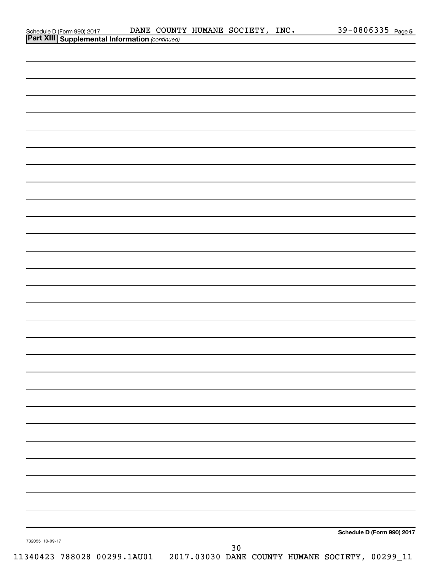|                                                                                         | DANE COUNTY HUMANE SOCIETY, INC. |  | 39-0806335 Page 5          |
|-----------------------------------------------------------------------------------------|----------------------------------|--|----------------------------|
| Schedule D (Form 990) 2017 DANE COUNT<br>Part XIII Supplemental Information (continued) |                                  |  |                            |
|                                                                                         |                                  |  |                            |
|                                                                                         |                                  |  |                            |
|                                                                                         |                                  |  |                            |
|                                                                                         |                                  |  |                            |
|                                                                                         |                                  |  |                            |
|                                                                                         |                                  |  |                            |
|                                                                                         |                                  |  |                            |
|                                                                                         |                                  |  |                            |
|                                                                                         |                                  |  |                            |
|                                                                                         |                                  |  |                            |
|                                                                                         |                                  |  |                            |
|                                                                                         |                                  |  |                            |
|                                                                                         |                                  |  |                            |
|                                                                                         |                                  |  |                            |
|                                                                                         |                                  |  |                            |
|                                                                                         |                                  |  |                            |
|                                                                                         |                                  |  |                            |
|                                                                                         |                                  |  |                            |
|                                                                                         |                                  |  |                            |
|                                                                                         |                                  |  |                            |
|                                                                                         |                                  |  |                            |
|                                                                                         |                                  |  |                            |
|                                                                                         |                                  |  |                            |
|                                                                                         |                                  |  |                            |
|                                                                                         |                                  |  |                            |
|                                                                                         |                                  |  |                            |
|                                                                                         |                                  |  |                            |
|                                                                                         |                                  |  |                            |
|                                                                                         |                                  |  |                            |
|                                                                                         |                                  |  |                            |
|                                                                                         |                                  |  |                            |
|                                                                                         |                                  |  |                            |
|                                                                                         |                                  |  |                            |
|                                                                                         |                                  |  |                            |
|                                                                                         |                                  |  |                            |
|                                                                                         |                                  |  |                            |
|                                                                                         |                                  |  |                            |
|                                                                                         |                                  |  |                            |
|                                                                                         |                                  |  |                            |
|                                                                                         |                                  |  |                            |
|                                                                                         |                                  |  |                            |
|                                                                                         |                                  |  |                            |
|                                                                                         |                                  |  |                            |
|                                                                                         |                                  |  |                            |
|                                                                                         |                                  |  |                            |
|                                                                                         |                                  |  |                            |
|                                                                                         |                                  |  |                            |
|                                                                                         |                                  |  |                            |
|                                                                                         |                                  |  |                            |
|                                                                                         |                                  |  |                            |
|                                                                                         |                                  |  |                            |
|                                                                                         |                                  |  | Schedule D (Form 990) 2017 |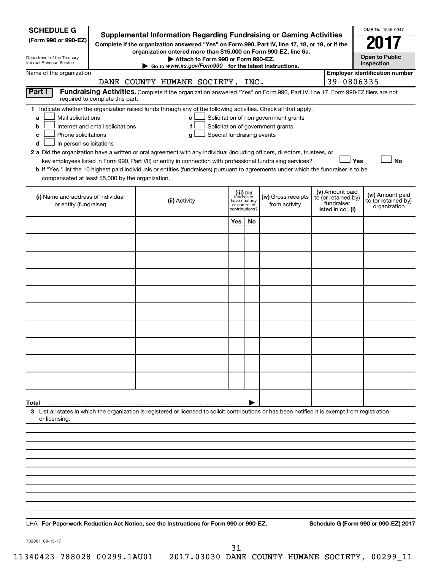| <b>SCHEDULE G</b><br>(Form 990 or 990-EZ)<br>Department of the Treasury<br>Internal Revenue Service                                                                               | <b>Supplemental Information Regarding Fundraising or Gaming Activities</b><br>Complete if the organization answered "Yes" on Form 990, Part IV, line 17, 18, or 19, or if the<br>organization entered more than \$15,000 on Form 990-EZ, line 6a.<br>Attach to Form 990 or Form 990-EZ.<br>$\triangleright$ Go to www.irs.gov/Form990 for the latest instructions. |                                                                                                                                                                                                                                                                                                                                                                                                                                                                                                                                                    |                                                                            |    |                                                                            |  |                                                                            |                                                         |  |  |  |  |
|-----------------------------------------------------------------------------------------------------------------------------------------------------------------------------------|--------------------------------------------------------------------------------------------------------------------------------------------------------------------------------------------------------------------------------------------------------------------------------------------------------------------------------------------------------------------|----------------------------------------------------------------------------------------------------------------------------------------------------------------------------------------------------------------------------------------------------------------------------------------------------------------------------------------------------------------------------------------------------------------------------------------------------------------------------------------------------------------------------------------------------|----------------------------------------------------------------------------|----|----------------------------------------------------------------------------|--|----------------------------------------------------------------------------|---------------------------------------------------------|--|--|--|--|
| Name of the organization                                                                                                                                                          |                                                                                                                                                                                                                                                                                                                                                                    | DANE COUNTY HUMANE SOCIETY, INC.                                                                                                                                                                                                                                                                                                                                                                                                                                                                                                                   |                                                                            |    |                                                                            |  | 39-0806335                                                                 | <b>Employer identification number</b>                   |  |  |  |  |
| Part I<br>required to complete this part.                                                                                                                                         |                                                                                                                                                                                                                                                                                                                                                                    | Fundraising Activities. Complete if the organization answered "Yes" on Form 990, Part IV, line 17. Form 990-EZ filers are not                                                                                                                                                                                                                                                                                                                                                                                                                      |                                                                            |    |                                                                            |  |                                                                            |                                                         |  |  |  |  |
| Mail solicitations<br>a<br>Internet and email solicitations<br>b<br>Phone solicitations<br>с<br>In-person solicitations<br>d<br>compensated at least \$5,000 by the organization. |                                                                                                                                                                                                                                                                                                                                                                    | 1 Indicate whether the organization raised funds through any of the following activities. Check all that apply.<br>е<br>f<br>Special fundraising events<br>g<br>2 a Did the organization have a written or oral agreement with any individual (including officers, directors, trustees, or<br>key employees listed in Form 990, Part VII) or entity in connection with professional fundraising services?<br>b If "Yes," list the 10 highest paid individuals or entities (fundraisers) pursuant to agreements under which the fundraiser is to be |                                                                            |    | Solicitation of non-government grants<br>Solicitation of government grants |  |                                                                            | Yes<br><b>No</b>                                        |  |  |  |  |
| (i) Name and address of individual<br>or entity (fundraiser)                                                                                                                      |                                                                                                                                                                                                                                                                                                                                                                    | (ii) Activity                                                                                                                                                                                                                                                                                                                                                                                                                                                                                                                                      | (iii) Did<br>fundraiser<br>have custody<br>or control of<br>contributions? |    | (iv) Gross receipts<br>from activity                                       |  | (v) Amount paid<br>to (or retained by)<br>fundraiser<br>listed in col. (i) | (vi) Amount paid<br>to (or retained by)<br>organization |  |  |  |  |
|                                                                                                                                                                                   |                                                                                                                                                                                                                                                                                                                                                                    |                                                                                                                                                                                                                                                                                                                                                                                                                                                                                                                                                    | Yes                                                                        | No |                                                                            |  |                                                                            |                                                         |  |  |  |  |
|                                                                                                                                                                                   |                                                                                                                                                                                                                                                                                                                                                                    |                                                                                                                                                                                                                                                                                                                                                                                                                                                                                                                                                    |                                                                            |    |                                                                            |  |                                                                            |                                                         |  |  |  |  |
|                                                                                                                                                                                   |                                                                                                                                                                                                                                                                                                                                                                    |                                                                                                                                                                                                                                                                                                                                                                                                                                                                                                                                                    |                                                                            |    |                                                                            |  |                                                                            |                                                         |  |  |  |  |
|                                                                                                                                                                                   |                                                                                                                                                                                                                                                                                                                                                                    |                                                                                                                                                                                                                                                                                                                                                                                                                                                                                                                                                    |                                                                            |    |                                                                            |  |                                                                            |                                                         |  |  |  |  |
|                                                                                                                                                                                   |                                                                                                                                                                                                                                                                                                                                                                    |                                                                                                                                                                                                                                                                                                                                                                                                                                                                                                                                                    |                                                                            |    |                                                                            |  |                                                                            |                                                         |  |  |  |  |
|                                                                                                                                                                                   |                                                                                                                                                                                                                                                                                                                                                                    |                                                                                                                                                                                                                                                                                                                                                                                                                                                                                                                                                    |                                                                            |    |                                                                            |  |                                                                            |                                                         |  |  |  |  |
|                                                                                                                                                                                   |                                                                                                                                                                                                                                                                                                                                                                    |                                                                                                                                                                                                                                                                                                                                                                                                                                                                                                                                                    |                                                                            |    |                                                                            |  |                                                                            |                                                         |  |  |  |  |
|                                                                                                                                                                                   |                                                                                                                                                                                                                                                                                                                                                                    |                                                                                                                                                                                                                                                                                                                                                                                                                                                                                                                                                    |                                                                            |    |                                                                            |  |                                                                            |                                                         |  |  |  |  |
|                                                                                                                                                                                   |                                                                                                                                                                                                                                                                                                                                                                    |                                                                                                                                                                                                                                                                                                                                                                                                                                                                                                                                                    |                                                                            |    |                                                                            |  |                                                                            |                                                         |  |  |  |  |
|                                                                                                                                                                                   |                                                                                                                                                                                                                                                                                                                                                                    |                                                                                                                                                                                                                                                                                                                                                                                                                                                                                                                                                    |                                                                            |    |                                                                            |  |                                                                            |                                                         |  |  |  |  |
| Total                                                                                                                                                                             |                                                                                                                                                                                                                                                                                                                                                                    | 3 List all states in which the organization is registered or licensed to solicit contributions or has been notified it is exempt from registration                                                                                                                                                                                                                                                                                                                                                                                                 |                                                                            |    |                                                                            |  |                                                                            |                                                         |  |  |  |  |
| or licensing.                                                                                                                                                                     |                                                                                                                                                                                                                                                                                                                                                                    |                                                                                                                                                                                                                                                                                                                                                                                                                                                                                                                                                    |                                                                            |    |                                                                            |  |                                                                            |                                                         |  |  |  |  |
|                                                                                                                                                                                   |                                                                                                                                                                                                                                                                                                                                                                    |                                                                                                                                                                                                                                                                                                                                                                                                                                                                                                                                                    |                                                                            |    |                                                                            |  |                                                                            |                                                         |  |  |  |  |
|                                                                                                                                                                                   |                                                                                                                                                                                                                                                                                                                                                                    |                                                                                                                                                                                                                                                                                                                                                                                                                                                                                                                                                    |                                                                            |    |                                                                            |  |                                                                            |                                                         |  |  |  |  |
|                                                                                                                                                                                   |                                                                                                                                                                                                                                                                                                                                                                    |                                                                                                                                                                                                                                                                                                                                                                                                                                                                                                                                                    |                                                                            |    |                                                                            |  |                                                                            |                                                         |  |  |  |  |
|                                                                                                                                                                                   |                                                                                                                                                                                                                                                                                                                                                                    |                                                                                                                                                                                                                                                                                                                                                                                                                                                                                                                                                    |                                                                            |    |                                                                            |  |                                                                            |                                                         |  |  |  |  |
|                                                                                                                                                                                   |                                                                                                                                                                                                                                                                                                                                                                    |                                                                                                                                                                                                                                                                                                                                                                                                                                                                                                                                                    |                                                                            |    |                                                                            |  |                                                                            |                                                         |  |  |  |  |
|                                                                                                                                                                                   |                                                                                                                                                                                                                                                                                                                                                                    |                                                                                                                                                                                                                                                                                                                                                                                                                                                                                                                                                    |                                                                            |    |                                                                            |  |                                                                            |                                                         |  |  |  |  |
|                                                                                                                                                                                   |                                                                                                                                                                                                                                                                                                                                                                    |                                                                                                                                                                                                                                                                                                                                                                                                                                                                                                                                                    |                                                                            |    |                                                                            |  |                                                                            |                                                         |  |  |  |  |

**For Paperwork Reduction Act Notice, see the Instructions for Form 990 or 990-EZ. Schedule G (Form 990 or 990-EZ) 2017** LHA

732081 09-13-17

31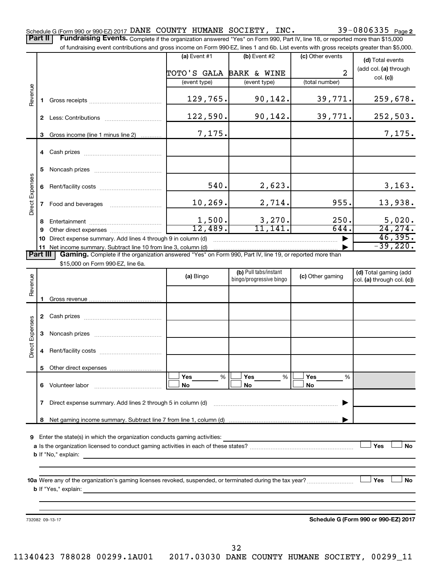39-0806335 Page 2 Schedule G (Form 990 or 990-EZ) 2017  $\verb|DANE"$  COUNTY HUMANE SOCIETY, INC.  $39-0806335$   $_{\sf Page}$ Part II | Fundraising Events. Complete if the organization answered "Yes" on Form 990, Part IV, line 18, or reported more than \$15,000

|                        |              | of fundraising event contributions and gross income on Form 990-EZ, lines 1 and 6b. List events with gross receipts greater than \$5,000.                                   |                         |                                                  |                       |                                                     |
|------------------------|--------------|-----------------------------------------------------------------------------------------------------------------------------------------------------------------------------|-------------------------|--------------------------------------------------|-----------------------|-----------------------------------------------------|
|                        |              |                                                                                                                                                                             | (a) Event $#1$          | $(b)$ Event #2                                   | (c) Other events      | (d) Total events                                    |
|                        |              |                                                                                                                                                                             | TOTO'S GALA BARK & WINE |                                                  | $\overline{2}$        | (add col. (a) through                               |
|                        |              |                                                                                                                                                                             | (event type)            | (event type)                                     | (total number)        | col. (c)                                            |
| Revenue                |              |                                                                                                                                                                             | 129,765.                | 90,142.                                          | 39,771.               | 259,678.                                            |
|                        |              |                                                                                                                                                                             | 122,590.                | 90,142.                                          | 39,771.               | 252,503.                                            |
|                        | 3            | Gross income (line 1 minus line 2)                                                                                                                                          | 7,175.                  |                                                  |                       | 7,175.                                              |
|                        |              |                                                                                                                                                                             |                         |                                                  |                       |                                                     |
|                        | 5            |                                                                                                                                                                             |                         |                                                  |                       |                                                     |
| Direct Expenses        | 6            |                                                                                                                                                                             | 540.                    | 2,623.                                           |                       | 3,163.                                              |
|                        | $\mathbf{7}$ |                                                                                                                                                                             | 10, 269.                | 2,714.                                           | 955.                  | 13,938.                                             |
|                        | 8            |                                                                                                                                                                             | 1,500.                  | 3,270.                                           | 250.                  | 5,020.                                              |
|                        |              |                                                                                                                                                                             | 12,489.                 | 11, 141.                                         | 644.                  | 24, 274.                                            |
|                        |              | Direct expense summary. Add lines 4 through 9 in column (d)                                                                                                                 |                         |                                                  |                       | 46,395.<br>$-39,220.$                               |
| Part III               |              | 11 Net income summary. Subtract line 10 from line 3, column (d)<br>Gaming. Complete if the organization answered "Yes" on Form 990, Part IV, line 19, or reported more than |                         |                                                  |                       |                                                     |
|                        |              | \$15,000 on Form 990-EZ, line 6a.                                                                                                                                           |                         |                                                  |                       |                                                     |
| Revenue                |              |                                                                                                                                                                             | (a) Bingo               | (b) Pull tabs/instant<br>bingo/progressive bingo | (c) Other gaming      | (d) Total gaming (add<br>col. (a) through col. (c)) |
|                        | 1            |                                                                                                                                                                             |                         |                                                  |                       |                                                     |
|                        |              |                                                                                                                                                                             |                         |                                                  |                       |                                                     |
|                        | 3            |                                                                                                                                                                             |                         |                                                  |                       |                                                     |
| <b>Direct Expenses</b> |              |                                                                                                                                                                             |                         |                                                  |                       |                                                     |
|                        | 5            |                                                                                                                                                                             |                         |                                                  |                       |                                                     |
|                        |              | 6 Volunteer labor                                                                                                                                                           | Yes<br>%<br><b>No</b>   | Yes<br>%<br>No                                   | Yes<br>%<br><b>No</b> |                                                     |
|                        |              | 7 Direct expense summary. Add lines 2 through 5 in column (d)                                                                                                               |                         |                                                  |                       |                                                     |

**8** Net gaming income summary. Subtract line 7 from line 1, column (d) |

**9** Enter the state(s) in which the organization conducts gaming activities:

**a** Is the organization licensed to conduct gaming activities in each of these states? ~~~~~~~~~~~~~~~~~~~~ **b** If "No," explain:  $\Box$  Yes  $\Box$  No

**10 a Yes No** Were any of the organization's gaming licenses revoked, suspended, or terminated during the tax year? ~~~~~~~~~ † † **b** If "Yes," explain:

732082 09-13-17

**Schedule G (Form 990 or 990-EZ) 2017**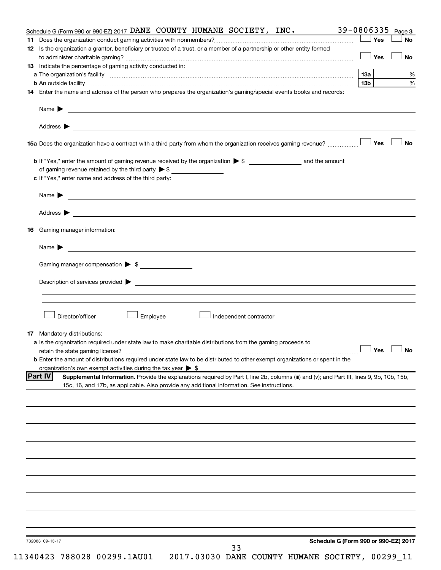| Schedule G (Form 990 or 990-EZ) 2017 DANE COUNTY HUMANE SOCIETY, INC.                                                                                                                                                                   |                                      | 39-0806335 | Page 3    |
|-----------------------------------------------------------------------------------------------------------------------------------------------------------------------------------------------------------------------------------------|--------------------------------------|------------|-----------|
|                                                                                                                                                                                                                                         |                                      | $\Box$ Yes | No        |
| 12 Is the organization a grantor, beneficiary or trustee of a trust, or a member of a partnership or other entity formed                                                                                                                |                                      |            |           |
|                                                                                                                                                                                                                                         |                                      | $\Box$ Yes | No        |
| 13 Indicate the percentage of gaming activity conducted in:                                                                                                                                                                             |                                      |            |           |
| a The organization's facility www.communication.communications.com/international/                                                                                                                                                       |                                      | 1За        | %         |
| b An outside facility www.communications.com/news/communications.com/news/communications.com/news/communicatio                                                                                                                          |                                      | 13b l      | $\%$      |
| 14 Enter the name and address of the person who prepares the organization's gaming/special events books and records:                                                                                                                    |                                      |            |           |
| Name $\blacktriangleright$<br><u> 1990 - John Harry Harry Harry Harry Harry Harry Harry Harry Harry Harry Harry Harry Harry Harry Harry Harry H</u>                                                                                     |                                      |            |           |
| Address $\blacktriangleright$<br><u> 1989 - Johann Stoff, amerikansk politiker (d. 1989)</u>                                                                                                                                            |                                      |            |           |
|                                                                                                                                                                                                                                         |                                      |            | <b>No</b> |
|                                                                                                                                                                                                                                         |                                      |            |           |
| of gaming revenue retained by the third party $\triangleright$ \$                                                                                                                                                                       |                                      |            |           |
| c If "Yes," enter name and address of the third party:                                                                                                                                                                                  |                                      |            |           |
|                                                                                                                                                                                                                                         |                                      |            |           |
| Address $\blacktriangleright$<br><u> 1989 - Johann Harry Harry Harry Harry Harry Harry Harry Harry Harry Harry Harry Harry Harry Harry Harry Harry</u>                                                                                  |                                      |            |           |
|                                                                                                                                                                                                                                         |                                      |            |           |
| Gaming manager information:<br>16.                                                                                                                                                                                                      |                                      |            |           |
| Name $\blacktriangleright$                                                                                                                                                                                                              |                                      |            |           |
| Gaming manager compensation > \$                                                                                                                                                                                                        |                                      |            |           |
|                                                                                                                                                                                                                                         |                                      |            |           |
| Description of services provided > example and the contract of the contract of the contract of the contract of                                                                                                                          |                                      |            |           |
|                                                                                                                                                                                                                                         |                                      |            |           |
|                                                                                                                                                                                                                                         |                                      |            |           |
| Director/officer<br>Employee<br>Independent contractor                                                                                                                                                                                  |                                      |            |           |
|                                                                                                                                                                                                                                         |                                      |            |           |
| <b>17</b> Mandatory distributions:                                                                                                                                                                                                      |                                      |            |           |
| a Is the organization required under state law to make charitable distributions from the gaming proceeds to                                                                                                                             |                                      | $\Box$ Yes | $\Box$ No |
| retain the state gaming license?                                                                                                                                                                                                        |                                      |            |           |
| <b>b</b> Enter the amount of distributions required under state law to be distributed to other exempt organizations or spent in the                                                                                                     |                                      |            |           |
| organization's own exempt activities during the tax year $\triangleright$ \$<br> Part IV<br>Supplemental Information. Provide the explanations required by Part I, line 2b, columns (iii) and (v); and Part III, lines 9, 9b, 10b, 15b, |                                      |            |           |
| 15c, 16, and 17b, as applicable. Also provide any additional information. See instructions.                                                                                                                                             |                                      |            |           |
|                                                                                                                                                                                                                                         |                                      |            |           |
|                                                                                                                                                                                                                                         |                                      |            |           |
|                                                                                                                                                                                                                                         |                                      |            |           |
|                                                                                                                                                                                                                                         |                                      |            |           |
|                                                                                                                                                                                                                                         |                                      |            |           |
|                                                                                                                                                                                                                                         |                                      |            |           |
|                                                                                                                                                                                                                                         |                                      |            |           |
|                                                                                                                                                                                                                                         |                                      |            |           |
|                                                                                                                                                                                                                                         |                                      |            |           |
|                                                                                                                                                                                                                                         |                                      |            |           |
|                                                                                                                                                                                                                                         |                                      |            |           |
|                                                                                                                                                                                                                                         |                                      |            |           |
|                                                                                                                                                                                                                                         |                                      |            |           |
|                                                                                                                                                                                                                                         |                                      |            |           |
|                                                                                                                                                                                                                                         |                                      |            |           |
|                                                                                                                                                                                                                                         |                                      |            |           |
|                                                                                                                                                                                                                                         |                                      |            |           |
| 732083 09-13-17<br>33                                                                                                                                                                                                                   | Schedule G (Form 990 or 990-EZ) 2017 |            |           |
|                                                                                                                                                                                                                                         |                                      |            |           |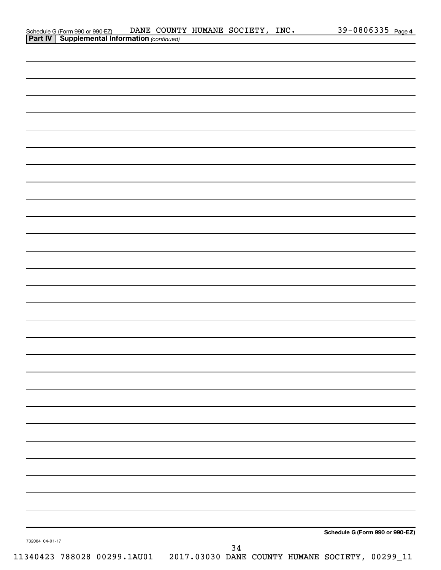| Schedule G (Form 990 or 990-EZ) DANE COUNT<br><b>Part IV   Supplemental Information</b> (continued)<br>Schedule G (Form 990 or 990-EZ) |                 |  |  | DANE COUNTY HUMANE SOCIETY, INC. |  |  | 39-0806335 Page 4 |
|----------------------------------------------------------------------------------------------------------------------------------------|-----------------|--|--|----------------------------------|--|--|-------------------|
|                                                                                                                                        |                 |  |  |                                  |  |  |                   |
|                                                                                                                                        |                 |  |  |                                  |  |  |                   |
|                                                                                                                                        |                 |  |  |                                  |  |  |                   |
|                                                                                                                                        |                 |  |  |                                  |  |  |                   |
|                                                                                                                                        |                 |  |  |                                  |  |  |                   |
|                                                                                                                                        |                 |  |  |                                  |  |  |                   |
|                                                                                                                                        |                 |  |  |                                  |  |  |                   |
|                                                                                                                                        |                 |  |  |                                  |  |  |                   |
|                                                                                                                                        |                 |  |  |                                  |  |  |                   |
|                                                                                                                                        |                 |  |  |                                  |  |  |                   |
|                                                                                                                                        |                 |  |  |                                  |  |  |                   |
|                                                                                                                                        |                 |  |  |                                  |  |  |                   |
|                                                                                                                                        |                 |  |  |                                  |  |  |                   |
|                                                                                                                                        |                 |  |  |                                  |  |  |                   |
|                                                                                                                                        |                 |  |  |                                  |  |  |                   |
|                                                                                                                                        |                 |  |  |                                  |  |  |                   |
|                                                                                                                                        |                 |  |  |                                  |  |  |                   |
|                                                                                                                                        |                 |  |  |                                  |  |  |                   |
|                                                                                                                                        |                 |  |  |                                  |  |  |                   |
|                                                                                                                                        |                 |  |  |                                  |  |  |                   |
|                                                                                                                                        |                 |  |  |                                  |  |  |                   |
|                                                                                                                                        |                 |  |  |                                  |  |  |                   |
|                                                                                                                                        |                 |  |  |                                  |  |  |                   |
|                                                                                                                                        |                 |  |  |                                  |  |  |                   |
|                                                                                                                                        |                 |  |  |                                  |  |  |                   |
|                                                                                                                                        |                 |  |  |                                  |  |  |                   |
|                                                                                                                                        |                 |  |  |                                  |  |  |                   |
|                                                                                                                                        |                 |  |  |                                  |  |  |                   |
|                                                                                                                                        |                 |  |  |                                  |  |  |                   |
|                                                                                                                                        |                 |  |  |                                  |  |  |                   |
|                                                                                                                                        |                 |  |  |                                  |  |  |                   |
|                                                                                                                                        |                 |  |  |                                  |  |  |                   |
|                                                                                                                                        |                 |  |  |                                  |  |  |                   |
|                                                                                                                                        |                 |  |  |                                  |  |  |                   |
|                                                                                                                                        |                 |  |  |                                  |  |  |                   |
|                                                                                                                                        |                 |  |  |                                  |  |  |                   |
|                                                                                                                                        |                 |  |  |                                  |  |  |                   |
|                                                                                                                                        |                 |  |  |                                  |  |  |                   |
|                                                                                                                                        |                 |  |  |                                  |  |  |                   |
|                                                                                                                                        |                 |  |  |                                  |  |  |                   |
|                                                                                                                                        |                 |  |  |                                  |  |  |                   |
|                                                                                                                                        |                 |  |  |                                  |  |  |                   |
|                                                                                                                                        |                 |  |  |                                  |  |  |                   |
|                                                                                                                                        |                 |  |  |                                  |  |  |                   |
|                                                                                                                                        |                 |  |  |                                  |  |  |                   |
|                                                                                                                                        |                 |  |  |                                  |  |  |                   |
|                                                                                                                                        |                 |  |  |                                  |  |  |                   |
|                                                                                                                                        |                 |  |  |                                  |  |  |                   |
| 34                                                                                                                                     | 732084 04-01-17 |  |  |                                  |  |  |                   |
| 11340423 788028 00299.1AU01  2017.03030 DANE COUNTY HUMANE SOCIETY, 00299_11                                                           |                 |  |  |                                  |  |  |                   |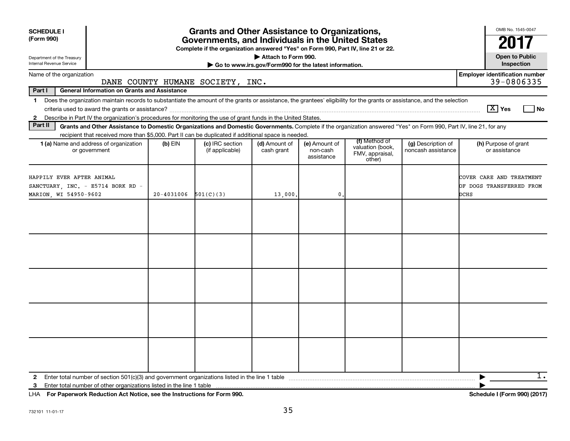| <b>SCHEDULE I</b><br>(Form 990)                                                                                                                                                                                                                                                                                          |            | <b>Grants and Other Assistance to Organizations,</b><br>Governments, and Individuals in the United States |                             |                                         |                                                                |                                          | OMB No. 1545-0047                                            |  |  |  |
|--------------------------------------------------------------------------------------------------------------------------------------------------------------------------------------------------------------------------------------------------------------------------------------------------------------------------|------------|-----------------------------------------------------------------------------------------------------------|-----------------------------|-----------------------------------------|----------------------------------------------------------------|------------------------------------------|--------------------------------------------------------------|--|--|--|
|                                                                                                                                                                                                                                                                                                                          |            |                                                                                                           |                             |                                         |                                                                |                                          |                                                              |  |  |  |
| Complete if the organization answered "Yes" on Form 990, Part IV, line 21 or 22.<br>Attach to Form 990.<br><b>Open to Public</b><br>Department of the Treasury<br>Internal Revenue Service<br>Go to www.irs.gov/Form990 for the latest information.                                                                      |            |                                                                                                           |                             |                                         |                                                                |                                          |                                                              |  |  |  |
| Name of the organization                                                                                                                                                                                                                                                                                                 |            | DANE COUNTY HUMANE SOCIETY, INC.                                                                          |                             |                                         |                                                                |                                          | <b>Employer identification number</b><br>39-0806335          |  |  |  |
| Part I<br><b>General Information on Grants and Assistance</b>                                                                                                                                                                                                                                                            |            |                                                                                                           |                             |                                         |                                                                |                                          |                                                              |  |  |  |
| Does the organization maintain records to substantiate the amount of the grants or assistance, the grantees' eligibility for the grants or assistance, and the selection<br>$\mathbf 1$<br>Describe in Part IV the organization's procedures for monitoring the use of grant funds in the United States.<br>$\mathbf{2}$ |            |                                                                                                           |                             |                                         |                                                                |                                          | $\boxed{\text{X}}$ Yes<br>No                                 |  |  |  |
| Part II<br>Grants and Other Assistance to Domestic Organizations and Domestic Governments. Complete if the organization answered "Yes" on Form 990, Part IV, line 21, for any                                                                                                                                            |            |                                                                                                           |                             |                                         |                                                                |                                          |                                                              |  |  |  |
| recipient that received more than \$5,000. Part II can be duplicated if additional space is needed.<br>1 (a) Name and address of organization<br>or government                                                                                                                                                           | $(b)$ EIN  | (c) IRC section<br>(if applicable)                                                                        | (d) Amount of<br>cash grant | (e) Amount of<br>non-cash<br>assistance | (f) Method of<br>valuation (book,<br>FMV, appraisal,<br>other) | (g) Description of<br>noncash assistance | (h) Purpose of grant<br>or assistance                        |  |  |  |
| HAPPILY EVER AFTER ANIMAL<br>SANCTUARY, INC. - E5714 BORK RD -<br>MARION, WI 54950-9602                                                                                                                                                                                                                                  | 20-4031006 | 501(C)(3)                                                                                                 | 13,000.                     | $\mathbf 0$ .                           |                                                                |                                          | COVER CARE AND TREATMENT<br>OF DOGS TRANSFERRED FROM<br>DCHS |  |  |  |
|                                                                                                                                                                                                                                                                                                                          |            |                                                                                                           |                             |                                         |                                                                |                                          |                                                              |  |  |  |
|                                                                                                                                                                                                                                                                                                                          |            |                                                                                                           |                             |                                         |                                                                |                                          |                                                              |  |  |  |
|                                                                                                                                                                                                                                                                                                                          |            |                                                                                                           |                             |                                         |                                                                |                                          |                                                              |  |  |  |
|                                                                                                                                                                                                                                                                                                                          |            |                                                                                                           |                             |                                         |                                                                |                                          |                                                              |  |  |  |
|                                                                                                                                                                                                                                                                                                                          |            |                                                                                                           |                             |                                         |                                                                |                                          |                                                              |  |  |  |
| $\mathbf{2}$<br>Enter total number of other organizations listed in the line 1 table<br>3                                                                                                                                                                                                                                |            |                                                                                                           |                             |                                         |                                                                |                                          | 1.<br>▶                                                      |  |  |  |

**For Paperwork Reduction Act Notice, see the Instructions for Form 990. Schedule I (Form 990) (2017)** LHA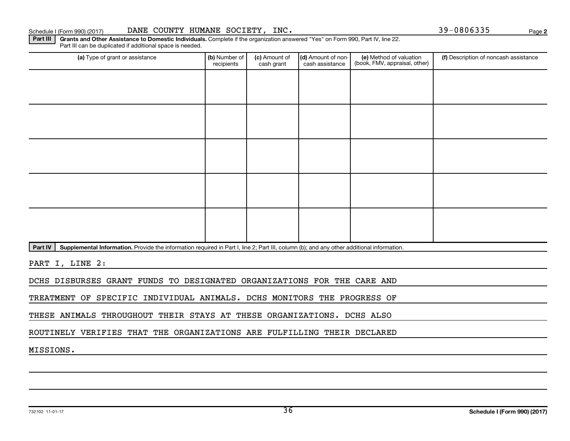#### Schedule I (Form 990) (2017) DANE COUNTY HUMANE SOCIETY, INC. 39-0806335 Page

**2**

Part III | Grants and Other Assistance to Domestic Individuals. Complete if the organization answered "Yes" on Form 990, Part IV, line 22. Part III can be duplicated if additional space is needed.

| (a) Type of grant or assistance | (b) Number of<br>recipients | (c) Amount of<br>cash grant | (d) Amount of non-<br>cash assistance | (e) Method of valuation<br>(book, FMV, appraisal, other) | (f) Description of noncash assistance |
|---------------------------------|-----------------------------|-----------------------------|---------------------------------------|----------------------------------------------------------|---------------------------------------|
|                                 |                             |                             |                                       |                                                          |                                       |
|                                 |                             |                             |                                       |                                                          |                                       |
|                                 |                             |                             |                                       |                                                          |                                       |
|                                 |                             |                             |                                       |                                                          |                                       |
|                                 |                             |                             |                                       |                                                          |                                       |
|                                 |                             |                             |                                       |                                                          |                                       |
|                                 |                             |                             |                                       |                                                          |                                       |
|                                 |                             |                             |                                       |                                                          |                                       |
|                                 |                             |                             |                                       |                                                          |                                       |
|                                 |                             |                             |                                       |                                                          |                                       |

Part IV | Supplemental Information. Provide the information required in Part I, line 2; Part III, column (b); and any other additional information.

PART I, LINE 2:

DCHS DISBURSES GRANT FUNDS TO DESIGNATED ORGANIZATIONS FOR THE CARE AND

TREATMENT OF SPECIFIC INDIVIDUAL ANIMALS. DCHS MONITORS THE PROGRESS OF

THESE ANIMALS THROUGHOUT THEIR STAYS AT THESE ORGANIZATIONS. DCHS ALSO

ROUTINELY VERIFIES THAT THE ORGANIZATIONS ARE FULFILLING THEIR DECLARED

MISSIONS.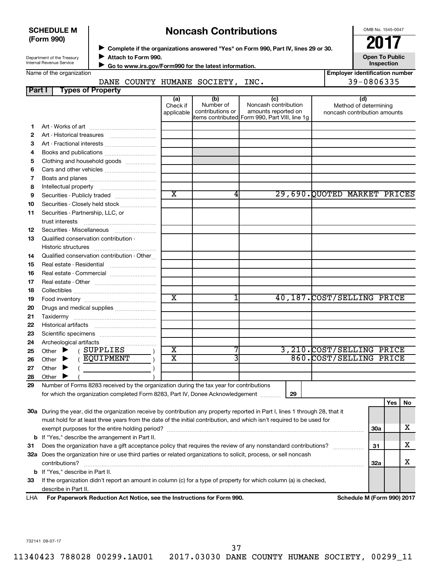| <b>SCHEDULE M</b><br>(Form 990)                               |                          |                     |                               | <b>Noncash Contributions</b>                          |                                                                                                      | OMB No. 1545-0047<br>2017                                    |
|---------------------------------------------------------------|--------------------------|---------------------|-------------------------------|-------------------------------------------------------|------------------------------------------------------------------------------------------------------|--------------------------------------------------------------|
| Department of the Treasury<br><b>Internal Revenue Service</b> |                          | Attach to Form 990. |                               | Go to www.irs.gov/Form990 for the latest information. | Complete if the organizations answered "Yes" on Form 990, Part IV, lines 29 or 30.                   | <b>Open To Public</b><br>Inspection                          |
| Name of the organization                                      |                          |                     |                               |                                                       |                                                                                                      | <b>Employer identification num</b>                           |
|                                                               | DANE                     |                     |                               | COUNTY HUMANE SOCIETY,                                | INC.                                                                                                 | 39-0806335                                                   |
| <b>Part</b> I                                                 | <b>Types of Property</b> |                     |                               |                                                       |                                                                                                      |                                                              |
|                                                               |                          |                     | (a)<br>Check if<br>applicable | (b)<br>Number of<br>contributions or                  | (c)<br>Noncash contribution<br>amounts reported on<br>items contributed Form 990, Part VIII, line 1g | (d)<br>Method of determining<br>noncash contribution amounts |
| Art - Works of art                                            |                          |                     |                               |                                                       |                                                                                                      |                                                              |
| 2                                                             |                          |                     |                               |                                                       |                                                                                                      |                                                              |
| 3<br>Art - Fractional interests                               |                          |                     |                               |                                                       |                                                                                                      |                                                              |
| Books and publications<br>4                                   |                          |                     |                               |                                                       |                                                                                                      |                                                              |
| Clothing and household goods<br>5                             |                          |                     |                               |                                                       |                                                                                                      |                                                              |
| Cars and other vehicles<br>6                                  |                          |                     |                               |                                                       |                                                                                                      |                                                              |
| Boats and planes                                              |                          |                     |                               |                                                       |                                                                                                      |                                                              |

| З  | Art Fractional interests                                                                |                             |   |    |                             |          |
|----|-----------------------------------------------------------------------------------------|-----------------------------|---|----|-----------------------------|----------|
| 4  |                                                                                         |                             |   |    |                             |          |
| 5  | Clothing and household goods                                                            |                             |   |    |                             |          |
| 6  |                                                                                         |                             |   |    |                             |          |
| 7  |                                                                                         |                             |   |    |                             |          |
| 8  |                                                                                         |                             |   |    |                             |          |
| 9  | Securities - Publicly traded                                                            | $\overline{\mathbf{x}}$     | 4 |    | 29,690.QUOTED MARKET PRICES |          |
| 10 | Securities - Closely held stock                                                         |                             |   |    |                             |          |
| 11 | Securities - Partnership, LLC, or                                                       |                             |   |    |                             |          |
|    |                                                                                         |                             |   |    |                             |          |
| 12 | Securities - Miscellaneous                                                              |                             |   |    |                             |          |
| 13 | Qualified conservation contribution -                                                   |                             |   |    |                             |          |
|    | Historic structures                                                                     |                             |   |    |                             |          |
| 14 | Qualified conservation contribution - Other                                             |                             |   |    |                             |          |
| 15 |                                                                                         |                             |   |    |                             |          |
| 16 | Real estate - Commercial                                                                |                             |   |    |                             |          |
| 17 |                                                                                         |                             |   |    |                             |          |
| 18 |                                                                                         |                             |   |    |                             |          |
| 19 |                                                                                         | $\overline{\textnormal{x}}$ |   |    | 40,187. COST/SELLING PRICE  |          |
| 20 |                                                                                         |                             |   |    |                             |          |
| 21 |                                                                                         |                             |   |    |                             |          |
| 22 |                                                                                         |                             |   |    |                             |          |
| 23 |                                                                                         |                             |   |    |                             |          |
| 24 |                                                                                         |                             |   |    |                             |          |
| 25 | (SUPPLIES<br>Other $\blacktriangleright$                                                | $\overline{\text{x}}$       |   |    | 3,210.COST/SELLING PRICE    |          |
| 26 | EQUIPMENT<br>Other $\blacktriangleright$                                                | $\overline{\mathbf{X}}$     |   |    | 860.COST/SELLING PRICE      |          |
| 27 | Other $\blacktriangleright$                                                             |                             |   |    |                             |          |
| 28 | Other $\blacktriangleright$                                                             |                             |   |    |                             |          |
| 29 | Number of Forms 8283 received by the organization during the tax year for contributions |                             |   |    |                             |          |
|    | for which the organization completed Form 8283, Part IV, Donee Acknowledgement          |                             |   | 29 |                             |          |
|    |                                                                                         |                             |   |    |                             | Yes   No |

| 33 If the organization didn't report an amount in column (c) for a type of property for which column (a) is checked, |
|----------------------------------------------------------------------------------------------------------------------|
| describe in Part II.                                                                                                 |

**32 a** Does the organization hire or use third parties or related organizations to solicit, process, or sell noncash

**30 a** During the year, did the organization receive by contribution any property reported in Part I, lines 1 through 28, that it

must hold for at least three years from the date of the initial contribution, and which isn't required to be used for

**31** Does the organization have a gift acceptance policy that requires the review of any nonstandard contributions?  $\ldots$  $\ldots$  $\ldots$ 

exempt purposes for the entire holding period? ~~~~~~~~~~~~~~~~~~~~~~~~~~~~~~~~~~~~~~

contributions? ~~~~~~~~~~~~~~~~~~~~~~~~~~~~~~~~~~~~~~~~~~~~~~~~~~~~~~

| LHA | For Paperwork Reduction Act Notice, see the Instructions for Form 990. |  |
|-----|------------------------------------------------------------------------|--|
|-----|------------------------------------------------------------------------|--|

**b** If "Yes," describe the arrangement in Part II.

**b** If "Yes," describe in Part II.

**Schedule M (Form 990) 2017** 

**30a**

X

X

X

**31**

**32a**

**Example 1**<br> **Example 1** 

732141 09-07-17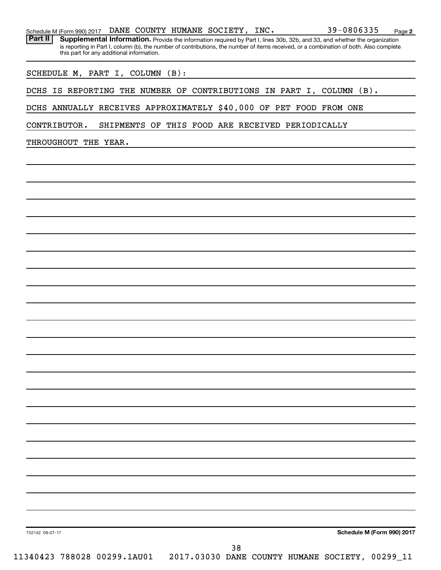|  |  |  |  |  | Schedule M (Form 990) 2017 DANE COUNTY HUMANE SOCIETY, INC. |  | 39-0806335 | Page |  |
|--|--|--|--|--|-------------------------------------------------------------|--|------------|------|--|
|--|--|--|--|--|-------------------------------------------------------------|--|------------|------|--|

Part II | Supplemental Information. Provide the information required by Part I, lines 30b, 32b, and 33, and whether the organization is reporting in Part I, column (b), the number of contributions, the number of items received, or a combination of both. Also complete this part for any additional information.

SCHEDULE M, PART I, COLUMN (B):

DCHS IS REPORTING THE NUMBER OF CONTRIBUTIONS IN PART I, COLUMN (B).

DCHS ANNUALLY RECEIVES APPROXIMATELY \$40,000 OF PET FOOD FROM ONE

CONTRIBUTOR. SHIPMENTS OF THIS FOOD ARE RECEIVED PERIODICALLY

THROUGHOUT THE YEAR.

**Schedule M (Form 990) 2017**

**2**

732142 09-07-17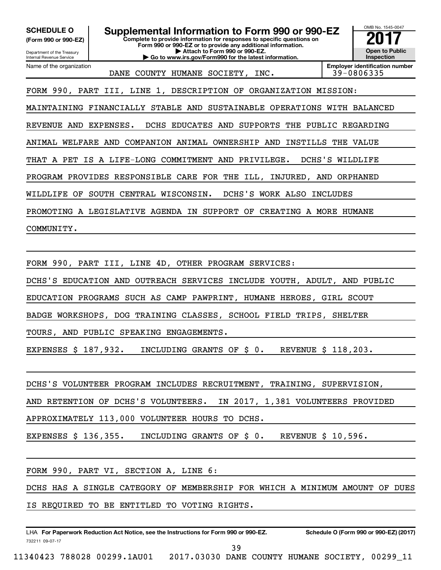OMB No. 1545-0047 Department of the Treasury Internal Revenue Service **Complete to provide information for responses to specific questions on Form 990 or 990-EZ or to provide any additional information. | Attach to Form 990 or 990-EZ. | Go to www.irs.gov/Form990 for the latest information. (Form 990 or 990-EZ) Open to Public Inspection Employer identification number** Name of the organization **SCHEDULE O Supplemental Information to Form 990 or 990-EZ** <br>(Form 990 or 990-EZ) Complete to provide information for responses to specific questions on DANE COUNTY HUMANE SOCIETY, INC. FORM 990, PART III, LINE 1, DESCRIPTION OF ORGANIZATION MISSION: MAINTAINING FINANCIALLY STABLE AND SUSTAINABLE OPERATIONS WITH BALANCED REVENUE AND EXPENSES. DCHS EDUCATES AND SUPPORTS THE PUBLIC REGARDING ANIMAL WELFARE AND COMPANION ANIMAL OWNERSHIP AND INSTILLS THE VALUE THAT A PET IS A LIFE-LONG COMMITMENT AND PRIVILEGE. DCHS'S WILDLIFE PROGRAM PROVIDES RESPONSIBLE CARE FOR THE ILL, INJURED, AND ORPHANED WILDLIFE OF SOUTH CENTRAL WISCONSIN. DCHS'S WORK ALSO INCLUDES PROMOTING A LEGISLATIVE AGENDA IN SUPPORT OF CREATING A MORE HUMANE COMMUNITY. FORM 990, PART III, LINE 4D, OTHER PROGRAM SERVICES: DCHS'S EDUCATION AND OUTREACH SERVICES INCLUDE YOUTH, ADULT, AND PUBLIC EDUCATION PROGRAMS SUCH AS CAMP PAWPRINT, HUMANE HEROES, GIRL SCOUT BADGE WORKSHOPS, DOG TRAINING CLASSES, SCHOOL FIELD TRIPS, SHELTER TOURS, AND PUBLIC SPEAKING ENGAGEMENTS.

EXPENSES \$ 187,932. INCLUDING GRANTS OF \$ 0. REVENUE \$ 118,203.

DCHS'S VOLUNTEER PROGRAM INCLUDES RECRUITMENT, TRAINING, SUPERVISION,

AND RETENTION OF DCHS'S VOLUNTEERS. IN 2017, 1,381 VOLUNTEERS PROVIDED

APPROXIMATELY 113,000 VOLUNTEER HOURS TO DCHS.

EXPENSES \$ 136,355. INCLUDING GRANTS OF \$ 0. REVENUE \$ 10,596.

FORM 990, PART VI, SECTION A, LINE 6:

DCHS HAS A SINGLE CATEGORY OF MEMBERSHIP FOR WHICH A MINIMUM AMOUNT OF DUES IS REQUIRED TO BE ENTITLED TO VOTING RIGHTS.

732211 09-07-17 LHA For Paperwork Reduction Act Notice, see the Instructions for Form 990 or 990-EZ. Schedule O (Form 990 or 990-EZ) (2017)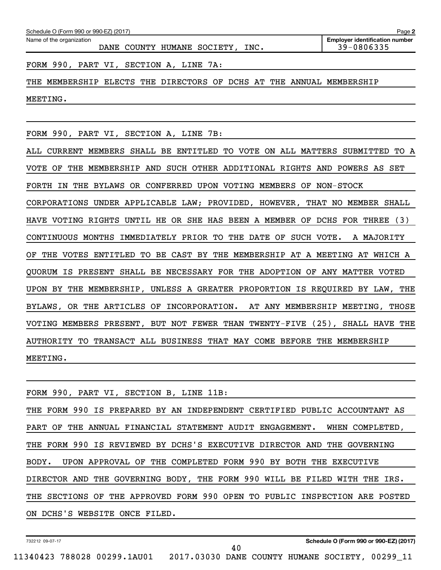| Schedule O (Form 990 or 990-EZ) (2017)                                        | Page 2                                              |
|-------------------------------------------------------------------------------|-----------------------------------------------------|
| Name of the organization<br>DANE COUNTY HUMANE SOCIETY, INC.                  | <b>Employer identification number</b><br>39-0806335 |
| FORM 990, PART VI, SECTION A, LINE 7A:                                        |                                                     |
| THE MEMBERSHIP ELECTS THE DIRECTORS OF DCHS AT THE ANNUAL MEMBERSHIP          |                                                     |
| MEETING.                                                                      |                                                     |
|                                                                               |                                                     |
| FORM 990, PART VI, SECTION A, LINE 7B:                                        |                                                     |
| ALL CURRENT MEMBERS SHALL BE ENTITLED TO VOTE ON ALL MATTERS SUBMITTED TO A   |                                                     |
| VOTE OF THE MEMBERSHIP AND SUCH OTHER ADDITIONAL RIGHTS AND POWERS AS SET     |                                                     |
| FORTH IN THE BYLAWS OR CONFERRED UPON VOTING MEMBERS OF NON-STOCK             |                                                     |
| CORPORATIONS UNDER APPLICABLE LAW; PROVIDED, HOWEVER, THAT NO MEMBER SHALL    |                                                     |
| HAVE VOTING RIGHTS UNTIL HE OR SHE HAS BEEN A MEMBER OF DCHS FOR THREE (3)    |                                                     |
| CONTINUOUS MONTHS IMMEDIATELY PRIOR TO THE DATE OF SUCH VOTE.                 | A MAJORITY                                          |
| THE VOTES ENTITLED TO BE CAST BY THE MEMBERSHIP AT A MEETING AT WHICH A<br>ΟF |                                                     |
| QUORUM IS PRESENT SHALL BE NECESSARY FOR THE ADOPTION OF ANY MATTER VOTED     |                                                     |
| UPON BY THE MEMBERSHIP, UNLESS A GREATER PROPORTION IS REQUIRED BY LAW, THE   |                                                     |
| BYLAWS, OR THE ARTICLES OF INCORPORATION.                                     | AT ANY MEMBERSHIP MEETING, THOSE                    |

VOTING MEMBERS PRESENT, BUT NOT FEWER THAN TWENTY-FIVE (25), SHALL HAVE THE AUTHORITY TO TRANSACT ALL BUSINESS THAT MAY COME BEFORE THE MEMBERSHIP MEETING.

| FORM 990, PART VI, SECTION B, LINE 11B:                                    |  |  |  |  |  |  |
|----------------------------------------------------------------------------|--|--|--|--|--|--|
| THE FORM 990 IS PREPARED BY AN INDEPENDENT CERTIFIED PUBLIC ACCOUNTANT AS  |  |  |  |  |  |  |
| PART OF THE ANNUAL FINANCIAL STATEMENT AUDIT ENGAGEMENT. WHEN COMPLETED,   |  |  |  |  |  |  |
| THE FORM 990 IS REVIEWED BY DCHS'S EXECUTIVE DIRECTOR AND THE GOVERNING    |  |  |  |  |  |  |
| BODY. UPON APPROVAL OF THE COMPLETED FORM 990 BY BOTH THE EXECUTIVE        |  |  |  |  |  |  |
| DIRECTOR AND THE GOVERNING BODY, THE FORM 990 WILL BE FILED WITH THE IRS.  |  |  |  |  |  |  |
| THE SECTIONS OF THE APPROVED FORM 990 OPEN TO PUBLIC INSPECTION ARE POSTED |  |  |  |  |  |  |
| ON DCHS'S WEBSITE ONCE FILED.                                              |  |  |  |  |  |  |
|                                                                            |  |  |  |  |  |  |

40

732212 09-07-17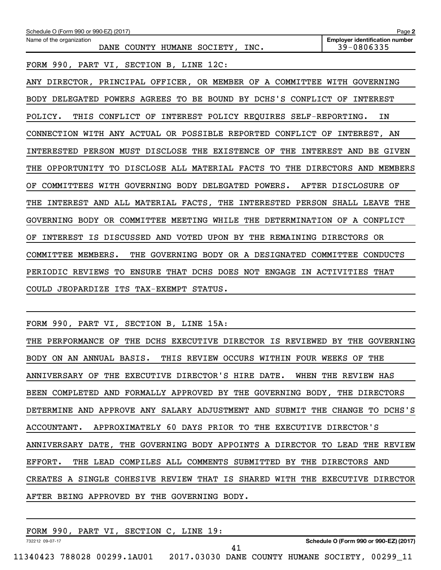| Schedule O (Form 990 or 990-EZ) (2017)                                        | Page 2                                              |
|-------------------------------------------------------------------------------|-----------------------------------------------------|
| Name of the organization<br>DANE COUNTY HUMANE SOCIETY, INC.                  | <b>Employer identification number</b><br>39-0806335 |
| FORM 990, PART VI, SECTION B, LINE 12C:                                       |                                                     |
| ANY DIRECTOR, PRINCIPAL OFFICER, OR MEMBER OF A COMMITTEE WITH GOVERNING      |                                                     |
| BODY DELEGATED POWERS AGREES TO BE BOUND BY DCHS'S CONFLICT OF                | INTEREST                                            |
| INTEREST POLICY REQUIRES SELF-REPORTING.<br>POLICY.<br>THIS CONFLICT OF       | ΙN                                                  |
| CONNECTION WITH ANY ACTUAL OR POSSIBLE REPORTED CONFLICT OF                   | INTEREST, AN                                        |
| INTERESTED PERSON MUST DISCLOSE THE EXISTENCE OF<br>THE                       | INTEREST AND BE GIVEN                               |
| OPPORTUNITY TO DISCLOSE ALL MATERIAL FACTS TO<br>THE                          | THE DIRECTORS AND MEMBERS                           |
| COMMITTEES WITH GOVERNING BODY DELEGATED POWERS.<br>OF                        | AFTER DISCLOSURE OF                                 |
| INTEREST AND ALL MATERIAL FACTS, THE INTERESTED PERSON SHALL LEAVE THE<br>THE |                                                     |
| GOVERNING BODY OR COMMITTEE MEETING WHILE THE DETERMINATION OF A CONFLICT     |                                                     |
| INTEREST IS DISCUSSED AND VOTED UPON BY THE REMAINING DIRECTORS OR<br>OF      |                                                     |
| COMMITTEE MEMBERS.<br>THE GOVERNING BODY OR A DESIGNATED COMMITTEE            | CONDUCTS                                            |
| PERIODIC REVIEWS TO<br>ENSURE THAT DCHS DOES NOT ENGAGE IN ACTIVITIES THAT    |                                                     |
| COULD JEOPARDIZE ITS TAX-EXEMPT STATUS.                                       |                                                     |
|                                                                               |                                                     |

FORM 990, PART VI, SECTION B, LINE 15A:

THE PERFORMANCE OF THE DCHS EXECUTIVE DIRECTOR IS REVIEWED BY THE GOVERNING BODY ON AN ANNUAL BASIS. THIS REVIEW OCCURS WITHIN FOUR WEEKS OF THE ANNIVERSARY OF THE EXECUTIVE DIRECTOR'S HIRE DATE. WHEN THE REVIEW HAS BEEN COMPLETED AND FORMALLY APPROVED BY THE GOVERNING BODY, THE DIRECTORS DETERMINE AND APPROVE ANY SALARY ADJUSTMENT AND SUBMIT THE CHANGE TO DCHS'S ACCOUNTANT. APPROXIMATELY 60 DAYS PRIOR TO THE EXECUTIVE DIRECTOR'S ANNIVERSARY DATE, THE GOVERNING BODY APPOINTS A DIRECTOR TO LEAD THE REVIEW EFFORT. THE LEAD COMPILES ALL COMMENTS SUBMITTED BY THE DIRECTORS AND CREATES A SINGLE COHESIVE REVIEW THAT IS SHARED WITH THE EXECUTIVE DIRECTOR AFTER BEING APPROVED BY THE GOVERNING BODY.

| 990<br>FORM     | PART VI | SECTION C. | LINE | ؛ 19 |    |                                        |
|-----------------|---------|------------|------|------|----|----------------------------------------|
| 732212 09-07-17 |         |            |      |      | 41 | Schedule O (Form 990 or 990-EZ) (2017) |